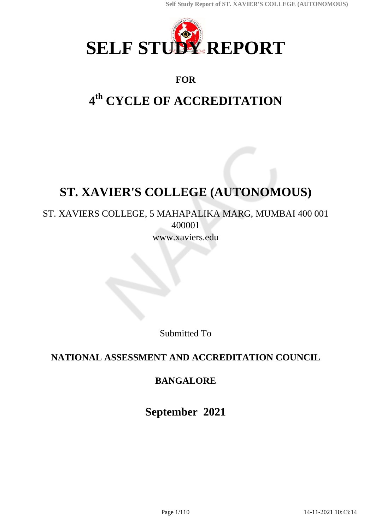

## **FOR**

# **4 th CYCLE OF ACCREDITATION**

# **ST. XAVIER'S COLLEGE (AUTONOMOUS)**

## ST. XAVIERS COLLEGE, 5 MAHAPALIKA MARG, MUMBAI 400 001 400001 www.xaviers.edu

Submitted To

## **NATIONAL ASSESSMENT AND ACCREDITATION COUNCIL**

## **BANGALORE**

**September 2021**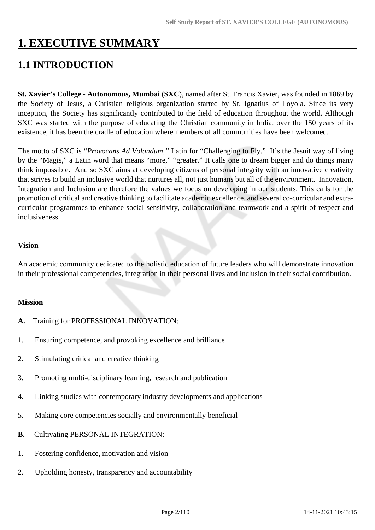# **1. EXECUTIVE SUMMARY**

# **1.1 INTRODUCTION**

**St. Xavier's College - Autonomous, Mumbai (SXC**), named after St. Francis Xavier, was founded in 1869 by the Society of Jesus, a Christian religious organization started by St. Ignatius of Loyola. Since its very inception, the Society has significantly contributed to the field of education throughout the world. Although SXC was started with the purpose of educating the Christian community in India, over the 150 years of its existence, it has been the cradle of education where members of all communities have been welcomed.

The motto of SXC is "*Provocans Ad Volandum,"* Latin for "Challenging to Fly." It's the Jesuit way of living by the "Magis," a Latin word that means "more," "greater." It calls one to dream bigger and do things many think impossible. And so SXC aims at developing citizens of personal integrity with an innovative creativity that strives to build an inclusive world that nurtures all, not just humans but all of the environment. Innovation, Integration and Inclusion are therefore the values we focus on developing in our students. This calls for the promotion of critical and creative thinking to facilitate academic excellence, and several co-curricular and extracurricular programmes to enhance social sensitivity, collaboration and teamwork and a spirit of respect and inclusiveness.

#### **Vision**

An academic community dedicated to the holistic education of future leaders who will demonstrate innovation in their professional competencies, integration in their personal lives and inclusion in their social contribution.

#### **Mission**

- **A.** Training for PROFESSIONAL INNOVATION:
- 1. Ensuring competence, and provoking excellence and brilliance
- 2. Stimulating critical and creative thinking
- 3. Promoting multi-disciplinary learning, research and publication
- 4. Linking studies with contemporary industry developments and applications
- 5. Making core competencies socially and environmentally beneficial
- **B.** Cultivating PERSONAL INTEGRATION:
- 1. Fostering confidence, motivation and vision
- 2. Upholding honesty, transparency and accountability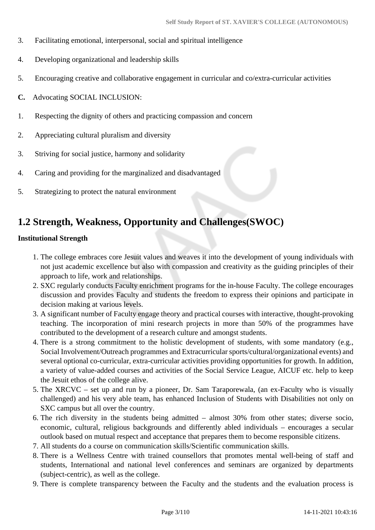- 3. Facilitating emotional, interpersonal, social and spiritual intelligence
- 4. Developing organizational and leadership skills
- 5. Encouraging creative and collaborative engagement in curricular and co/extra-curricular activities
- **C.** Advocating SOCIAL INCLUSION:
- 1. Respecting the dignity of others and practicing compassion and concern
- 2. Appreciating cultural pluralism and diversity
- 3. Striving for social justice, harmony and solidarity
- 4. Caring and providing for the marginalized and disadvantaged
- 5. Strategizing to protect the natural environment

## **1.2 Strength, Weakness, Opportunity and Challenges(SWOC)**

#### **Institutional Strength**

- 1. The college embraces core Jesuit values and weaves it into the development of young individuals with not just academic excellence but also with compassion and creativity as the guiding principles of their approach to life, work and relationships.
- 2. SXC regularly conducts Faculty enrichment programs for the in-house Faculty. The college encourages discussion and provides Faculty and students the freedom to express their opinions and participate in decision making at various levels.
- 3. A significant number of Faculty engage theory and practical courses with interactive, thought-provoking teaching. The incorporation of mini research projects in more than 50% of the programmes have contributed to the development of a research culture and amongst students.
- 4. There is a strong commitment to the holistic development of students, with some mandatory (e.g., Social Involvement/Outreach programmes and Extracurricular sports/cultural/organizational events) and several optional co-curricular, extra-curricular activities providing opportunities for growth. In addition, a variety of value-added courses and activities of the Social Service League, AICUF etc. help to keep the Jesuit ethos of the college alive.
- 5. The XRCVC set up and run by a pioneer, Dr. Sam Taraporewala, (an ex-Faculty who is visually challenged) and his very able team, has enhanced Inclusion of Students with Disabilities not only on SXC campus but all over the country.
- 6. The rich diversity in the students being admitted almost 30% from other states; diverse socio, economic, cultural, religious backgrounds and differently abled individuals – encourages a secular outlook based on mutual respect and acceptance that prepares them to become responsible citizens.
- 7. All students do a course on communication skills/Scientific communication skills.
- 8. There is a Wellness Centre with trained counsellors that promotes mental well-being of staff and students, International and national level conferences and seminars are organized by departments (subject-centric), as well as the college.
- 9. There is complete transparency between the Faculty and the students and the evaluation process is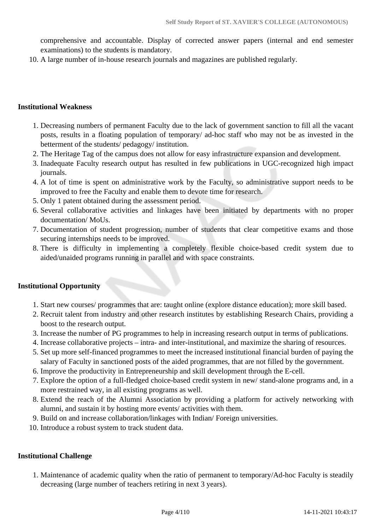comprehensive and accountable. Display of corrected answer papers (internal and end semester examinations) to the students is mandatory.

10. A large number of in-house research journals and magazines are published regularly.

#### **Institutional Weakness**

- 1. Decreasing numbers of permanent Faculty due to the lack of government sanction to fill all the vacant posts, results in a floating population of temporary/ ad-hoc staff who may not be as invested in the betterment of the students/ pedagogy/ institution.
- 2. The Heritage Tag of the campus does not allow for easy infrastructure expansion and development.
- 3. Inadequate Faculty research output has resulted in few publications in UGC-recognized high impact journals.
- 4. A lot of time is spent on administrative work by the Faculty, so administrative support needs to be improved to free the Faculty and enable them to devote time for research.
- 5. Only 1 patent obtained during the assessment period.
- 6. Several collaborative activities and linkages have been initiated by departments with no proper documentation/ MoUs.
- 7. Documentation of student progression, number of students that clear competitive exams and those securing internships needs to be improved.
- 8. There is difficulty in implementing a completely flexible choice-based credit system due to aided/unaided programs running in parallel and with space constraints.

#### **Institutional Opportunity**

- 1. Start new courses/ programmes that are: taught online (explore distance education); more skill based.
- 2. Recruit talent from industry and other research institutes by establishing Research Chairs, providing a boost to the research output.
- 3. Increase the number of PG programmes to help in increasing research output in terms of publications.
- 4. Increase collaborative projects intra- and inter-institutional, and maximize the sharing of resources.
- 5. Set up more self-financed programmes to meet the increased institutional financial burden of paying the salary of Faculty in sanctioned posts of the aided programmes, that are not filled by the government.
- 6. Improve the productivity in Entrepreneurship and skill development through the E-cell.
- 7. Explore the option of a full-fledged choice-based credit system in new/ stand-alone programs and, in a more restrained way, in all existing programs as well.
- 8. Extend the reach of the Alumni Association by providing a platform for actively networking with alumni, and sustain it by hosting more events/ activities with them.
- 9. Build on and increase collaboration/linkages with Indian/ Foreign universities.
- 10. Introduce a robust system to track student data.

#### **Institutional Challenge**

1. Maintenance of academic quality when the ratio of permanent to temporary/Ad-hoc Faculty is steadily decreasing (large number of teachers retiring in next 3 years).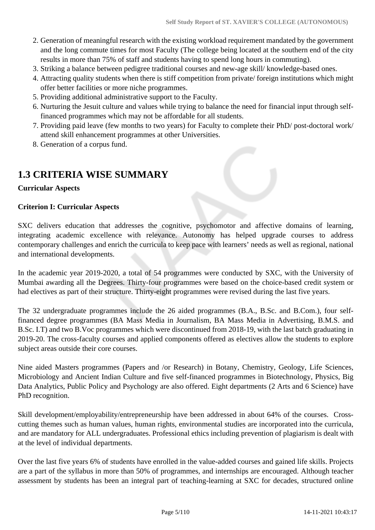- 2. Generation of meaningful research with the existing workload requirement mandated by the government and the long commute times for most Faculty (The college being located at the southern end of the city results in more than 75% of staff and students having to spend long hours in commuting).
- 3. Striking a balance between pedigree traditional courses and new-age skill/ knowledge-based ones.
- 4. Attracting quality students when there is stiff competition from private/ foreign institutions which might offer better facilities or more niche programmes.
- 5. Providing additional administrative support to the Faculty.
- 6. Nurturing the Jesuit culture and values while trying to balance the need for financial input through selffinanced programmes which may not be affordable for all students.
- 7. Providing paid leave (few months to two years) for Faculty to complete their PhD/ post-doctoral work/ attend skill enhancement programmes at other Universities.
- 8. Generation of a corpus fund.

# **1.3 CRITERIA WISE SUMMARY**

#### **Curricular Aspects**

#### **Criterion I: Curricular Aspects**

SXC delivers education that addresses the cognitive, psychomotor and affective domains of learning, integrating academic excellence with relevance. Autonomy has helped upgrade courses to address contemporary challenges and enrich the curricula to keep pace with learners' needs as well as regional, national and international developments.

In the academic year 2019-2020, a total of 54 programmes were conducted by SXC, with the University of Mumbai awarding all the Degrees. Thirty-four programmes were based on the choice-based credit system or had electives as part of their structure. Thirty-eight programmes were revised during the last five years.

The 32 undergraduate programmes include the 26 aided programmes (B.A., B.Sc. and B.Com.), four selffinanced degree programmes (BA Mass Media in Journalism, BA Mass Media in Advertising, B.M.S. and B.Sc. I.T) and two B.Voc programmes which were discontinued from 2018-19, with the last batch graduating in 2019-20. The cross-faculty courses and applied components offered as electives allow the students to explore subject areas outside their core courses.

Nine aided Masters programmes (Papers and /or Research) in Botany, Chemistry, Geology, Life Sciences, Microbiology and Ancient Indian Culture and five self-financed programmes in Biotechnology, Physics, Big Data Analytics, Public Policy and Psychology are also offered. Eight departments (2 Arts and 6 Science) have PhD recognition.

Skill development/employability/entrepreneurship have been addressed in about 64% of the courses. Crosscutting themes such as human values, human rights, environmental studies are incorporated into the curricula, and are mandatory for ALL undergraduates. Professional ethics including prevention of plagiarism is dealt with at the level of individual departments.

Over the last five years 6% of students have enrolled in the value-added courses and gained life skills. Projects are a part of the syllabus in more than 50% of programmes, and internships are encouraged. Although teacher assessment by students has been an integral part of teaching-learning at SXC for decades, structured online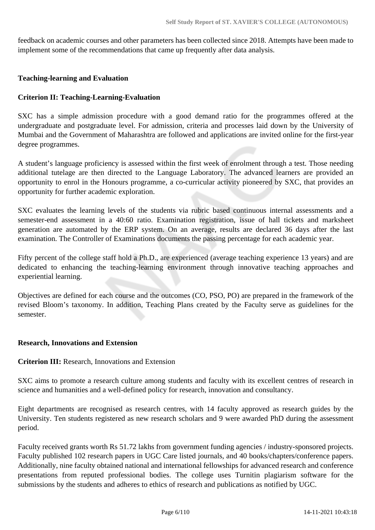feedback on academic courses and other parameters has been collected since 2018. Attempts have been made to implement some of the recommendations that came up frequently after data analysis.

#### **Teaching-learning and Evaluation**

#### **Criterion II: Teaching-Learning-Evaluation**

SXC has a simple admission procedure with a good demand ratio for the programmes offered at the undergraduate and postgraduate level. For admission, criteria and processes laid down by the University of Mumbai and the Government of Maharashtra are followed and applications are invited online for the first-year degree programmes.

A student's language proficiency is assessed within the first week of enrolment through a test. Those needing additional tutelage are then directed to the Language Laboratory. The advanced learners are provided an opportunity to enrol in the Honours programme, a co-curricular activity pioneered by SXC, that provides an opportunity for further academic exploration.

SXC evaluates the learning levels of the students via rubric based continuous internal assessments and a semester-end assessment in a 40:60 ratio. Examination registration, issue of hall tickets and marksheet generation are automated by the ERP system. On an average, results are declared 36 days after the last examination. The Controller of Examinations documents the passing percentage for each academic year.

Fifty percent of the college staff hold a Ph.D., are experienced (average teaching experience 13 years) and are dedicated to enhancing the teaching-learning environment through innovative teaching approaches and experiential learning.

Objectives are defined for each course and the outcomes (CO, PSO, PO) are prepared in the framework of the revised Bloom's taxonomy. In addition, Teaching Plans created by the Faculty serve as guidelines for the semester.

#### **Research, Innovations and Extension**

#### **Criterion III:** Research, Innovations and Extension

SXC aims to promote a research culture among students and faculty with its excellent centres of research in science and humanities and a well-defined policy for research, innovation and consultancy.

Eight departments are recognised as research centres, with 14 faculty approved as research guides by the University. Ten students registered as new research scholars and 9 were awarded PhD during the assessment period.

Faculty received grants worth Rs 51.72 lakhs from government funding agencies / industry-sponsored projects. Faculty published 102 research papers in UGC Care listed journals, and 40 books/chapters/conference papers. Additionally, nine faculty obtained national and international fellowships for advanced research and conference presentations from reputed professional bodies. The college uses Turnitin plagiarism software for the submissions by the students and adheres to ethics of research and publications as notified by UGC.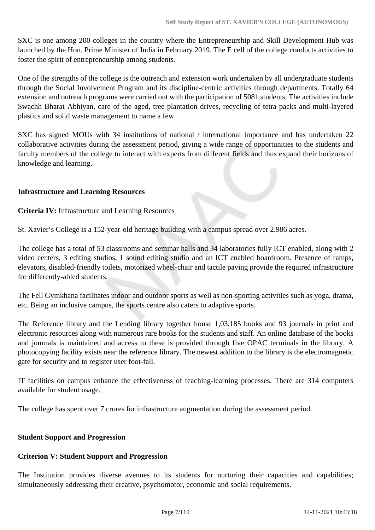SXC is one among 200 colleges in the country where the Entrepreneurship and Skill Development Hub was launched by the Hon. Prime Minister of India in February 2019. The E cell of the college conducts activities to foster the spirit of entrepreneurship among students.

One of the strengths of the college is the outreach and extension work undertaken by all undergraduate students through the Social Involvement Program and its discipline-centric activities through departments. Totally 64 extension and outreach programs were carried out with the participation of 5081 students. The activities include Swachh Bharat Abhiyan, care of the aged, tree plantation drives, recycling of tetra packs and multi-layered plastics and solid waste management to name a few.

SXC has signed MOUs with 34 institutions of national / international importance and has undertaken 22 collaborative activities during the assessment period, giving a wide range of opportunities to the students and faculty members of the college to interact with experts from different fields and thus expand their horizons of knowledge and learning.

#### **Infrastructure and Learning Resources**

**Criteria IV:** Infrastructure and Learning Resources

St. Xavier's College is a 152-year-old heritage building with a campus spread over 2.986 acres.

The college has a total of 53 classrooms and seminar halls and 34 laboratories fully ICT enabled, along with 2 video centers, 3 editing studios, 1 sound editing studio and an ICT enabled boardroom. Presence of ramps, elevators, disabled-friendly toilets, motorized wheel-chair and tactile paving provide the required infrastructure for differently-abled students.

The Fell Gymkhana facilitates indoor and outdoor sports as well as non-sporting activities such as yoga, drama, etc. Being an inclusive campus, the sports centre also caters to adaptive sports.

The Reference library and the Lending library together house 1,03,185 books and 93 journals in print and electronic resources along with numerous rare books for the students and staff. An online database of the books and journals is maintained and access to these is provided through five OPAC terminals in the library. A photocopying facility exists near the reference library. The newest addition to the library is the electromagnetic gate for security and to register user foot-fall.

IT facilities on campus enhance the effectiveness of teaching-learning processes. There are 314 computers available for student usage.

The college has spent over 7 crores for infrastructure augmentation during the assessment period.

#### **Student Support and Progression**

## **Criterion V: Student Support and Progression**

The Institution provides diverse avenues to its students for nurturing their capacities and capabilities; simultaneously addressing their creative, psychomotor, economic and social requirements.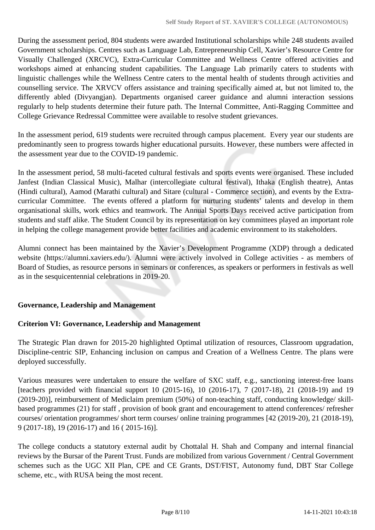During the assessment period, 804 students were awarded Institutional scholarships while 248 students availed Government scholarships. Centres such as Language Lab, Entrepreneurship Cell, Xavier's Resource Centre for Visually Challenged (XRCVC), Extra-Curricular Committee and Wellness Centre offered activities and workshops aimed at enhancing student capabilities. The Language Lab primarily caters to students with linguistic challenges while the Wellness Centre caters to the mental health of students through activities and counselling service. The XRVCV offers assistance and training specifically aimed at, but not limited to, the differently abled (Divyangjan). Departments organised career guidance and alumni interaction sessions regularly to help students determine their future path. The Internal Committee, Anti-Ragging Committee and College Grievance Redressal Committee were available to resolve student grievances.

In the assessment period, 619 students were recruited through campus placement. Every year our students are predominantly seen to progress towards higher educational pursuits. However, these numbers were affected in the assessment year due to the COVID-19 pandemic.

In the assessment period, 58 multi-faceted cultural festivals and sports events were organised. These included Janfest (Indian Classical Music), Malhar (intercollegiate cultural festival), Ithaka (English theatre), Antas (Hindi cultural), Aamod (Marathi cultural) and Sitare (cultural - Commerce section), and events by the Extracurricular Committee. The events offered a platform for nurturing students' talents and develop in them organisational skills, work ethics and teamwork. The Annual Sports Days received active participation from students and staff alike. The Student Council by its representation on key committees played an important role in helping the college management provide better facilities and academic environment to its stakeholders.

Alumni connect has been maintained by the Xavier's Development Programme (XDP) through a dedicated website (https://alumni.xaviers.edu/). Alumni were actively involved in College activities - as members of Board of Studies, as resource persons in seminars or conferences, as speakers or performers in festivals as well as in the sesquicentennial celebrations in 2019-20.

## **Governance, Leadership and Management**

#### **Criterion VI: Governance, Leadership and Management**

The Strategic Plan drawn for 2015-20 highlighted Optimal utilization of resources, Classroom upgradation, Discipline-centric SIP, Enhancing inclusion on campus and Creation of a Wellness Centre. The plans were deployed successfully.

Various measures were undertaken to ensure the welfare of SXC staff, e.g., sanctioning interest-free loans [teachers provided with financial support 10 (2015-16), 10 (2016-17), 7 (2017-18), 21 (2018-19) and 19 (2019-20)], reimbursement of Mediclaim premium (50%) of non-teaching staff, conducting knowledge/ skillbased programmes (21) for staff , provision of book grant and encouragement to attend conferences/ refresher courses/ orientation programmes/ short term courses/ online training programmes [42 (2019-20), 21 (2018-19), 9 (2017-18), 19 (2016-17) and 16 ( 2015-16)].

The college conducts a statutory external audit by Chottalal H. Shah and Company and internal financial reviews by the Bursar of the Parent Trust. Funds are mobilized from various Government / Central Government schemes such as the UGC XII Plan, CPE and CE Grants, DST/FIST, Autonomy fund, DBT Star College scheme, etc., with RUSA being the most recent.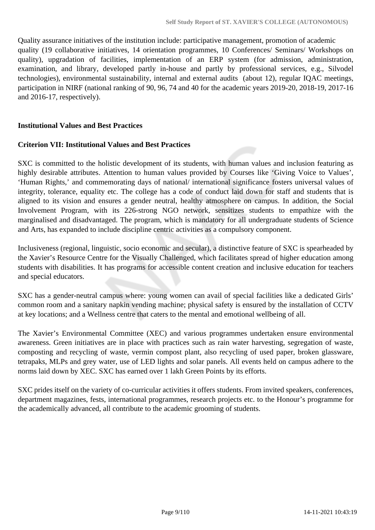Quality assurance initiatives of the institution include: participative management, promotion of academic quality (19 collaborative initiatives, 14 orientation programmes, 10 Conferences/ Seminars/ Workshops on quality), upgradation of facilities, implementation of an ERP system (for admission, administration, examination, and library, developed partly in-house and partly by professional services, e.g., Silvodel technologies), environmental sustainability, internal and external audits (about 12), regular IQAC meetings, participation in NIRF (national ranking of 90, 96, 74 and 40 for the academic years 2019-20, 2018-19, 2017-16 and 2016-17, respectively).

#### **Institutional Values and Best Practices**

#### **Criterion VII: Institutional Values and Best Practices**

SXC is committed to the holistic development of its students, with human values and inclusion featuring as highly desirable attributes. Attention to human values provided by Courses like 'Giving Voice to Values', 'Human Rights,' and commemorating days of national/ international significance fosters universal values of integrity, tolerance, equality etc. The college has a code of conduct laid down for staff and students that is aligned to its vision and ensures a gender neutral, healthy atmosphere on campus. In addition, the Social Involvement Program, with its 226-strong NGO network, sensitizes students to empathize with the marginalised and disadvantaged. The program, which is mandatory for all undergraduate students of Science and Arts, has expanded to include discipline centric activities as a compulsory component.

Inclusiveness (regional, linguistic, socio economic and secular), a distinctive feature of SXC is spearheaded by the Xavier's Resource Centre for the Visually Challenged, which facilitates spread of higher education among students with disabilities. It has programs for accessible content creation and inclusive education for teachers and special educators.

SXC has a gender-neutral campus where: young women can avail of special facilities like a dedicated Girls' common room and a sanitary napkin vending machine; physical safety is ensured by the installation of CCTV at key locations; and a Wellness centre that caters to the mental and emotional wellbeing of all.

The Xavier's Environmental Committee (XEC) and various programmes undertaken ensure environmental awareness. Green initiatives are in place with practices such as rain water harvesting, segregation of waste, composting and recycling of waste, vermin compost plant, also recycling of used paper, broken glassware, tetrapaks, MLPs and grey water, use of LED lights and solar panels. All events held on campus adhere to the norms laid down by XEC. SXC has earned over 1 lakh Green Points by its efforts.

SXC prides itself on the variety of co-curricular activities it offers students. From invited speakers, conferences, department magazines, fests, international programmes, research projects etc. to the Honour's programme for the academically advanced, all contribute to the academic grooming of students.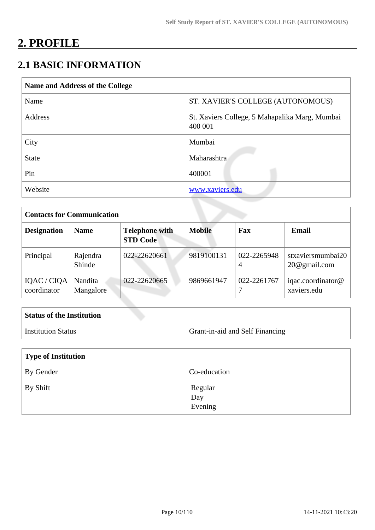# **2. PROFILE**

# **2.1 BASIC INFORMATION**

| Name and Address of the College |                                                           |  |  |
|---------------------------------|-----------------------------------------------------------|--|--|
| Name                            | ST. XAVIER'S COLLEGE (AUTONOMOUS)                         |  |  |
| Address                         | St. Xaviers College, 5 Mahapalika Marg, Mumbai<br>400 001 |  |  |
| City                            | Mumbai                                                    |  |  |
| <b>State</b>                    | Maharashtra                                               |  |  |
| Pin                             | 400001                                                    |  |  |
| Website                         | www.xaviers.edu                                           |  |  |

|                            | <b>Contacts for Communication</b> |                                          |               |                  |                                   |  |
|----------------------------|-----------------------------------|------------------------------------------|---------------|------------------|-----------------------------------|--|
| <b>Designation</b>         | <b>Name</b>                       | <b>Telephone with</b><br><b>STD Code</b> | <b>Mobile</b> | Fax              | <b>Email</b>                      |  |
| Principal                  | Rajendra<br>Shinde                | 022-22620661                             | 9819100131    | 022-2265948<br>4 | stxaviersmumbai20<br>20@gmail.com |  |
| IQAC / CIQA<br>coordinator | Nandita<br>Mangalore              | 022-22620665                             | 9869661947    | 022-2261767      | iqac.coordinator@<br>xaviers.edu  |  |

| <b>Status of the Institution</b> |                                        |
|----------------------------------|----------------------------------------|
| Institution Status               | <b>Grant-in-aid and Self Financing</b> |

| Type of Institution |                           |
|---------------------|---------------------------|
| By Gender           | Co-education              |
| By Shift            | Regular<br>Day<br>Evening |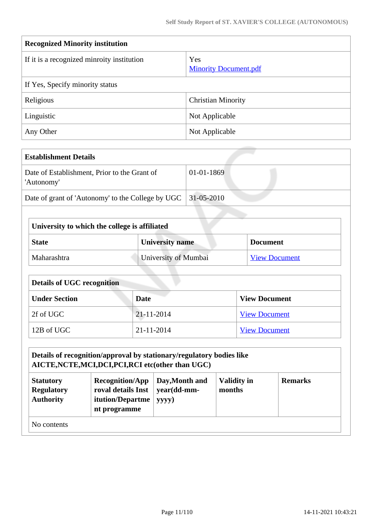| <b>Recognized Minority institution</b>     |                                     |  |  |  |
|--------------------------------------------|-------------------------------------|--|--|--|
| If it is a recognized minroity institution | Yes<br><b>Minority Document.pdf</b> |  |  |  |
| If Yes, Specify minority status            |                                     |  |  |  |
| Religious                                  | <b>Christian Minority</b>           |  |  |  |
| Linguistic                                 | Not Applicable                      |  |  |  |
| Any Other                                  | Not Applicable                      |  |  |  |

| <b>Establishment Details</b>                               |              |
|------------------------------------------------------------|--------------|
| Date of Establishment, Prior to the Grant of<br>'Autonomy' | $01-01-1869$ |
| Date of grant of 'Autonomy' to the College by UGC          | 31-05-2010   |

| University to which the college is affiliated             |                      |                      |  |
|-----------------------------------------------------------|----------------------|----------------------|--|
| <b>University name</b><br><b>State</b><br><b>Document</b> |                      |                      |  |
| Maharashtra                                               | University of Mumbai | <b>View Document</b> |  |

| <b>Details of UGC recognition</b> |                  |                      |  |
|-----------------------------------|------------------|----------------------|--|
| <b>Under Section</b>              | Date             | <b>View Document</b> |  |
| 2f of UGC                         | $21 - 11 - 2014$ | <b>View Document</b> |  |
| 12B of UGC                        | $21 - 11 - 2014$ | <b>View Document</b> |  |

#### **Details of recognition/approval by stationary/regulatory bodies like AICTE,NCTE,MCI,DCI,PCI,RCI etc(other than UGC) Statutory Recognition/App**  $\sqrt{\frac{V_{\alpha} U_{\alpha} U_{\alpha}}{V_{\alpha}}}$

| <b>Statutory</b>  | $Recognition/App$ Day, Month and |             | <b>Validity in</b> | <b>Remarks</b> |
|-------------------|----------------------------------|-------------|--------------------|----------------|
| <b>Regulatory</b> | roval details Inst               | year(dd-mm- | months             |                |
| <b>Authority</b>  | <b>itution/Departme</b>          | yyyy)       |                    |                |
|                   | nt programme                     |             |                    |                |
| No contents       |                                  |             |                    |                |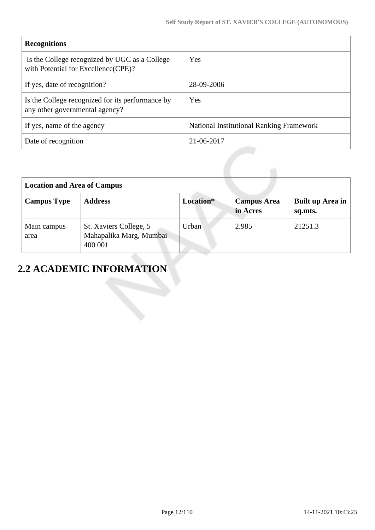| <b>Recognitions</b>                                                                   |                                                 |  |  |
|---------------------------------------------------------------------------------------|-------------------------------------------------|--|--|
| Is the College recognized by UGC as a College<br>with Potential for Excellence (CPE)? | Yes                                             |  |  |
| If yes, date of recognition?                                                          | 28-09-2006                                      |  |  |
| Is the College recognized for its performance by<br>any other governmental agency?    | Yes                                             |  |  |
| If yes, name of the agency                                                            | <b>National Institutional Ranking Framework</b> |  |  |
| Date of recognition                                                                   | 21-06-2017                                      |  |  |

| <b>Location and Area of Campus</b> |                                                              |           |                                |                             |
|------------------------------------|--------------------------------------------------------------|-----------|--------------------------------|-----------------------------|
| <b>Campus Type</b>                 | <b>Address</b>                                               | Location* | <b>Campus Area</b><br>in Acres | Built up Area in<br>sq.mts. |
| Main campus<br>area                | St. Xaviers College, 5<br>Mahapalika Marg, Mumbai<br>400 001 | Urban     | 2.985                          | 21251.3                     |

# **2.2 ACADEMIC INFORMATION**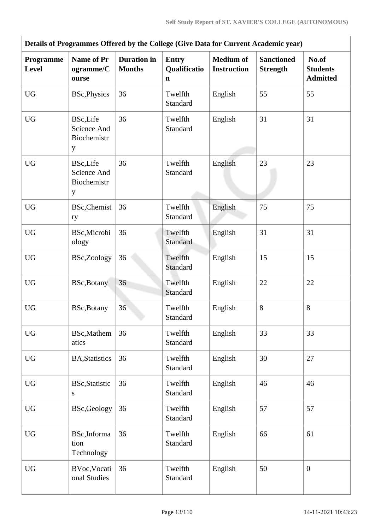| Details of Programmes Offered by the College (Give Data for Current Academic year) |                                                    |                                     |                                             |                                        |                                      |                                             |
|------------------------------------------------------------------------------------|----------------------------------------------------|-------------------------------------|---------------------------------------------|----------------------------------------|--------------------------------------|---------------------------------------------|
| Programme<br><b>Level</b>                                                          | <b>Name of Pr</b><br>ogramme/C<br>ourse            | <b>Duration</b> in<br><b>Months</b> | <b>Entry</b><br>Qualificatio<br>$\mathbf n$ | <b>Medium of</b><br><b>Instruction</b> | <b>Sanctioned</b><br><b>Strength</b> | No.of<br><b>Students</b><br><b>Admitted</b> |
| <b>UG</b>                                                                          | <b>BSc, Physics</b>                                | 36                                  | Twelfth<br>Standard                         | English                                | 55                                   | 55                                          |
| <b>UG</b>                                                                          | <b>BSc,Life</b><br>Science And<br>Biochemistr<br>y | 36                                  | Twelfth<br>Standard                         | English                                | 31                                   | 31                                          |
| <b>UG</b>                                                                          | <b>BSc,Life</b><br>Science And<br>Biochemistr<br>y | 36                                  | Twelfth<br>Standard                         | English                                | 23                                   | 23                                          |
| <b>UG</b>                                                                          | <b>BSc, Chemist</b><br>ry                          | 36                                  | Twelfth<br>Standard                         | English                                | 75                                   | 75                                          |
| <b>UG</b>                                                                          | BSc, Microbi<br>ology                              | 36                                  | Twelfth<br>Standard                         | English                                | 31                                   | 31                                          |
| <b>UG</b>                                                                          | BSc,Zoology                                        | 36                                  | Twelfth<br><b>Standard</b>                  | English                                | 15                                   | 15                                          |
| UG                                                                                 | <b>BSc, Botany</b>                                 | 36                                  | Twelfth<br>Standard                         | English                                | 22                                   | 22                                          |
| <b>UG</b>                                                                          | BSc, Botany                                        | 36                                  | Twelfth<br>Standard                         | English                                | 8                                    | 8                                           |
| <b>UG</b>                                                                          | <b>BSc,Mathem</b><br>atics                         | 36                                  | Twelfth<br>Standard                         | English                                | 33                                   | 33                                          |
| <b>UG</b>                                                                          | <b>BA, Statistics</b>                              | 36                                  | Twelfth<br>Standard                         | English                                | 30                                   | 27                                          |
| <b>UG</b>                                                                          | <b>BSc, Statistic</b><br>S                         | 36                                  | Twelfth<br>Standard                         | English                                | 46                                   | 46                                          |
| $\mathbf{U}\mathbf{G}$                                                             | <b>BSc,Geology</b>                                 | 36                                  | Twelfth<br>Standard                         | English                                | 57                                   | 57                                          |
| <b>UG</b>                                                                          | BSc, Informa<br>tion<br>Technology                 | 36                                  | Twelfth<br>Standard                         | English                                | 66                                   | 61                                          |
| <b>UG</b>                                                                          | BVoc, Vocati<br>onal Studies                       | 36                                  | Twelfth<br>Standard                         | English                                | 50                                   | $\boldsymbol{0}$                            |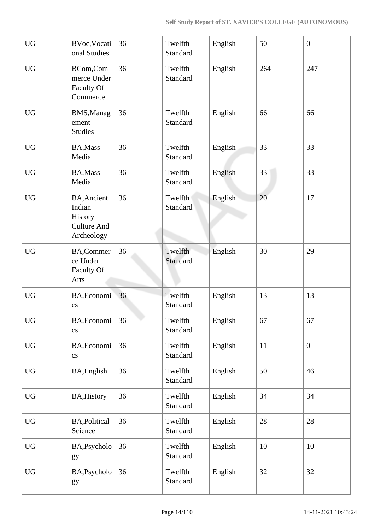| <b>UG</b>        | BVoc, Vocati<br>onal Studies                                                | 36 | Twelfth<br>Standard | English | 50  | $\overline{0}$ |
|------------------|-----------------------------------------------------------------------------|----|---------------------|---------|-----|----------------|
| <b>UG</b>        | BCom,Com<br>merce Under<br>Faculty Of<br>Commerce                           | 36 | Twelfth<br>Standard | English | 264 | 247            |
| <b>UG</b>        | <b>BMS, Manag</b><br>ement<br><b>Studies</b>                                | 36 | Twelfth<br>Standard | English | 66  | 66             |
| <b>UG</b>        | BA, Mass<br>Media                                                           | 36 | Twelfth<br>Standard | English | 33  | 33             |
| <b>UG</b>        | BA, Mass<br>Media                                                           | 36 | Twelfth<br>Standard | English | 33  | 33             |
| <b>UG</b>        | <b>BA, Ancient</b><br>Indian<br>History<br><b>Culture And</b><br>Archeology | 36 | Twelfth<br>Standard | English | 20  | 17             |
| <b>UG</b>        | <b>BA,Commer</b><br>ce Under<br>Faculty Of<br>Arts                          | 36 | Twelfth<br>Standard | English | 30  | 29             |
| <b>UG</b>        | BA, Economi<br>$\mathbf{c}\mathbf{s}$                                       | 36 | Twelfth<br>Standard | English | 13  | 13             |
| UG               | BA, Economi<br>$\mathbf{c}\mathbf{s}$                                       | 36 | Twelfth<br>Standard | English | 67  | 67             |
| <b>UG</b>        | BA, Economi<br>$\overline{\text{cs}}$                                       | 36 | Twelfth<br>Standard | English | 11  | $\mathbf{0}$   |
| ${\rm U}{\rm G}$ | BA, English                                                                 | 36 | Twelfth<br>Standard | English | 50  | 46             |
| <b>UG</b>        | <b>BA, History</b>                                                          | 36 | Twelfth<br>Standard | English | 34  | 34             |
| <b>UG</b>        | <b>BA, Political</b><br>Science                                             | 36 | Twelfth<br>Standard | English | 28  | 28             |
| <b>UG</b>        | BA, Psycholo<br>gy                                                          | 36 | Twelfth<br>Standard | English | 10  | 10             |
| <b>UG</b>        | BA, Psycholo<br>gy                                                          | 36 | Twelfth<br>Standard | English | 32  | 32             |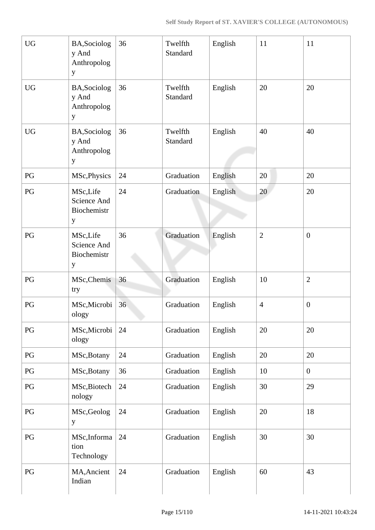| <b>UG</b>              | BA, Sociolog<br>y And<br>Anthropolog<br>y             | 36 | Twelfth<br>Standard | English | 11             | 11             |
|------------------------|-------------------------------------------------------|----|---------------------|---------|----------------|----------------|
| <b>UG</b>              | BA, Sociolog<br>y And<br>Anthropolog<br>$\mathbf y$   | 36 | Twelfth<br>Standard | English | 20             | 20             |
| <b>UG</b>              | BA, Sociolog<br>y And<br>Anthropolog<br>y             | 36 | Twelfth<br>Standard | English | 40             | 40             |
| PG                     | MSc, Physics                                          | 24 | Graduation          | English | 20             | 20             |
| PG                     | MSc,Life<br>Science And<br>Biochemistr<br>y           | 24 | Graduation          | English | 20             | 20             |
| PG                     | MSc,Life<br>Science And<br>Biochemistr<br>$\mathbf y$ | 36 | Graduation          | English | $\mathbf{2}$   | $\mathbf{0}$   |
| PG                     | MSc, Chemis<br>try                                    | 36 | Graduation          | English | 10             | $\overline{2}$ |
| PG                     | MSc, Microbi<br>ology                                 | 36 | Graduation          | English | $\overline{4}$ | $\mathbf{0}$   |
| PG                     | MSc, Microbi<br>ology                                 | 24 | Graduation          | English | 20             | 20             |
| $\mathbb{P}\mathbf{G}$ | MSc, Botany                                           | 24 | Graduation          | English | 20             | 20             |
| PG                     | MSc, Botany                                           | 36 | Graduation          | English | 10             | $\overline{0}$ |
| $\mathbf{P}\mathbf{G}$ | MSc, Biotech<br>nology                                | 24 | Graduation          | English | 30             | 29             |
| PG                     | MSc, Geolog<br>y                                      | 24 | Graduation          | English | 20             | 18             |
| $\mathbf{P}\mathbf{G}$ | MSc, Informa<br>tion<br>Technology                    | 24 | Graduation          | English | 30             | 30             |
| PG                     | MA, Ancient<br>Indian                                 | 24 | Graduation          | English | 60             | 43             |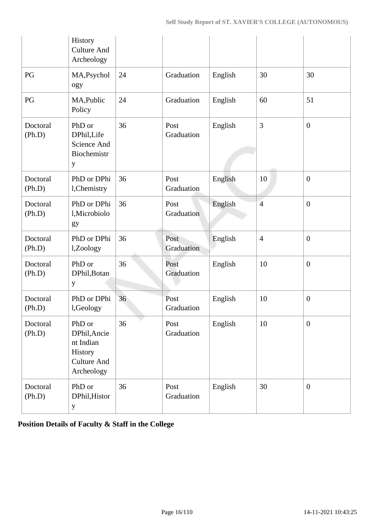|                    | History<br><b>Culture And</b><br>Archeology                                        |    |                    |         |                |                  |
|--------------------|------------------------------------------------------------------------------------|----|--------------------|---------|----------------|------------------|
| PG                 | MA, Psychol<br>ogy                                                                 | 24 | Graduation         | English | 30             | 30               |
| PG                 | MA, Public<br>Policy                                                               | 24 | Graduation         | English | 60             | 51               |
| Doctoral<br>(Ph.D) | PhD or<br>DPhil, Life<br>Science And<br>Biochemistr<br>y                           | 36 | Post<br>Graduation | English | 3              | $\boldsymbol{0}$ |
| Doctoral<br>(Ph.D) | PhD or DPhi<br>l, Chemistry                                                        | 36 | Post<br>Graduation | English | 10             | $\mathbf{0}$     |
| Doctoral<br>(Ph.D) | PhD or DPhi<br>l, Microbiolo<br>gy                                                 | 36 | Post<br>Graduation | English | $\overline{4}$ | $\overline{0}$   |
| Doctoral<br>(Ph.D) | PhD or DPhi<br>l,Zoology                                                           | 36 | Post<br>Graduation | English | $\overline{4}$ | $\overline{0}$   |
| Doctoral<br>(Ph.D) | PhD or<br>DPhil, Botan<br>y                                                        | 36 | Post<br>Graduation | English | 10             | $\overline{0}$   |
| Doctoral<br>(Ph.D) | PhD or DPhi<br>l,Geology                                                           | 36 | Post<br>Graduation | English | 10             | $\boldsymbol{0}$ |
| Doctoral<br>(Ph.D) | PhD or<br>DPhil, Ancie<br>nt Indian<br>History<br><b>Culture And</b><br>Archeology | 36 | Post<br>Graduation | English | 10             | $\boldsymbol{0}$ |
| Doctoral<br>(Ph.D) | PhD or<br>DPhil, Histor<br>$\mathbf{y}$                                            | 36 | Post<br>Graduation | English | 30             | $\mathbf{0}$     |

**Position Details of Faculty & Staff in the College**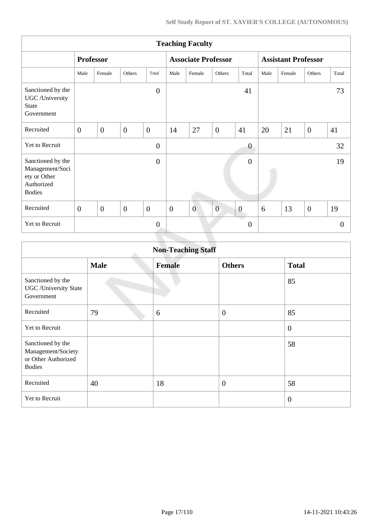|                                                                                     |                  |                  |                |                |                | <b>Teaching Faculty</b>    |                |                |                            |        |                |          |
|-------------------------------------------------------------------------------------|------------------|------------------|----------------|----------------|----------------|----------------------------|----------------|----------------|----------------------------|--------|----------------|----------|
|                                                                                     |                  | <b>Professor</b> |                |                |                | <b>Associate Professor</b> |                |                | <b>Assistant Professor</b> |        |                |          |
|                                                                                     | Male             | Female           | <b>Others</b>  | Total          | Male           | Female                     | Others         | Total          | Male                       | Female | Others         | Total    |
| Sanctioned by the<br>UGC /University<br><b>State</b><br>Government                  |                  |                  |                | $\overline{0}$ |                |                            |                | 41             |                            |        |                | 73       |
| Recruited                                                                           | $\overline{0}$   | $\mathbf{0}$     | $\overline{0}$ | $\overline{0}$ | 14             | 27                         | $\overline{0}$ | 41             | 20                         | 21     | $\overline{0}$ | 41       |
| Yet to Recruit                                                                      |                  |                  |                | $\overline{0}$ |                |                            |                | $\theta$       |                            |        |                | 32       |
| Sanctioned by the<br>Management/Soci<br>ety or Other<br>Authorized<br><b>Bodies</b> |                  |                  |                | $\overline{0}$ |                |                            |                | $\overline{0}$ |                            |        |                | 19       |
| Recruited                                                                           | $\boldsymbol{0}$ | $\overline{0}$   | $\overline{0}$ | $\overline{0}$ | $\overline{0}$ | $\overline{0}$             | $\overline{0}$ | $\overline{0}$ | 6                          | 13     | $\overline{0}$ | 19       |
| Yet to Recruit                                                                      |                  |                  |                | $\overline{0}$ |                |                            |                | $\overline{0}$ |                            |        |                | $\theta$ |

|                                                                                 |             | <b>Non-Teaching Staff</b> |                  |                |
|---------------------------------------------------------------------------------|-------------|---------------------------|------------------|----------------|
|                                                                                 | <b>Male</b> | <b>Female</b>             | <b>Others</b>    | <b>Total</b>   |
| Sanctioned by the<br><b>UGC</b> / University State<br>Government                |             |                           |                  | 85             |
| Recruited                                                                       | 79          | 6                         | $\boldsymbol{0}$ | 85             |
| <b>Yet to Recruit</b>                                                           |             |                           |                  | $\mathbf{0}$   |
| Sanctioned by the<br>Management/Society<br>or Other Authorized<br><b>Bodies</b> |             |                           |                  | 58             |
| Recruited                                                                       | 40          | 18                        | $\overline{0}$   | 58             |
| Yet to Recruit                                                                  |             |                           |                  | $\overline{0}$ |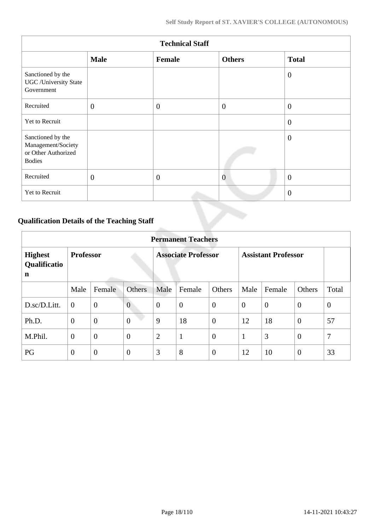|                                                                                 | <b>Technical Staff</b> |                |                |                |  |  |  |  |  |  |
|---------------------------------------------------------------------------------|------------------------|----------------|----------------|----------------|--|--|--|--|--|--|
|                                                                                 | <b>Male</b>            | Female         | <b>Others</b>  | <b>Total</b>   |  |  |  |  |  |  |
| Sanctioned by the<br><b>UGC</b> / University State<br>Government                |                        |                |                | $\overline{0}$ |  |  |  |  |  |  |
| Recruited                                                                       | $\mathbf{0}$           | $\overline{0}$ | $\overline{0}$ | $\overline{0}$ |  |  |  |  |  |  |
| Yet to Recruit                                                                  |                        |                |                | $\theta$       |  |  |  |  |  |  |
| Sanctioned by the<br>Management/Society<br>or Other Authorized<br><b>Bodies</b> |                        |                |                | $\overline{0}$ |  |  |  |  |  |  |
| Recruited                                                                       | $\mathbf{0}$           | $\overline{0}$ | $\overline{0}$ | $\overline{0}$ |  |  |  |  |  |  |
| Yet to Recruit                                                                  |                        |                |                | $\overline{0}$ |  |  |  |  |  |  |

# **Qualification Details of the Teaching Staff**

|                                     | <b>Permanent Teachers</b> |                |                |                            |                |                |                            |                |                |                |  |
|-------------------------------------|---------------------------|----------------|----------------|----------------------------|----------------|----------------|----------------------------|----------------|----------------|----------------|--|
| <b>Highest</b><br>Qualificatio<br>n | <b>Professor</b>          |                |                | <b>Associate Professor</b> |                |                | <b>Assistant Professor</b> |                |                |                |  |
|                                     | Male                      | Female         | <b>Others</b>  | Male                       | Female         | Others         | Male                       | Female         | <b>Others</b>  | Total          |  |
| D.sc/D.Litt.                        | $\overline{0}$            | $\overline{0}$ | $\overline{0}$ | $\overline{0}$             | $\overline{0}$ | $\overline{0}$ | $\theta$                   | $\overline{0}$ | $\overline{0}$ | $\overline{0}$ |  |
| Ph.D.                               | $\overline{0}$            | $\overline{0}$ | $\overline{0}$ | 9                          | 18             | $\overline{0}$ | 12                         | 18             | $\overline{0}$ | 57             |  |
| M.Phil.                             | $\boldsymbol{0}$          | $\overline{0}$ | $\overline{0}$ | $\overline{2}$             | $\mathbf{1}$   | $\overline{0}$ | 1                          | 3              | $\overline{0}$ | 7              |  |
| PG                                  | $\overline{0}$            | $\overline{0}$ | $\theta$       | 3                          | 8              | $\overline{0}$ | 12                         | 10             | $\overline{0}$ | 33             |  |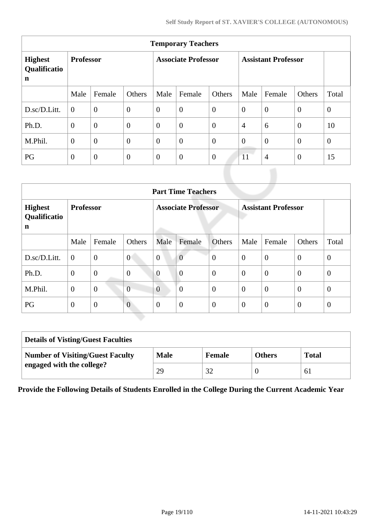|                                               | <b>Temporary Teachers</b> |                  |                  |                            |                |                |                            |                |                |                |  |
|-----------------------------------------------|---------------------------|------------------|------------------|----------------------------|----------------|----------------|----------------------------|----------------|----------------|----------------|--|
| <b>Highest</b><br>Qualificatio<br>$\mathbf n$ | <b>Professor</b>          |                  |                  | <b>Associate Professor</b> |                |                | <b>Assistant Professor</b> |                |                |                |  |
|                                               | Male                      | Female           | Others           | Male                       | Female         | Others         | Male                       | Female         | Others         | Total          |  |
| D.sc/D.Litt.                                  | $\theta$                  | $\overline{0}$   | $\boldsymbol{0}$ | $\overline{0}$             | $\overline{0}$ | $\overline{0}$ | $\overline{0}$             | $\overline{0}$ | $\overline{0}$ | $\mathbf{0}$   |  |
| Ph.D.                                         | $\theta$                  | $\boldsymbol{0}$ | $\boldsymbol{0}$ | $\overline{0}$             | $\overline{0}$ | $\overline{0}$ | $\overline{4}$             | 6              | $\overline{0}$ | 10             |  |
| M.Phil.                                       | $\overline{0}$            | $\overline{0}$   | $\overline{0}$   | $\overline{0}$             | $\overline{0}$ | $\overline{0}$ | $\overline{0}$             | $\overline{0}$ | $\overline{0}$ | $\overline{0}$ |  |
| PG                                            | $\overline{0}$            | $\theta$         | $\mathbf{0}$     | $\overline{0}$             | $\overline{0}$ | $\overline{0}$ | 11                         | $\overline{4}$ | $\overline{0}$ | 15             |  |

| <b>Part Time Teachers</b>           |                                                                              |                |                |                |                  |                |                |                  |                  |                |
|-------------------------------------|------------------------------------------------------------------------------|----------------|----------------|----------------|------------------|----------------|----------------|------------------|------------------|----------------|
| <b>Highest</b><br>Qualificatio<br>n | <b>Professor</b><br><b>Associate Professor</b><br><b>Assistant Professor</b> |                |                |                |                  |                |                |                  |                  |                |
|                                     | Male                                                                         | Female         | Others         | Male           | Female           | Others         | Male           | Female           | Others           | Total          |
| D.sc/D.Litt.                        | $\boldsymbol{0}$                                                             | $\mathbf{0}$   | $\overline{0}$ | $\overline{0}$ | $\overline{0}$   | $\theta$       | $\overline{0}$ | $\boldsymbol{0}$ | $\overline{0}$   | $\overline{0}$ |
| Ph.D.                               | $\mathbf{0}$                                                                 | $\mathbf{0}$   | $\overline{0}$ | $\overline{0}$ | $\overline{0}$   | $\overline{0}$ | $\overline{0}$ | $\overline{0}$   | $\overline{0}$   | $\theta$       |
| M.Phil.                             | $\mathbf{0}$                                                                 | $\overline{0}$ | $\overline{0}$ | $\overline{0}$ | $\overline{0}$   | $\overline{0}$ | $\theta$       | $\overline{0}$   | $\overline{0}$   | $\overline{0}$ |
| PG                                  | $\mathbf{0}$                                                                 | $\mathbf{0}$   | $\overline{0}$ | $\overline{0}$ | $\boldsymbol{0}$ | $\mathbf{0}$   | $\overline{0}$ | $\theta$         | $\boldsymbol{0}$ | $\theta$       |

| <b>Details of Visting/Guest Faculties</b> |             |        |               |              |
|-------------------------------------------|-------------|--------|---------------|--------------|
| <b>Number of Visiting/Guest Faculty</b>   | <b>Male</b> | Female | <b>Others</b> | <b>Total</b> |
| engaged with the college?                 | 29          |        |               | 61           |

**Provide the Following Details of Students Enrolled in the College During the Current Academic Year**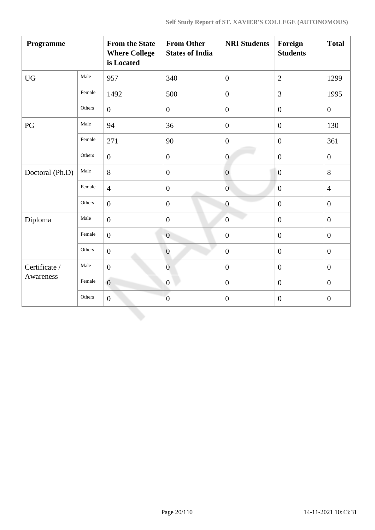| Programme        |        | <b>From the State</b><br><b>Where College</b><br>is Located | <b>From Other</b><br><b>States of India</b> | <b>NRI Students</b> | Foreign<br><b>Students</b> | <b>Total</b>     |
|------------------|--------|-------------------------------------------------------------|---------------------------------------------|---------------------|----------------------------|------------------|
| ${\rm U}{\rm G}$ | Male   | 957                                                         | 340                                         | $\boldsymbol{0}$    | $\overline{2}$             | 1299             |
|                  | Female | 1492                                                        | 500                                         | $\overline{0}$      | 3                          | 1995             |
|                  | Others | $\overline{0}$                                              | $\boldsymbol{0}$                            | $\boldsymbol{0}$    | $\overline{0}$             | $\boldsymbol{0}$ |
| PG               | Male   | 94                                                          | 36                                          | $\overline{0}$      | $\overline{0}$             | 130              |
|                  | Female | 271                                                         | 90                                          | $\overline{0}$      | $\overline{0}$             | 361              |
|                  | Others | $\overline{0}$                                              | $\boldsymbol{0}$                            | $\boldsymbol{0}$    | $\boldsymbol{0}$           | $\boldsymbol{0}$ |
| Doctoral (Ph.D)  | Male   | 8                                                           | $\boldsymbol{0}$                            | $\overline{0}$      | $\boldsymbol{0}$           | 8                |
|                  | Female | $\overline{4}$                                              | $\boldsymbol{0}$                            | $\overline{0}$      | $\boldsymbol{0}$           | $\overline{4}$   |
|                  | Others | $\overline{0}$                                              | $\boldsymbol{0}$                            | $\overline{0}$      | $\overline{0}$             | $\mathbf{0}$     |
| Diploma          | Male   | $\overline{0}$                                              | $\mathbf{0}$                                | $\overline{0}$      | $\overline{0}$             | $\mathbf{0}$     |
|                  | Female | $\overline{0}$                                              | $\overline{0}$                              | $\overline{0}$      | $\boldsymbol{0}$           | $\boldsymbol{0}$ |
|                  | Others | $\overline{0}$                                              | $\boldsymbol{0}$                            | $\overline{0}$      | $\overline{0}$             | $\boldsymbol{0}$ |
| Certificate /    | Male   | $\boldsymbol{0}$                                            | $\boldsymbol{0}$                            | $\boldsymbol{0}$    | $\boldsymbol{0}$           | $\boldsymbol{0}$ |
| Awareness        | Female | $\overline{0}$                                              | $\boldsymbol{0}$                            | $\overline{0}$      | $\overline{0}$             | $\mathbf{0}$     |
|                  | Others | $\overline{0}$                                              | $\overline{0}$                              | $\overline{0}$      | $\overline{0}$             | $\overline{0}$   |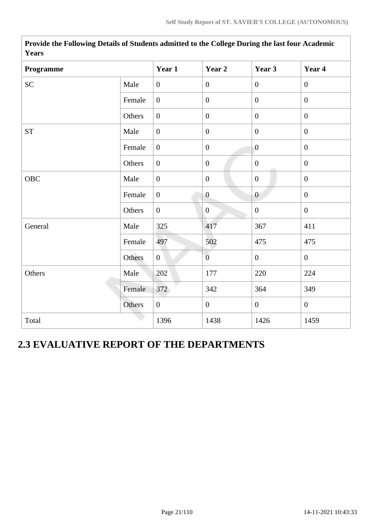| <b>Years</b>            |        |                  |                  |                  |                  |
|-------------------------|--------|------------------|------------------|------------------|------------------|
| Programme               | Year 1 | Year 2           | Year 3           | Year 4           |                  |
| SC <sub>1</sub>         | Male   | $\overline{0}$   | $\mathbf{0}$     | $\mathbf{0}$     | $\mathbf{0}$     |
|                         | Female | $\boldsymbol{0}$ | $\boldsymbol{0}$ | $\overline{0}$   | $\overline{0}$   |
|                         | Others | $\boldsymbol{0}$ | $\boldsymbol{0}$ | $\overline{0}$   | $\boldsymbol{0}$ |
| <b>ST</b>               | Male   | $\overline{0}$   | $\boldsymbol{0}$ | $\overline{0}$   | $\overline{0}$   |
|                         | Female | $\overline{0}$   | $\boldsymbol{0}$ | $\overline{0}$   | $\overline{0}$   |
|                         | Others | $\overline{0}$   | $\boldsymbol{0}$ | $\overline{0}$   | $\mathbf{0}$     |
| ${\bf O}{\bf B}{\bf C}$ | Male   | $\overline{0}$   | $\mathbf{0}$     | $\overline{0}$   | $\mathbf{0}$     |
|                         | Female | $\boldsymbol{0}$ | $\boldsymbol{0}$ | $\boldsymbol{0}$ | $\boldsymbol{0}$ |
|                         | Others | $\boldsymbol{0}$ | $\mathbf{0}$     | $\overline{0}$   | $\mathbf{0}$     |
| General                 | Male   | 325              | 417              | 367              | 411              |
|                         | Female | 497              | 502              | 475              | 475              |
|                         | Others | $\overline{0}$   | $\overline{0}$   | $\overline{0}$   | $\mathbf{0}$     |
| Others                  | Male   | 202              | 177              | 220              | 224              |
|                         | Female | 372              | 342              | 364              | 349              |
|                         | Others | $\overline{0}$   | $\boldsymbol{0}$ | $\overline{0}$   | $\boldsymbol{0}$ |
| Total                   |        | 1396             | 1438             | 1426             | 1459             |

**Provide the Following Details of Students admitted to the College During the last four Academic Years**

# **2.3 EVALUATIVE REPORT OF THE DEPARTMENTS**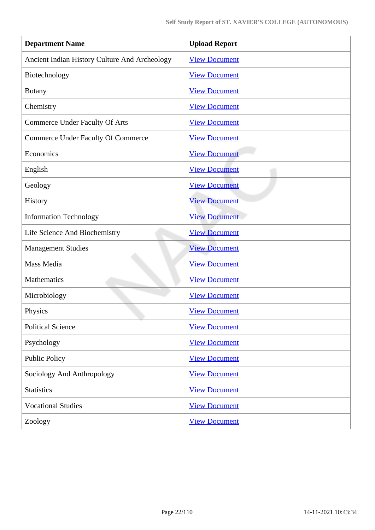| <b>Department Name</b>                        | <b>Upload Report</b> |
|-----------------------------------------------|----------------------|
| Ancient Indian History Culture And Archeology | <b>View Document</b> |
| Biotechnology                                 | <b>View Document</b> |
| <b>Botany</b>                                 | <b>View Document</b> |
| Chemistry                                     | <b>View Document</b> |
| <b>Commerce Under Faculty Of Arts</b>         | <b>View Document</b> |
| <b>Commerce Under Faculty Of Commerce</b>     | <b>View Document</b> |
| Economics                                     | <b>View Document</b> |
| English                                       | <b>View Document</b> |
| Geology                                       | <b>View Document</b> |
| History                                       | <b>View Document</b> |
| <b>Information Technology</b>                 | <b>View Document</b> |
| Life Science And Biochemistry                 | <b>View Document</b> |
| <b>Management Studies</b>                     | <b>View Document</b> |
| Mass Media                                    | <b>View Document</b> |
| Mathematics                                   | <b>View Document</b> |
| Microbiology                                  | <b>View Document</b> |
| Physics                                       | <b>View Document</b> |
| <b>Political Science</b>                      | <b>View Document</b> |
| Psychology                                    | <b>View Document</b> |
| <b>Public Policy</b>                          | <b>View Document</b> |
| Sociology And Anthropology                    | <b>View Document</b> |
| <b>Statistics</b>                             | <b>View Document</b> |
| <b>Vocational Studies</b>                     | <b>View Document</b> |
| Zoology                                       | <b>View Document</b> |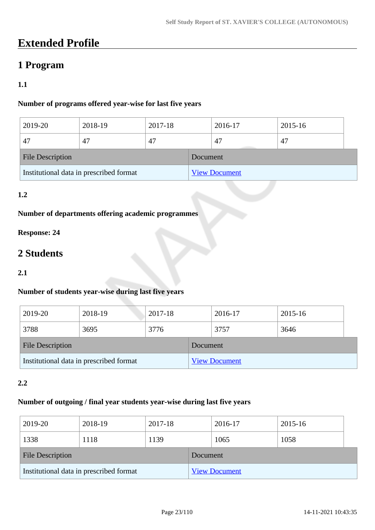# **Extended Profile**

# **1 Program**

## **1.1**

## **Number of programs offered year-wise for last five years**

| 2019-20                                 | 2018-19 | 2017-18 |                      | 2016-17 | 2015-16 |  |
|-----------------------------------------|---------|---------|----------------------|---------|---------|--|
| 47                                      | 47      | 47      |                      | 47      | 47      |  |
| <b>File Description</b>                 |         |         | Document             |         |         |  |
| Institutional data in prescribed format |         |         | <b>View Document</b> |         |         |  |

## **1.2**

## **Number of departments offering academic programmes**

## **Response: 24**

# **2 Students**

#### **2.1**

## **Number of students year-wise during last five years**

| 2019-20                                 | 2018-19 | 2017-18         |                      | 2016-17 | 2015-16 |  |
|-----------------------------------------|---------|-----------------|----------------------|---------|---------|--|
| 3788                                    | 3695    | 3776            |                      | 3757    | 3646    |  |
| <b>File Description</b>                 |         | <b>Document</b> |                      |         |         |  |
| Institutional data in prescribed format |         |                 | <b>View Document</b> |         |         |  |

#### **2.2**

#### **Number of outgoing / final year students year-wise during last five years**

| 2019-20                                 | 2018-19 | 2017-18 |          | 2016-17              | 2015-16 |  |
|-----------------------------------------|---------|---------|----------|----------------------|---------|--|
| 1338                                    | 1118    | 1139    |          | 1065                 | 1058    |  |
| <b>File Description</b>                 |         |         | Document |                      |         |  |
| Institutional data in prescribed format |         |         |          | <b>View Document</b> |         |  |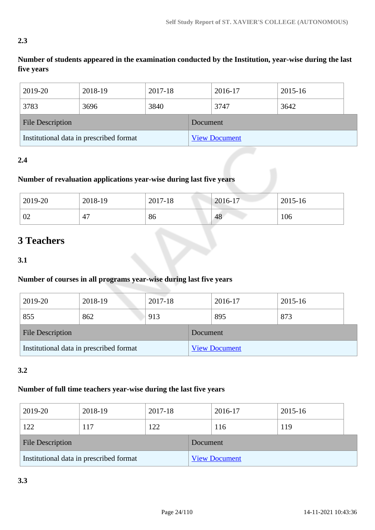## **2.3**

**Number of students appeared in the examination conducted by the Institution, year-wise during the last five years**

| 2019-20                                 | 2018-19 | 2017-18  |  | 2016-17              | 2015-16 |
|-----------------------------------------|---------|----------|--|----------------------|---------|
| 3783                                    | 3696    | 3840     |  | 3747                 | 3642    |
| <b>File Description</b>                 |         | Document |  |                      |         |
| Institutional data in prescribed format |         |          |  | <b>View Document</b> |         |

## **2.4**

## **Number of revaluation applications year-wise during last five years**

| 2019-20 | 2018-19 | 2017-18 | $2016-17$ | 2015-16 |
|---------|---------|---------|-----------|---------|
| 02      | 47      | 86      | 48        | 106     |

# **3 Teachers**

**3.1**

## **Number of courses in all programs year-wise during last five years**

| 2019-20                                 | 2018-19 | 2017-18  |  | 2016-17              | 2015-16 |  |
|-----------------------------------------|---------|----------|--|----------------------|---------|--|
| 855                                     | 862     | 913      |  | 895                  | 873     |  |
| <b>File Description</b>                 |         | Document |  |                      |         |  |
| Institutional data in prescribed format |         |          |  | <b>View Document</b> |         |  |

## **3.2**

## **Number of full time teachers year-wise during the last five years**

| 2019-20                                 | 2018-19 | 2017-18 |                      | 2016-17 | 2015-16 |  |
|-----------------------------------------|---------|---------|----------------------|---------|---------|--|
| 122                                     | 117     | 122     |                      | 116     | 119     |  |
| <b>File Description</b>                 |         |         | Document             |         |         |  |
| Institutional data in prescribed format |         |         | <b>View Document</b> |         |         |  |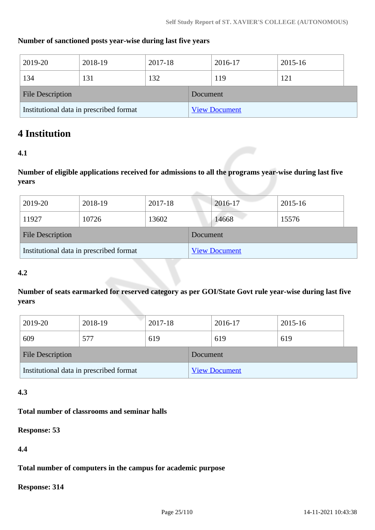#### **Number of sanctioned posts year-wise during last five years**

| 2019-20                                 | 2018-19 | 2017-18 |          | 2016-17              | 2015-16 |  |
|-----------------------------------------|---------|---------|----------|----------------------|---------|--|
| 134                                     | 131     | 132     |          | 119                  | 121     |  |
| <b>File Description</b>                 |         |         | Document |                      |         |  |
| Institutional data in prescribed format |         |         |          | <b>View Document</b> |         |  |

## **4 Institution**

#### **4.1**

**Number of eligible applications received for admissions to all the programs year-wise during last five years**

| 2019-20                                 | 2018-19 | 2017-18 |                      | 2016-17 | 2015-16 |  |
|-----------------------------------------|---------|---------|----------------------|---------|---------|--|
| 11927                                   | 10726   | 13602   |                      | 14668   | 15576   |  |
| <b>File Description</b>                 |         |         | Document             |         |         |  |
| Institutional data in prescribed format |         |         | <b>View Document</b> |         |         |  |

#### **4.2**

**Number of seats earmarked for reserved category as per GOI/State Govt rule year-wise during last five years**

| 2019-20                                 | 2018-19 | 2017-18 |                      | 2016-17 | 2015-16 |  |
|-----------------------------------------|---------|---------|----------------------|---------|---------|--|
| 609                                     | 577     | 619     |                      | 619     | 619     |  |
| <b>File Description</b>                 |         |         | Document             |         |         |  |
| Institutional data in prescribed format |         |         | <b>View Document</b> |         |         |  |

## **4.3**

#### **Total number of classrooms and seminar halls**

**Response: 53**

**4.4**

#### **Total number of computers in the campus for academic purpose**

**Response: 314**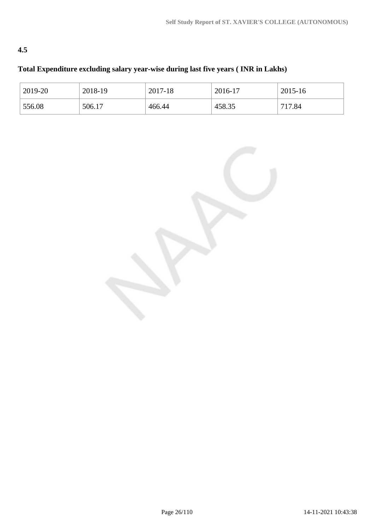## **4.5**

## **Total Expenditure excluding salary year-wise during last five years ( INR in Lakhs)**

| 2019-20 | 2018-19 | 2017-18 | 2016-17 | 2015-16 |
|---------|---------|---------|---------|---------|
| 556.08  | 506.17  | 466.44  | 458.35  | 717.84  |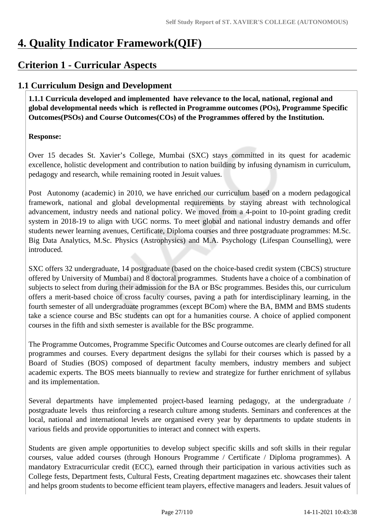# **4. Quality Indicator Framework(QIF)**

## **Criterion 1 - Curricular Aspects**

## **1.1 Curriculum Design and Development**

 **1.1.1 Curricula developed and implemented have relevance to the local, national, regional and global developmental needs which is reflected in Programme outcomes (POs), Programme Specific Outcomes(PSOs) and Course Outcomes(COs) of the Programmes offered by the Institution.**

## **Response:**

Over 15 decades St. Xavier's College, Mumbai (SXC) stays committed in its quest for academic excellence, holistic development and contribution to nation building by infusing dynamism in curriculum, pedagogy and research, while remaining rooted in Jesuit values.

Post Autonomy (academic) in 2010, we have enriched our curriculum based on a modern pedagogical framework, national and global developmental requirements by staying abreast with technological advancement, industry needs and national policy. We moved from a 4-point to 10-point grading credit system in 2018-19 to align with UGC norms. To meet global and national industry demands and offer students newer learning avenues, Certificate, Diploma courses and three postgraduate programmes: M.Sc. Big Data Analytics, M.Sc. Physics (Astrophysics) and M.A. Psychology (Lifespan Counselling), were introduced.

SXC offers 32 undergraduate, 14 postgraduate (based on the choice-based credit system (CBCS) structure offered by University of Mumbai) and 8 doctoral programmes. Students have a choice of a combination of subjects to select from during their admission for the BA or BSc programmes. Besides this, our curriculum offers a merit-based choice of cross faculty courses, paving a path for interdisciplinary learning, in the fourth semester of all undergraduate programmes (except BCom) where the BA, BMM and BMS students take a science course and BSc students can opt for a humanities course. A choice of applied component courses in the fifth and sixth semester is available for the BSc programme.

The Programme Outcomes, Programme Specific Outcomes and Course outcomes are clearly defined for all programmes and courses. Every department designs the syllabi for their courses which is passed by a Board of Studies (BOS) composed of department faculty members, industry members and subject academic experts. The BOS meets biannually to review and strategize for further enrichment of syllabus and its implementation.

Several departments have implemented project-based learning pedagogy, at the undergraduate / postgraduate levels thus reinforcing a research culture among students. Seminars and conferences at the local, national and international levels are organised every year by departments to update students in various fields and provide opportunities to interact and connect with experts.

Students are given ample opportunities to develop subject specific skills and soft skills in their regular courses, value added courses (through Honours Programme / Certificate / Diploma programmes). A mandatory Extracurricular credit (ECC), earned through their participation in various activities such as College fests, Department fests, Cultural Fests, Creating department magazines etc. showcases their talent and helps groom students to become efficient team players, effective managers and leaders. Jesuit values of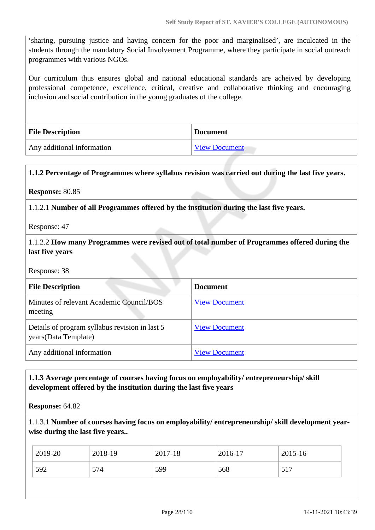'sharing, pursuing justice and having concern for the poor and marginalised', are inculcated in the students through the mandatory Social Involvement Programme, where they participate in social outreach programmes with various NGOs.

Our curriculum thus ensures global and national educational standards are acheived by developing professional competence, excellence, critical, creative and collaborative thinking and encouraging inclusion and social contribution in the young graduates of the college.

| <b>File Description</b>    | Document             |
|----------------------------|----------------------|
| Any additional information | <b>View Document</b> |

#### **1.1.2 Percentage of Programmes where syllabus revision was carried out during the last five years.**

**Response:** 80.85

1.1.2.1 **Number of all Programmes offered by the institution during the last five years.**

Response: 47

1.1.2.2 **How many Programmes were revised out of total number of Programmes offered during the last five years**

Response: 38

| <b>File Description</b>                                                 | <b>Document</b>      |
|-------------------------------------------------------------------------|----------------------|
| Minutes of relevant Academic Council/BOS<br>meeting                     | <b>View Document</b> |
| Details of program syllabus revision in last 5<br>years (Data Template) | <b>View Document</b> |
| Any additional information                                              | <b>View Document</b> |

#### **1.1.3 Average percentage of courses having focus on employability/ entrepreneurship/ skill development offered by the institution during the last five years**

**Response:** 64.82

1.1.3.1 **Number of courses having focus on employability/ entrepreneurship/ skill development yearwise during the last five years..**

| 2019-20 | 2018-19 | 2017-18 | 2016-17 | 2015-16 |
|---------|---------|---------|---------|---------|
| 592     | 574     | 599     | 568     | 517     |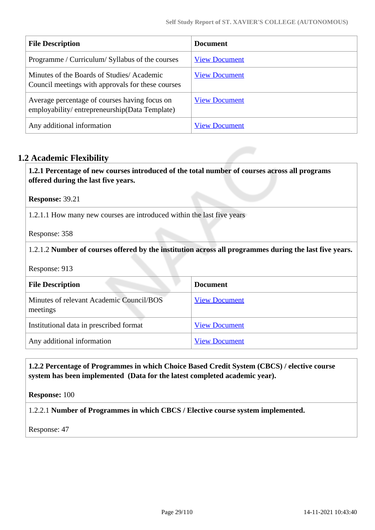| <b>File Description</b>                                                                        | <b>Document</b>      |
|------------------------------------------------------------------------------------------------|----------------------|
| Programme / Curriculum/ Syllabus of the courses                                                | <b>View Document</b> |
| Minutes of the Boards of Studies/Academic<br>Council meetings with approvals for these courses | <b>View Document</b> |
| Average percentage of courses having focus on<br>employability/entrepreneurship(Data Template) | <b>View Document</b> |
| Any additional information                                                                     | <b>View Document</b> |

## **1.2 Academic Flexibility**

 **1.2.1 Percentage of new courses introduced of the total number of courses across all programs offered during the last five years.**

**Response:** 39.21

1.2.1.1 How many new courses are introduced within the last five years

Response: 358

1.2.1.2 **Number of courses offered by the institution across all programmes during the last five years.**

Response: 913

| <b>File Description</b>                              | <b>Document</b>      |
|------------------------------------------------------|----------------------|
| Minutes of relevant Academic Council/BOS<br>meetings | <b>View Document</b> |
| Institutional data in prescribed format              | <b>View Document</b> |
| Any additional information                           | <b>View Document</b> |

 **1.2.2 Percentage of Programmes in which Choice Based Credit System (CBCS) / elective course system has been implemented (Data for the latest completed academic year).**

**Response:** 100

1.2.2.1 **Number of Programmes in which CBCS / Elective course system implemented.**

Response: 47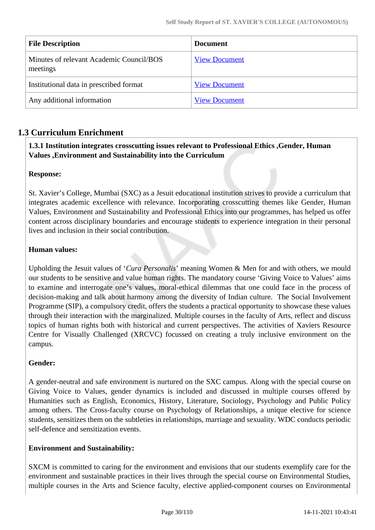| <b>File Description</b>                              | <b>Document</b>      |
|------------------------------------------------------|----------------------|
| Minutes of relevant Academic Council/BOS<br>meetings | <b>View Document</b> |
| Institutional data in prescribed format              | <b>View Document</b> |
| Any additional information                           | <b>View Document</b> |

## **1.3 Curriculum Enrichment**

## **1.3.1 Institution integrates crosscutting issues relevant to Professional Ethics ,Gender, Human Values ,Environment and Sustainability into the Curriculum**

## **Response:**

St. Xavier's College, Mumbai (SXC) as a Jesuit educational institution strives to provide a curriculum that integrates academic excellence with relevance. Incorporating crosscutting themes like Gender, Human Values, Environment and Sustainability and Professional Ethics into our programmes, has helped us offer content across disciplinary boundaries and encourage students to experience integration in their personal lives and inclusion in their social contribution.

#### **Human values:**

Upholding the Jesuit values of '*Cura Personalis*' meaning Women & Men for and with others, we mould our students to be sensitive and value human rights. The mandatory course 'Giving Voice to Values' aims to examine and interrogate one's values, moral-ethical dilemmas that one could face in the process of decision-making and talk about harmony among the diversity of Indian culture. The Social Involvement Programme (SIP), a compulsory credit, offers the students a practical opportunity to showcase these values through their interaction with the marginalized. Multiple courses in the faculty of Arts, reflect and discuss topics of human rights both with historical and current perspectives. The activities of Xaviers Resource Centre for Visually Challenged (XRCVC) focussed on creating a truly inclusive environment on the campus.

## **Gender:**

A gender-neutral and safe environment is nurtured on the SXC campus. Along with the special course on Giving Voice to Values, gender dynamics is included and discussed in multiple courses offered by Humanities such as English, Economics, History, Literature, Sociology, Psychology and Public Policy among others. The Cross-faculty course on Psychology of Relationships, a unique elective for science students, sensitizes them on the subtleties in relationships, marriage and sexuality. WDC conducts periodic self-defence and sensitization events.

## **Environment and Sustainability:**

SXCM is committed to caring for the environment and envisions that our students exemplify care for the environment and sustainable practices in their lives through the special course on Environmental Studies, multiple courses in the Arts and Science faculty, elective applied-component courses on Environmental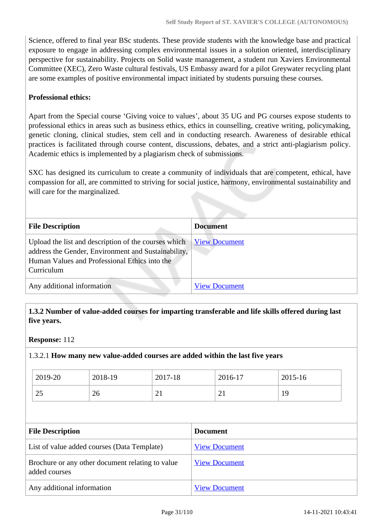Science, offered to final year BSc students. These provide students with the knowledge base and practical exposure to engage in addressing complex environmental issues in a solution oriented, interdisciplinary perspective for sustainability. Projects on Solid waste management, a student run Xaviers Environmental Committee (XEC), Zero Waste cultural festivals, US Embassy award for a pilot Greywater recycling plant are some examples of positive environmental impact initiated by students pursuing these courses.

#### **Professional ethics:**

Apart from the Special course 'Giving voice to values', about 35 UG and PG courses expose students to professional ethics in areas such as business ethics, ethics in counselling, creative writing, policymaking, genetic cloning, clinical studies, stem cell and in conducting research. Awareness of desirable ethical practices is facilitated through course content, discussions, debates, and a strict anti-plagiarism policy. Academic ethics is implemented by a plagiarism check of submissions.

SXC has designed its curriculum to create a community of individuals that are competent, ethical, have compassion for all, are committed to striving for social justice, harmony, environmental sustainability and will care for the marginalized.

| <b>File Description</b>                                                                                                                                                    | <b>Document</b>      |
|----------------------------------------------------------------------------------------------------------------------------------------------------------------------------|----------------------|
| Upload the list and description of the courses which<br>address the Gender, Environment and Sustainability,<br>Human Values and Professional Ethics into the<br>Curriculum | <b>View Document</b> |
| Any additional information                                                                                                                                                 | <b>View Document</b> |

 **1.3.2 Number of value-added courses for imparting transferable and life skills offered during last five years.**

#### **Response:** 112

1.3.2.1 **How many new value-added courses are added within the last five years**

| 2019-20 | 2018-19 | 2017-18  | 2016-17 | 2015-16 |
|---------|---------|----------|---------|---------|
| ر 2     | 26      | $\sim$ 1 | ◢       | 19      |

| <b>File Description</b>                                           | <b>Document</b>      |
|-------------------------------------------------------------------|----------------------|
| List of value added courses (Data Template)                       | <b>View Document</b> |
| Brochure or any other document relating to value<br>added courses | <b>View Document</b> |
| Any additional information                                        | <b>View Document</b> |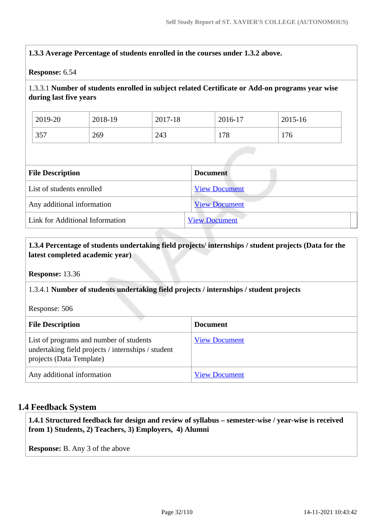## **1.3.3 Average Percentage of students enrolled in the courses under 1.3.2 above.**

#### **Response:** 6.54

## 1.3.3.1 **Number of students enrolled in subject related Certificate or Add-on programs year wise during last five years**

| 2019-20 | 2018-19 | 2017-18 | 2016-17 | 2015-16 |
|---------|---------|---------|---------|---------|
| 357     | 269     | 243     | 178     | 176     |

| <b>File Description</b>         | <b>Document</b>      |
|---------------------------------|----------------------|
| List of students enrolled       | <b>View Document</b> |
| Any additional information      | <b>View Document</b> |
| Link for Additional Information | <b>View Document</b> |

#### **1.3.4 Percentage of students undertaking field projects/ internships / student projects (Data for the latest completed academic year)**

**Response:** 13.36

#### 1.3.4.1 **Number of students undertaking field projects / internships / student projects**

Response: 506

| <b>File Description</b>                                                                                                   | <b>Document</b>      |
|---------------------------------------------------------------------------------------------------------------------------|----------------------|
| List of programs and number of students<br>undertaking field projects / internships / student<br>projects (Data Template) | <b>View Document</b> |
| Any additional information                                                                                                | <b>View Document</b> |

#### **1.4 Feedback System**

 **1.4.1 Structured feedback for design and review of syllabus – semester-wise / year-wise is received from 1) Students, 2) Teachers, 3) Employers, 4) Alumni**

**Response:** B. Any 3 of the above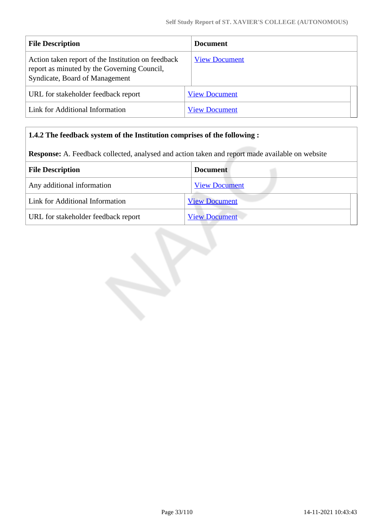| <b>File Description</b>                                                                                                             | <b>Document</b>      |
|-------------------------------------------------------------------------------------------------------------------------------------|----------------------|
| Action taken report of the Institution on feedback<br>report as minuted by the Governing Council,<br>Syndicate, Board of Management | <b>View Document</b> |
| URL for stakeholder feedback report                                                                                                 | <b>View Document</b> |
| Link for Additional Information                                                                                                     | <b>View Document</b> |

#### **1.4.2 The feedback system of the Institution comprises of the following :**

**Response:** A. Feedback collected, analysed and action taken and report made available on website

| <b>File Description</b>             | <b>Document</b>      |
|-------------------------------------|----------------------|
| Any additional information          | <b>View Document</b> |
| Link for Additional Information     | <b>View Document</b> |
| URL for stakeholder feedback report | <b>View Document</b> |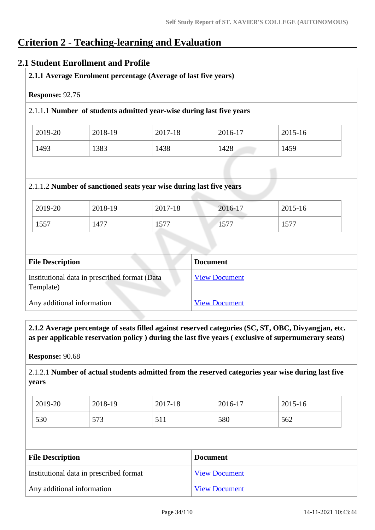# **Criterion 2 - Teaching-learning and Evaluation**

## **2.1 Student Enrollment and Profile**

|  | 2.1.1 Average Enrolment percentage (Average of last five years) |
|--|-----------------------------------------------------------------|
|--|-----------------------------------------------------------------|

**Response:** 92.76

#### 2.1.1.1 **Number of students admitted year-wise during last five years**

| 2019-20 | 2018-19 | 2017-18 | $2016-17$ | 2015-16 |
|---------|---------|---------|-----------|---------|
| 1493    | 1383    | 1438    | 1428      | 1459    |

#### 2.1.1.2 **Number of sanctioned seats year wise during last five years**

| 2019-20 | 2018-19 | 2017-18   | 2016-17 | 2015-16 |
|---------|---------|-----------|---------|---------|
| 1557    | 1477    | 577<br>⊥ັ | 1577    | 1577    |

| <b>File Description</b>                                    | <b>Document</b>      |
|------------------------------------------------------------|----------------------|
| Institutional data in prescribed format (Data<br>Template) | <b>View Document</b> |
| Any additional information                                 | <b>View Document</b> |

 **2.1.2 Average percentage of seats filled against reserved categories (SC, ST, OBC, Divyangjan, etc. as per applicable reservation policy ) during the last five years ( exclusive of supernumerary seats)**

**Response:** 90.68

2.1.2.1 **Number of actual students admitted from the reserved categories year wise during last five years**

| 2019-20 | 2018-19           | 2017-18   | 2016-17 | 2015-16 |
|---------|-------------------|-----------|---------|---------|
| 530     | 572<br><u>313</u> | 51<br>JII | 580     | 562     |

| <b>File Description</b>                 | <b>Document</b>      |
|-----------------------------------------|----------------------|
| Institutional data in prescribed format | <b>View Document</b> |
| Any additional information              | <b>View Document</b> |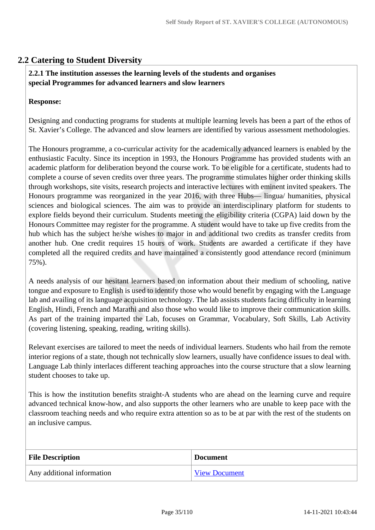## **2.2 Catering to Student Diversity**

#### **2.2.1 The institution assesses the learning levels of the students and organises special Programmes for advanced learners and slow learners**

#### **Response:**

Designing and conducting programs for students at multiple learning levels has been a part of the ethos of St. Xavier's College. The advanced and slow learners are identified by various assessment methodologies.

The Honours programme, a co-curricular activity for the academically advanced learners is enabled by the enthusiastic Faculty. Since its inception in 1993, the Honours Programme has provided students with an academic platform for deliberation beyond the course work. To be eligible for a certificate, students had to complete a course of seven credits over three years. The programme stimulates higher order thinking skills through workshops, site visits, research projects and interactive lectures with eminent invited speakers. The Honours programme was reorganized in the year 2016, with three Hubs— lingua/ humanities, physical sciences and biological sciences. The aim was to provide an interdisciplinary platform for students to explore fields beyond their curriculum. Students meeting the eligibility criteria (CGPA) laid down by the Honours Committee may register for the programme. A student would have to take up five credits from the hub which has the subject he/she wishes to major in and additional two credits as transfer credits from another hub. One credit requires 15 hours of work. Students are awarded a certificate if they have completed all the required credits and have maintained a consistently good attendance record (minimum 75%).

A needs analysis of our hesitant learners based on information about their medium of schooling, native tongue and exposure to English is used to identify those who would benefit by engaging with the Language lab and availing of its language acquisition technology. The lab assists students facing difficulty in learning English, Hindi, French and Marathi and also those who would like to improve their communication skills. As part of the training imparted the Lab, focuses on Grammar, Vocabulary, Soft Skills, Lab Activity (covering listening, speaking, reading, writing skills).

Relevant exercises are tailored to meet the needs of individual learners. Students who hail from the remote interior regions of a state, though not technically slow learners, usually have confidence issues to deal with. Language Lab thinly interlaces different teaching approaches into the course structure that a slow learning student chooses to take up.

This is how the institution benefits straight-A students who are ahead on the learning curve and require advanced technical know-how, and also supports the other learners who are unable to keep pace with the classroom teaching needs and who require extra attention so as to be at par with the rest of the students on an inclusive campus.

| <b>File Description</b>    | <b>Document</b>      |
|----------------------------|----------------------|
| Any additional information | <b>View Document</b> |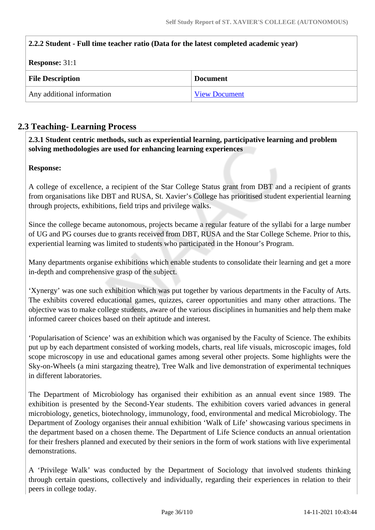| 2.2.2 Student - Full time teacher ratio (Data for the latest completed academic year) |                      |  |
|---------------------------------------------------------------------------------------|----------------------|--|
| <b>Response: 31:1</b>                                                                 |                      |  |
| <b>File Description</b>                                                               | <b>Document</b>      |  |
| Any additional information                                                            | <b>View Document</b> |  |

## **2.3 Teaching- Learning Process**

 **2.3.1 Student centric methods, such as experiential learning, participative learning and problem solving methodologies are used for enhancing learning experiences**

#### **Response:**

A college of excellence, a recipient of the Star College Status grant from DBT and a recipient of grants from organisations like DBT and RUSA, St. Xavier's College has prioritised student experiential learning through projects, exhibitions, field trips and privilege walks.

Since the college became autonomous, projects became a regular feature of the syllabi for a large number of UG and PG courses due to grants received from DBT, RUSA and the Star College Scheme. Prior to this, experiential learning was limited to students who participated in the Honour's Program.

Many departments organise exhibitions which enable students to consolidate their learning and get a more in-depth and comprehensive grasp of the subject.

'Xynergy' was one such exhibition which was put together by various departments in the Faculty of Arts. The exhibits covered educational games, quizzes, career opportunities and many other attractions. The objective was to make college students, aware of the various disciplines in humanities and help them make informed career choices based on their aptitude and interest.

'Popularisation of Science' was an exhibition which was organised by the Faculty of Science. The exhibits put up by each department consisted of working models, charts, real life visuals, microscopic images, fold scope microscopy in use and educational games among several other projects. Some highlights were the Sky-on-Wheels (a mini stargazing theatre), Tree Walk and live demonstration of experimental techniques in different laboratories.

The Department of Microbiology has organised their exhibition as an annual event since 1989. The exhibition is presented by the Second-Year students. The exhibition covers varied advances in general microbiology, genetics, biotechnology, immunology, food, environmental and medical Microbiology. The Department of Zoology organises their annual exhibition 'Walk of Life' showcasing various specimens in the department based on a chosen theme. The Department of Life Science conducts an annual orientation for their freshers planned and executed by their seniors in the form of work stations with live experimental demonstrations.

A 'Privilege Walk' was conducted by the Department of Sociology that involved students thinking through certain questions, collectively and individually, regarding their experiences in relation to their peers in college today.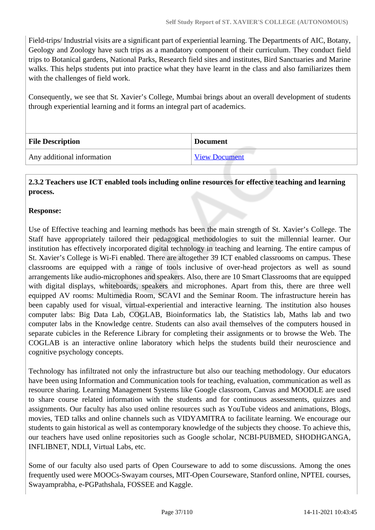Field-trips/ Industrial visits are a significant part of experiential learning. The Departments of AIC, Botany, Geology and Zoology have such trips as a mandatory component of their curriculum. They conduct field trips to Botanical gardens, National Parks, Research field sites and institutes, Bird Sanctuaries and Marine walks. This helps students put into practice what they have learnt in the class and also familiarizes them with the challenges of field work.

Consequently, we see that St. Xavier's College, Mumbai brings about an overall development of students through experiential learning and it forms an integral part of academics.

| <b>File Description</b>    | <b>Document</b>      |
|----------------------------|----------------------|
| Any additional information | <b>View Document</b> |

## **2.3.2 Teachers use ICT enabled tools including online resources for effective teaching and learning process.**

#### **Response:**

Use of Effective teaching and learning methods has been the main strength of St. Xavier's College. The Staff have appropriately tailored their pedagogical methodologies to suit the millennial learner. Our institution has effectively incorporated digital technology in teaching and learning. The entire campus of St. Xavier's College is Wi-Fi enabled. There are altogether 39 ICT enabled classrooms on campus. These classrooms are equipped with a range of tools inclusive of over-head projectors as well as sound arrangements like audio-microphones and speakers. Also, there are 10 Smart Classrooms that are equipped with digital displays, whiteboards, speakers and microphones. Apart from this, there are three well equipped AV rooms: Multimedia Room, SCAVI and the Seminar Room. The infrastructure herein has been capably used for visual, virtual-experiential and interactive learning. The institution also houses computer labs: Big Data Lab, COGLAB, Bioinformatics lab, the Statistics lab, Maths lab and two computer labs in the Knowledge centre. Students can also avail themselves of the computers housed in separate cubicles in the Reference Library for completing their assignments or to browse the Web. The COGLAB is an interactive online laboratory which helps the students build their neuroscience and cognitive psychology concepts.

Technology has infiltrated not only the infrastructure but also our teaching methodology. Our educators have been using Information and Communication tools for teaching, evaluation, communication as well as resource sharing. Learning Management Systems like Google classroom, Canvas and MOODLE are used to share course related information with the students and for continuous assessments, quizzes and assignments. Our faculty has also used online resources such as YouTube videos and animations, Blogs, movies, TED talks and online channels such as VIDYAMITRA to facilitate learning. We encourage our students to gain historical as well as contemporary knowledge of the subjects they choose. To achieve this, our teachers have used online repositories such as Google scholar, NCBI-PUBMED, SHODHGANGA, INFLIBNET, NDLI, Virtual Labs, etc.

Some of our faculty also used parts of Open Courseware to add to some discussions. Among the ones frequently used were MOOCs-Swayam courses, MIT-Open Courseware, Stanford online, NPTEL courses, Swayamprabha, e-PGPathshala, FOSSEE and Kaggle.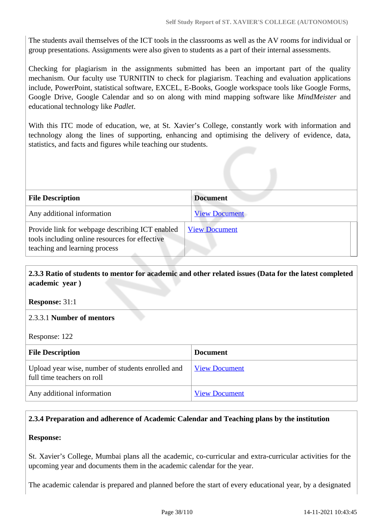The students avail themselves of the ICT tools in the classrooms as well as the AV rooms for individual or group presentations. Assignments were also given to students as a part of their internal assessments.

Checking for plagiarism in the assignments submitted has been an important part of the quality mechanism. Our faculty use TURNITIN to check for plagiarism. Teaching and evaluation applications include, PowerPoint, statistical software, EXCEL, E-Books, Google workspace tools like Google Forms, Google Drive, Google Calendar and so on along with mind mapping software like *MindMeister* and educational technology like *Padlet*.

With this ITC mode of education, we, at St. Xavier's College, constantly work with information and technology along the lines of supporting, enhancing and optimising the delivery of evidence, data, statistics, and facts and figures while teaching our students.

| <b>File Description</b>                                                                                                            | <b>Document</b>      |
|------------------------------------------------------------------------------------------------------------------------------------|----------------------|
| Any additional information                                                                                                         | <b>View Document</b> |
| Provide link for webpage describing ICT enabled<br>tools including online resources for effective<br>teaching and learning process | <b>View Document</b> |

## **2.3.3 Ratio of students to mentor for academic and other related issues (Data for the latest completed academic year )**

**Response:** 31:1

#### 2.3.3.1 **Number of mentors**

Response: 122

| <b>File Description</b>                                                         | <b>Document</b>      |
|---------------------------------------------------------------------------------|----------------------|
| Upload year wise, number of students enrolled and<br>full time teachers on roll | View Document        |
| Any additional information                                                      | <b>View Document</b> |

# **2.3.4 Preparation and adherence of Academic Calendar and Teaching plans by the institution**

#### **Response:**

St. Xavier's College, Mumbai plans all the academic, co-curricular and extra-curricular activities for the upcoming year and documents them in the academic calendar for the year.

The academic calendar is prepared and planned before the start of every educational year, by a designated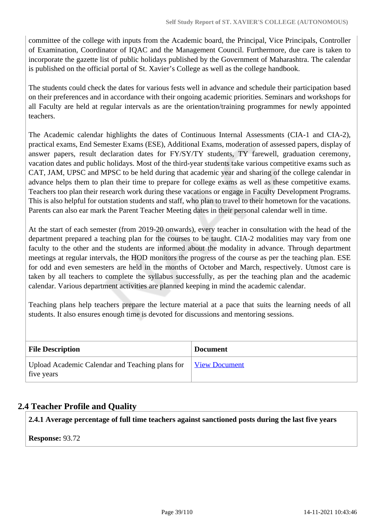committee of the college with inputs from the Academic board, the Principal, Vice Principals, Controller of Examination, Coordinator of IQAC and the Management Council. Furthermore, due care is taken to incorporate the gazette list of public holidays published by the Government of Maharashtra. The calendar is published on the official portal of St. Xavier's College as well as the college handbook.

The students could check the dates for various fests well in advance and schedule their participation based on their preferences and in accordance with their ongoing academic priorities. Seminars and workshops for all Faculty are held at regular intervals as are the orientation/training programmes for newly appointed teachers.

The Academic calendar highlights the dates of Continuous Internal Assessments (CIA-1 and CIA-2), practical exams, End Semester Exams (ESE), Additional Exams, moderation of assessed papers, display of answer papers, result declaration dates for FY/SY/TY students, TY farewell, graduation ceremony, vacation dates and public holidays. Most of the third-year students take various competitive exams such as CAT, JAM, UPSC and MPSC to be held during that academic year and sharing of the college calendar in advance helps them to plan their time to prepare for college exams as well as these competitive exams. Teachers too plan their research work during these vacations or engage in Faculty Development Programs. This is also helpful for outstation students and staff, who plan to travel to their hometown for the vacations. Parents can also ear mark the Parent Teacher Meeting dates in their personal calendar well in time.

At the start of each semester (from 2019-20 onwards), every teacher in consultation with the head of the department prepared a teaching plan for the courses to be taught. CIA-2 modalities may vary from one faculty to the other and the students are informed about the modality in advance. Through department meetings at regular intervals, the HOD monitors the progress of the course as per the teaching plan. ESE for odd and even semesters are held in the months of October and March, respectively. Utmost care is taken by all teachers to complete the syllabus successfully, as per the teaching plan and the academic calendar. Various department activities are planned keeping in mind the academic calendar.

Teaching plans help teachers prepare the lecture material at a pace that suits the learning needs of all students. It also ensures enough time is devoted for discussions and mentoring sessions.

| <b>File Description</b>                                       | <b>Document</b>      |
|---------------------------------------------------------------|----------------------|
| Upload Academic Calendar and Teaching plans for<br>five years | <u>View Document</u> |

# **2.4 Teacher Profile and Quality**

**2.4.1 Average percentage of full time teachers against sanctioned posts during the last five years**

**Response:** 93.72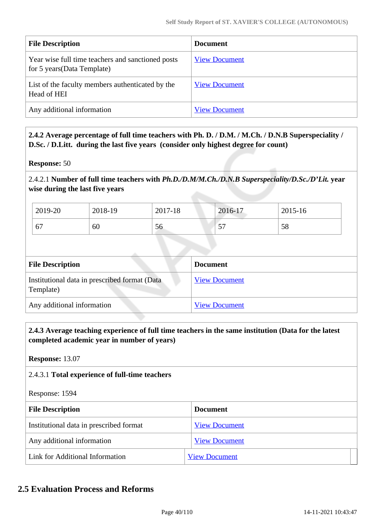| <b>File Description</b>                                                          | <b>Document</b>      |
|----------------------------------------------------------------------------------|----------------------|
| Year wise full time teachers and sanctioned posts<br>for 5 years (Data Template) | <b>View Document</b> |
| List of the faculty members authenticated by the<br>Head of HEI                  | <b>View Document</b> |
| Any additional information                                                       | <b>View Document</b> |

 **2.4.2 Average percentage of full time teachers with Ph. D. / D.M. / M.Ch. / D.N.B Superspeciality / D.Sc. / D.Litt. during the last five years (consider only highest degree for count)**

**Response:** 50

2.4.2.1 **Number of full time teachers with** *Ph.D./D.M/M.Ch./D.N.B Superspeciality/D.Sc./D'Lit.* **year wise during the last five years**

| 2019-20 | 2018-19 | 2017-18 | 2016-17                       | 2015-16 |
|---------|---------|---------|-------------------------------|---------|
| 67      | 60      | 56      | $\overline{\phantom{a}}$<br>ັ | 58      |

| <b>File Description</b>                                    | <b>Document</b>      |
|------------------------------------------------------------|----------------------|
| Institutional data in prescribed format (Data<br>Template) | <b>View Document</b> |
| Any additional information                                 | <b>View Document</b> |

 **2.4.3 Average teaching experience of full time teachers in the same institution (Data for the latest completed academic year in number of years)** 

**Response:** 13.07

#### 2.4.3.1 **Total experience of full-time teachers**

Response: 1594

| <b>File Description</b>                 | <b>Document</b>      |
|-----------------------------------------|----------------------|
| Institutional data in prescribed format | <b>View Document</b> |
| Any additional information              | <b>View Document</b> |
| Link for Additional Information         | <b>View Document</b> |

# **2.5 Evaluation Process and Reforms**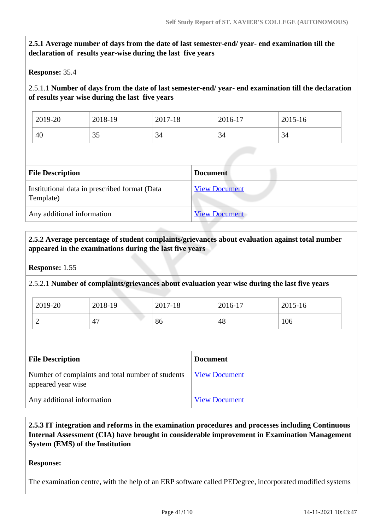# **2.5.1 Average number of days from the date of last semester-end/ year- end examination till the declaration of results year-wise during the last five years**

**Response:** 35.4

2.5.1.1 **Number of days from the date of last semester-end/ year- end examination till the declaration of results year wise during the last five years** 

| 2019-20 | 2018-19 | 2017-18 | 2016-17 | 2015-16 |
|---------|---------|---------|---------|---------|
| 40      | JJ      | 34      | 34      | 34      |

| <b>File Description</b>                                    | <b>Document</b>      |
|------------------------------------------------------------|----------------------|
| Institutional data in prescribed format (Data<br>Template) | <b>View Document</b> |
| Any additional information                                 | <b>View Document</b> |

## **2.5.2 Average percentage of student complaints/grievances about evaluation against total number appeared in the examinations during the last five years**

#### **Response:** 1.55

2.5.2.1 **Number of complaints/grievances about evaluation year wise during the last five years** 

| 2019-20 | 2018-19 | 2017-18 | 2016-17 | 2015-16 |
|---------|---------|---------|---------|---------|
| ∽       | 47      | 86      | 48      | 106     |

| <b>File Description</b>                                                 | <b>Document</b>      |
|-------------------------------------------------------------------------|----------------------|
| Number of complaints and total number of students<br>appeared year wise | <b>View Document</b> |
| Any additional information                                              | <b>View Document</b> |

 **2.5.3 IT integration and reforms in the examination procedures and processes including Continuous Internal Assessment (CIA) have brought in considerable improvement in Examination Management System (EMS) of the Institution**

#### **Response:**

The examination centre, with the help of an ERP software called PEDegree, incorporated modified systems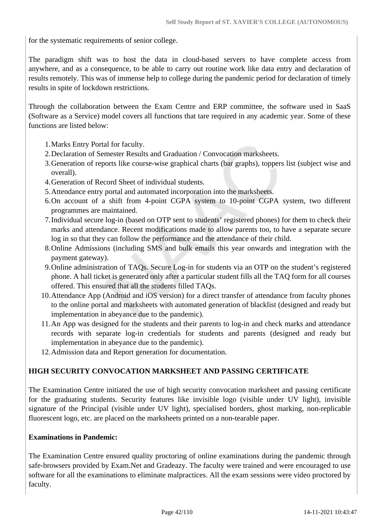for the systematic requirements of senior college.

The paradigm shift was to host the data in cloud-based servers to have complete access from anywhere, and as a consequence, to be able to carry out routine work like data entry and declaration of results remotely. This was of immense help to college during the pandemic period for declaration of timely results in spite of lockdown restrictions.

Through the collaboration between the Exam Centre and ERP committee, the software used in SaaS (Software as a Service) model covers all functions that tare required in any academic year. Some of these functions are listed below:

1.Marks Entry Portal for faculty.

- 2.Declaration of Semester Results and Graduation / Convocation marksheets.
- 3.Generation of reports like course-wise graphical charts (bar graphs), toppers list (subject wise and overall).
- 4.Generation of Record Sheet of individual students.
- 5.Attendance entry portal and automated incorporation into the marksheets.
- 6.On account of a shift from 4-point CGPA system to 10-point CGPA system, two different programmes are maintained.
- 7.Individual secure log-in (based on OTP sent to students' registered phones) for them to check their marks and attendance. Recent modifications made to allow parents too, to have a separate secure log in so that they can follow the performance and the attendance of their child.
- 8.Online Admissions (including SMS and bulk emails this year onwards and integration with the payment gateway).
- 9.Online administration of TAQs. Secure Log-in for students via an OTP on the student's registered phone. A hall ticket is generated only after a particular student fills all the TAQ form for all courses offered. This ensured that all the students filled TAQs.
- 10.Attendance App (Android and iOS version) for a direct transfer of attendance from faculty phones to the online portal and marksheets with automated generation of blacklist (designed and ready but implementation in abeyance due to the pandemic).
- 11.An App was designed for the students and their parents to log-in and check marks and attendance records with separate log-in credentials for students and parents (designed and ready but implementation in abeyance due to the pandemic).
- 12.Admission data and Report generation for documentation.

# **HIGH SECURITY CONVOCATION MARKSHEET AND PASSING CERTIFICATE**

The Examination Centre initiated the use of high security convocation marksheet and passing certificate for the graduating students. Security features like invisible logo (visible under UV light), invisible signature of the Principal (visible under UV light), specialised borders, ghost marking, non-replicable fluorescent logo, etc. are placed on the marksheets printed on a non-tearable paper.

#### **Examinations in Pandemic:**

The Examination Centre ensured quality proctoring of online examinations during the pandemic through safe-browsers provided by Exam.Net and Gradeazy. The faculty were trained and were encouraged to use software for all the examinations to eliminate malpractices. All the exam sessions were video proctored by faculty.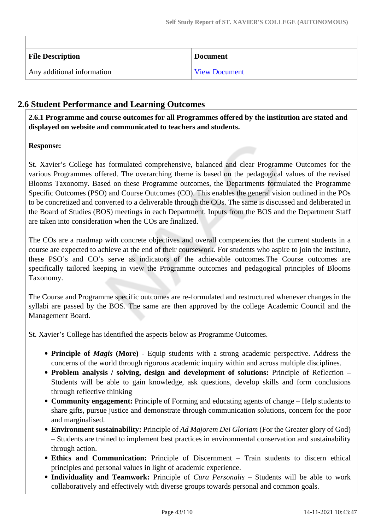| <b>File Description</b>    | <b>Document</b>      |
|----------------------------|----------------------|
| Any additional information | <b>View Document</b> |

# **2.6 Student Performance and Learning Outcomes**

 **2.6.1 Programme and course outcomes for all Programmes offered by the institution are stated and displayed on website and communicated to teachers and students.**

# **Response:**

St. Xavier's College has formulated comprehensive, balanced and clear Programme Outcomes for the various Programmes offered. The overarching theme is based on the pedagogical values of the revised Blooms Taxonomy. Based on these Programme outcomes, the Departments formulated the Programme Specific Outcomes (PSO) and Course Outcomes (CO). This enables the general vision outlined in the POs to be concretized and converted to a deliverable through the COs. The same is discussed and deliberated in the Board of Studies (BOS) meetings in each Department. Inputs from the BOS and the Department Staff are taken into consideration when the COs are finalized.

The COs are a roadmap with concrete objectives and overall competencies that the current students in a course are expected to achieve at the end of their coursework. For students who aspire to join the institute, these PSO's and CO's serve as indicators of the achievable outcomes.The Course outcomes are specifically tailored keeping in view the Programme outcomes and pedagogical principles of Blooms Taxonomy.

The Course and Programme specific outcomes are re-formulated and restructured whenever changes in the syllabi are passed by the BOS. The same are then approved by the college Academic Council and the Management Board.

St. Xavier's College has identified the aspects below as Programme Outcomes.

- Principle of *Magis* (More) Equip students with a strong academic perspective. Address the concerns of the world through rigorous academic inquiry within and across multiple disciplines.
- **Problem analysis / solving, design and development of solutions:** Principle of Reflection Students will be able to gain knowledge, ask questions, develop skills and form conclusions through reflective thinking
- **Community engagement:** Principle of Forming and educating agents of change Help students to share gifts, pursue justice and demonstrate through communication solutions, concern for the poor and marginalised.
- **Environment sustainability:** Principle of *Ad Majorem Dei Gloriam* (For the Greater glory of God) – Students are trained to implement best practices in environmental conservation and sustainability through action.
- **Ethics and Communication:** Principle of Discernment Train students to discern ethical principles and personal values in light of academic experience.
- **Individuality and Teamwork:** Principle of *Cura Personalis*  Students will be able to work collaboratively and effectively with diverse groups towards personal and common goals.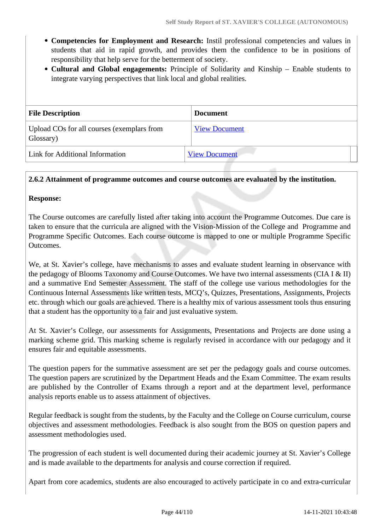- **Competencies for Employment and Research:** Instil professional competencies and values in students that aid in rapid growth, and provides them the confidence to be in positions of responsibility that help serve for the betterment of society.
- **Cultural and Global engagements:** Principle of Solidarity and Kinship Enable students to integrate varying perspectives that link local and global realities.

| <b>File Description</b>                                 | <b>Document</b>      |
|---------------------------------------------------------|----------------------|
| Upload COs for all courses (exemplars from<br>Glossary) | <b>View Document</b> |
| Link for Additional Information                         | <b>View Document</b> |

#### **2.6.2 Attainment of programme outcomes and course outcomes are evaluated by the institution.**

#### **Response:**

The Course outcomes are carefully listed after taking into account the Programme Outcomes. Due care is taken to ensure that the curricula are aligned with the Vision-Mission of the College and Programme and Programme Specific Outcomes. Each course outcome is mapped to one or multiple Programme Specific Outcomes.

We, at St. Xavier's college, have mechanisms to asses and evaluate student learning in observance with the pedagogy of Blooms Taxonomy and Course Outcomes. We have two internal assessments (CIA I  $\&$  II) and a summative End Semester Assessment. The staff of the college use various methodologies for the Continuous Internal Assessments like written tests, MCQ's, Quizzes, Presentations, Assignments, Projects etc. through which our goals are achieved. There is a healthy mix of various assessment tools thus ensuring that a student has the opportunity to a fair and just evaluative system.

At St. Xavier's College, our assessments for Assignments, Presentations and Projects are done using a marking scheme grid. This marking scheme is regularly revised in accordance with our pedagogy and it ensures fair and equitable assessments.

The question papers for the summative assessment are set per the pedagogy goals and course outcomes. The question papers are scrutinized by the Department Heads and the Exam Committee. The exam results are published by the Controller of Exams through a report and at the department level, performance analysis reports enable us to assess attainment of objectives.

Regular feedback is sought from the students, by the Faculty and the College on Course curriculum, course objectives and assessment methodologies. Feedback is also sought from the BOS on question papers and assessment methodologies used.

The progression of each student is well documented during their academic journey at St. Xavier's College and is made available to the departments for analysis and course correction if required.

Apart from core academics, students are also encouraged to actively participate in co and extra-curricular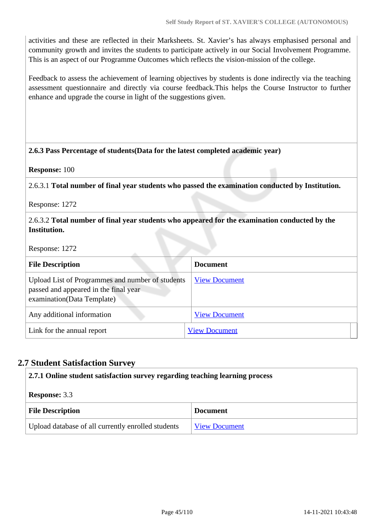activities and these are reflected in their Marksheets. St. Xavier's has always emphasised personal and community growth and invites the students to participate actively in our Social Involvement Programme. This is an aspect of our Programme Outcomes which reflects the vision-mission of the college.

Feedback to assess the achievement of learning objectives by students is done indirectly via the teaching assessment questionnaire and directly via course feedback.This helps the Course Instructor to further enhance and upgrade the course in light of the suggestions given.

#### **2.6.3 Pass Percentage of students(Data for the latest completed academic year)**

**Response:** 100

2.6.3.1 **Total number of final year students who passed the examination conducted by Institution.**

Response: 1272

2.6.3.2 **Total number of final year students who appeared for the examination conducted by the Institution.**

Response: 1272

| <b>File Description</b>                                                                                                 | <b>Document</b>      |
|-------------------------------------------------------------------------------------------------------------------------|----------------------|
| Upload List of Programmes and number of students<br>passed and appeared in the final year<br>examination(Data Template) | <b>View Document</b> |
| Any additional information                                                                                              | <b>View Document</b> |
| Link for the annual report                                                                                              | <b>View Document</b> |

# **2.7 Student Satisfaction Survey**

| 2.7.1 Online student satisfaction survey regarding teaching learning process |                      |  |  |
|------------------------------------------------------------------------------|----------------------|--|--|
| <b>Response: 3.3</b>                                                         |                      |  |  |
| <b>File Description</b>                                                      | <b>Document</b>      |  |  |
| Upload database of all currently enrolled students                           | <b>View Document</b> |  |  |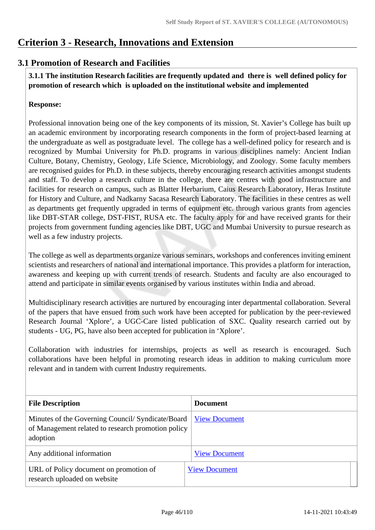# **Criterion 3 - Research, Innovations and Extension**

# **3.1 Promotion of Research and Facilities**

 **3.1.1 The institution Research facilities are frequently updated and there is well defined policy for promotion of research which is uploaded on the institutional website and implemented**

## **Response:**

Professional innovation being one of the key components of its mission, St. Xavier's College has built up an academic environment by incorporating research components in the form of project-based learning at the undergraduate as well as postgraduate level. The college has a well-defined policy for research and is recognized by Mumbai University for Ph.D. programs in various disciplines namely: Ancient Indian Culture, Botany, Chemistry, Geology, Life Science, Microbiology, and Zoology. Some faculty members are recognised guides for Ph.D. in these subjects, thereby encouraging research activities amongst students and staff. To develop a research culture in the college, there are centres with good infrastructure and facilities for research on campus, such as Blatter Herbarium, Caius Research Laboratory, Heras Institute for History and Culture, and Nadkarny Sacasa Research Laboratory. The facilities in these centres as well as departments get frequently upgraded in terms of equipment etc. through various grants from agencies like DBT-STAR college, DST-FIST, RUSA etc. The faculty apply for and have received grants for their projects from government funding agencies like DBT, UGC and Mumbai University to pursue research as well as a few industry projects.

The college as well as departments organize various seminars, workshops and conferences inviting eminent scientists and researchers of national and international importance. This provides a platform for interaction, awareness and keeping up with current trends of research. Students and faculty are also encouraged to attend and participate in similar events organised by various institutes within India and abroad.

Multidisciplinary research activities are nurtured by encouraging inter departmental collaboration. Several of the papers that have ensued from such work have been accepted for publication by the peer-reviewed Research Journal 'Xplore', a UGC-Care listed publication of SXC. Quality research carried out by students - UG, PG, have also been accepted for publication in 'Xplore'.

Collaboration with industries for internships, projects as well as research is encouraged. Such collaborations have been helpful in promoting research ideas in addition to making curriculum more relevant and in tandem with current Industry requirements.

| <b>File Description</b>                                                                                             | <b>Document</b>      |
|---------------------------------------------------------------------------------------------------------------------|----------------------|
| Minutes of the Governing Council/ Syndicate/Board<br>of Management related to research promotion policy<br>adoption | <b>View Document</b> |
| Any additional information                                                                                          | <b>View Document</b> |
| URL of Policy document on promotion of<br>research uploaded on website                                              | <b>View Document</b> |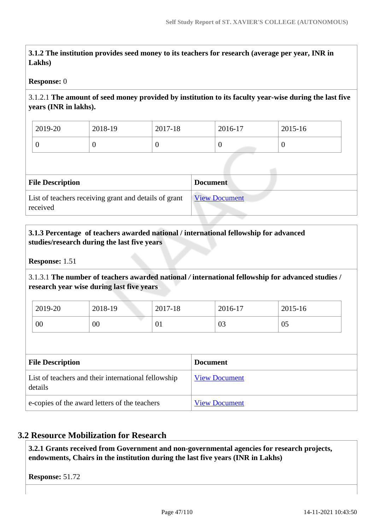**3.1.2 The institution provides seed money to its teachers for research (average per year, INR in Lakhs)**

#### **Response:** 0

# 3.1.2.1 **The amount of seed money provided by institution to its faculty year-wise during the last five years (INR in lakhs).**

| 2019-20 | 2018-19 | 2017-18 | $2016-17$ | 2015-16 |
|---------|---------|---------|-----------|---------|
|         |         | ν       | ν         | ◡       |

| <b>File Description</b>                                           | <b>Document</b>      |  |  |  |
|-------------------------------------------------------------------|----------------------|--|--|--|
| List of teachers receiving grant and details of grant<br>received | <b>View Document</b> |  |  |  |

#### **3.1.3 Percentage of teachers awarded national / international fellowship for advanced studies/research during the last five years**

**Response:** 1.51

3.1.3.1 **The number of teachers awarded national** */* **international fellowship for advanced studies / research year wise during last five years**

| 2019-20 | 2018-19 | 2017-18 | 2016-17 | 2015-16 |
|---------|---------|---------|---------|---------|
| 00      | 00      | 01      | 03      | 05      |

| <b>File Description</b>                                        | <b>Document</b>      |
|----------------------------------------------------------------|----------------------|
| List of teachers and their international fellowship<br>details | <b>View Document</b> |
| e-copies of the award letters of the teachers                  | <b>View Document</b> |

#### **3.2 Resource Mobilization for Research**

 **3.2.1 Grants received from Government and non-governmental agencies for research projects, endowments, Chairs in the institution during the last five years (INR in Lakhs)** 

**Response:** 51.72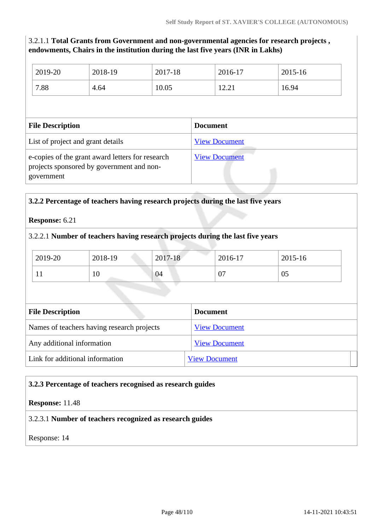# 3.2.1.1 **Total Grants from Government and non-governmental agencies for research projects , endowments, Chairs in the institution during the last five years (INR in Lakhs)**

| 2019-20                                                                                                     | 2018-19 | 2017-18         | 2016-17              |       | $2015 - 16$ |
|-------------------------------------------------------------------------------------------------------------|---------|-----------------|----------------------|-------|-------------|
| 7.88                                                                                                        | 4.64    | 10.05           |                      | 12.21 | 16.94       |
|                                                                                                             |         |                 |                      |       |             |
| <b>File Description</b>                                                                                     |         | <b>Document</b> |                      |       |             |
| List of project and grant details                                                                           |         |                 | <b>View Document</b> |       |             |
| e-copies of the grant award letters for research<br>projects sponsored by government and non-<br>government |         |                 | <b>View Document</b> |       |             |

| <b>Response:</b> 6.21                      |         |                      |                                                                                |             |
|--------------------------------------------|---------|----------------------|--------------------------------------------------------------------------------|-------------|
|                                            |         |                      | 3.2.2.1 Number of teachers having research projects during the last five years |             |
| 2019-20                                    | 2018-19 | 2017-18              | 2016-17                                                                        | $2015 - 16$ |
| 11                                         | 10      | 04                   | 07                                                                             | 05          |
| <b>File Description</b>                    |         |                      | <b>Document</b>                                                                |             |
| Names of teachers having research projects |         | <b>View Document</b> |                                                                                |             |
| Any additional information                 |         | <b>View Document</b> |                                                                                |             |
|                                            |         |                      |                                                                                |             |

#### **3.2.3 Percentage of teachers recognised as research guides**

#### **Response:** 11.48

#### 3.2.3.1 **Number of teachers recognized as research guides**

Response: 14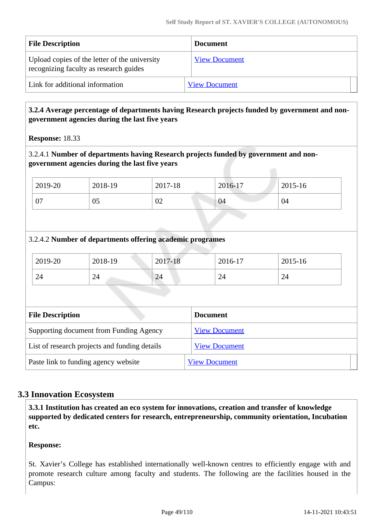| <b>File Description</b>                                                                 | <b>Document</b>      |  |
|-----------------------------------------------------------------------------------------|----------------------|--|
| Upload copies of the letter of the university<br>recognizing faculty as research guides | <b>View Document</b> |  |
| Link for additional information                                                         | <b>View Document</b> |  |

## **3.2.4 Average percentage of departments having Research projects funded by government and nongovernment agencies during the last five years**

**Response:** 18.33

## 3.2.4.1 **Number of departments having Research projects funded by government and nongovernment agencies during the last five years**

| 2019-20        | 2018-19 | 2017-18 | 2016-17 | 2015-16 |
|----------------|---------|---------|---------|---------|
| $\Omega$<br>v, | 05      | 02      | 04      | 04      |

# 3.2.4.2 **Number of departments offering academic programes**

| 2019-20 | 2018-19                       | 2017-18 | 2016-17 | 2015-16 |
|---------|-------------------------------|---------|---------|---------|
| 24      | $\mathcal{D}_{\Lambda}$<br>44 | 24      | 24      | 24      |

| <b>File Description</b>                       | <b>Document</b>      |
|-----------------------------------------------|----------------------|
| Supporting document from Funding Agency       | <b>View Document</b> |
| List of research projects and funding details | <b>View Document</b> |
| Paste link to funding agency website          | <b>View Document</b> |

# **3.3 Innovation Ecosystem**

 **3.3.1 Institution has created an eco system for innovations, creation and transfer of knowledge supported by dedicated centers for research, entrepreneurship, community orientation, Incubation etc.**

#### **Response:**

St. Xavier's College has established internationally well-known centres to efficiently engage with and promote research culture among faculty and students. The following are the facilities housed in the Campus: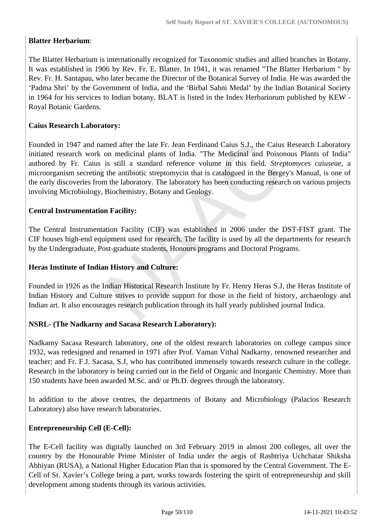# **Blatter Herbarium**:

The Blatter Herbarium is internationally recognized for Taxonomic studies and allied branches in Botany. It was established in 1906 by Rev. Fr. E. Blatter. In 1941, it was renamed "The Blatter Herbarium '' by Rev. Fr. H. Santapau, who later became the Director of the Botanical Survey of India. He was awarded the 'Padma Shri' by the Government of India, and the 'Birbal Sahni Medal' by the Indian Botanical Society in 1964 for his services to Indian botany. BLAT is listed in the Index Herbariorum published by KEW - Royal Botanic Gardens.

## **Caius Research Laboratory:**

Founded in 1947 and named after the late Fr. Jean Ferdinand Caius S.J., the Caius Research Laboratory initiated research work on medicinal plants of India. "The Medicinal and Poisonous Plants of India" authored by Fr. Caius is still a standard reference volume in this field. *Streptomyces caiuseae*, a microorganism secreting the antibiotic streptomycin that is catalogued in the Bergey's Manual, is one of the early discoveries from the laboratory. The laboratory has been conducting research on various projects involving Microbiology, Biochemistry, Botany and Geology.

#### **Central Instrumentation Facility:**

The Central Instrumentation Facility (CIF) was established in 2006 under the DST-FIST grant. The CIF houses high-end equipment used for research. The facility is used by all the departments for research by the Undergraduate, Post-graduate students, Honours programs and Doctoral Programs.

#### **Heras Institute of Indian History and Culture:**

Founded in 1926 as the Indian Historical Research Institute by Fr. Henry Heras S.J, the Heras Institute of Indian History and Culture strives to provide support for those in the field of history, archaeology and Indian art. It also encourages research publication through its half yearly published journal Indica.

#### **NSRL- (The Nadkarny and Sacasa Research Laboratory):**

Nadkarny Sacasa Research laboratory, one of the oldest research laboratories on college campus since 1932, was redesigned and renamed in 1971 after Prof. Vaman Vithal Nadkarny, renowned researcher and teacher; and Fr. F.J. Sacasa, S.J, who has contributed immensely towards research culture in the college. Research in the laboratory is being carried out in the field of Organic and Inorganic Chemistry. More than 150 students have been awarded M.Sc. and/ or Ph.D. degrees through the laboratory.

In addition to the above centres, the departments of Botany and Microbiology (Palacios Research Laboratory) also have research laboratories.

#### **Entrepreneurship Cell (E-Cell):**

The E-Cell facility was digitally launched on 3rd February 2019 in almost 200 colleges, all over the country by the Honourable Prime Minister of India under the aegis of Rashtriya Uchchatar Shiksha Abhiyan (RUSA), a National Higher Education Plan that is sponsored by the Central Government. The E-Cell of St. Xavier's College being a part, works towards fostering the spirit of entrepreneurship and skill development among students through its various activities.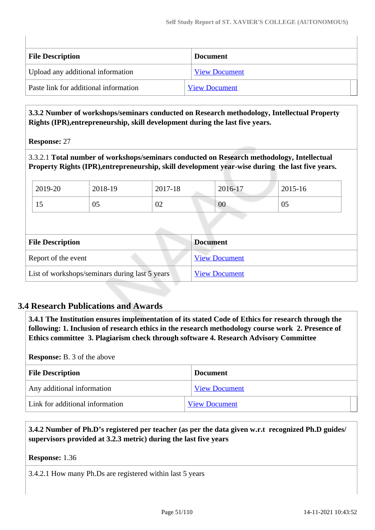| <b>File Description</b>               | <b>Document</b>      |
|---------------------------------------|----------------------|
| Upload any additional information     | <b>View Document</b> |
| Paste link for additional information | <b>View Document</b> |

 **3.3.2 Number of workshops/seminars conducted on Research methodology, Intellectual Property Rights (IPR),entrepreneurship, skill development during the last five years.**

**Response:** 27

3.3.2.1 **Total number of workshops/seminars conducted on Research methodology, Intellectual Property Rights (IPR),entrepreneurship, skill development year-wise during the last five years.**

|  | 2019-20                 | 2018-19 | 2017-18 |                 | 2016-17              | 2015-16 |  |
|--|-------------------------|---------|---------|-----------------|----------------------|---------|--|
|  | 15                      | 05      | 02      |                 | 00                   | 05      |  |
|  |                         |         |         |                 |                      |         |  |
|  |                         |         |         |                 |                      |         |  |
|  |                         |         |         |                 |                      |         |  |
|  | <b>File Description</b> |         |         | <b>Document</b> |                      |         |  |
|  | Report of the event     |         |         |                 | <b>View Document</b> |         |  |

# **3.4 Research Publications and Awards**

 **3.4.1 The Institution ensures implementation of its stated Code of Ethics for research through the following: 1. Inclusion of research ethics in the research methodology course work 2. Presence of Ethics committee 3. Plagiarism check through software 4. Research Advisory Committee**

**Response:** B. 3 of the above

| <b>File Description</b>         | <b>Document</b>      |
|---------------------------------|----------------------|
| Any additional information      | <b>View Document</b> |
| Link for additional information | <b>View Document</b> |

 **3.4.2 Number of Ph.D's registered per teacher (as per the data given w.r.t recognized Ph.D guides/ supervisors provided at 3.2.3 metric) during the last five years**

**Response:** 1.36

3.4.2.1 How many Ph.Ds are registered within last 5 years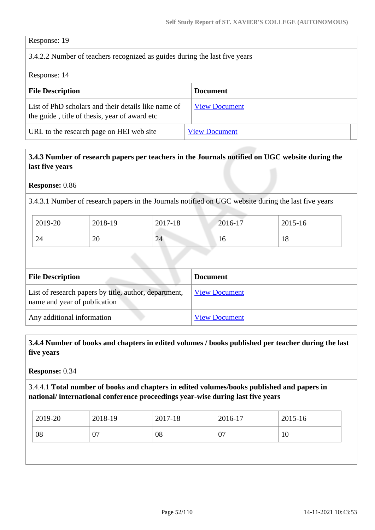Response: 19

# 3.4.2.2 Number of teachers recognized as guides during the last five years

Response: 14

| <b>File Description</b>                                                                              | <b>Document</b>      |
|------------------------------------------------------------------------------------------------------|----------------------|
| List of PhD scholars and their details like name of<br>the guide, title of thesis, year of award etc | <b>View Document</b> |
| URL to the research page on HEI web site                                                             | <b>View Document</b> |

# **3.4.3 Number of research papers per teachers in the Journals notified on UGC website during the last five years**

**Response:** 0.86

3.4.3.1 Number of research papers in the Journals notified on UGC website during the last five years

| 2019-20 | 2018-19 | 2017-18 | 2016-17 | 2015-16 |
|---------|---------|---------|---------|---------|
| 24      | 20      | 24      | 10      | 18      |

| <b>File Description</b>                                                               | <b>Document</b>      |
|---------------------------------------------------------------------------------------|----------------------|
| List of research papers by title, author, department,<br>name and year of publication | <b>View Document</b> |
| Any additional information                                                            | <b>View Document</b> |

 **3.4.4 Number of books and chapters in edited volumes / books published per teacher during the last five years**

**Response:** 0.34

3.4.4.1 **Total number of books and chapters in edited volumes/books published and papers in national/ international conference proceedings year-wise during last five years**

| 2019-20 | 2018-19 | 2017-18 | 2016-17 | 2015-16 |
|---------|---------|---------|---------|---------|
| 08      | 07      | 08      | 07      | 10      |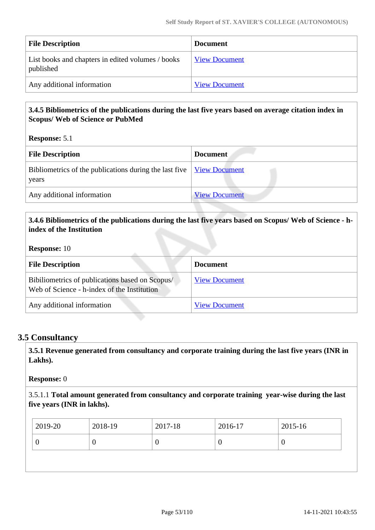| <b>File Description</b>                                        | <b>Document</b>      |
|----------------------------------------------------------------|----------------------|
| List books and chapters in edited volumes / books<br>published | <b>View Document</b> |
| Any additional information                                     | <b>View Document</b> |

# **3.4.5 Bibliometrics of the publications during the last five years based on average citation index in Scopus/ Web of Science or PubMed**

**Response:** 5.1

| <b>File Description</b>                                                                                          | <b>Document</b>      |
|------------------------------------------------------------------------------------------------------------------|----------------------|
| Bibliometrics of the publications during the last five $\frac{V_{\text{icW}}}{V_{\text{icW}}}$ Document<br>years |                      |
| Any additional information                                                                                       | <b>View Document</b> |

## **3.4.6 Bibliometrics of the publications during the last five years based on Scopus/ Web of Science - hindex of the Institution**

#### **Response:** 10

| <b>File Description</b>                                                                        | <b>Document</b>      |
|------------------------------------------------------------------------------------------------|----------------------|
| Bibiliometrics of publications based on Scopus/<br>Web of Science - h-index of the Institution | <b>View Document</b> |
| Any additional information                                                                     | <b>View Document</b> |

#### **3.5 Consultancy**

 **3.5.1 Revenue generated from consultancy and corporate training during the last five years (INR in Lakhs).**

#### **Response:** 0

3.5.1.1 **Total amount generated from consultancy and corporate training year-wise during the last five years (INR in lakhs).**

|   | 2019-20 | 2018-19 | 2017-18 | 2016-17 | 2015-16 |
|---|---------|---------|---------|---------|---------|
| υ |         | U       |         |         | ν       |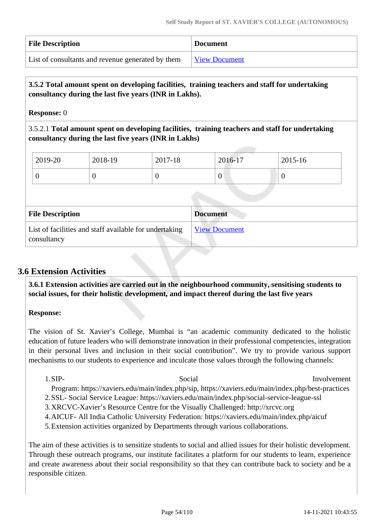| <b>File Description</b>                           | <b>Document</b>      |
|---------------------------------------------------|----------------------|
| List of consultants and revenue generated by them | <b>View Document</b> |

## **3.5.2 Total amount spent on developing facilities, training teachers and staff for undertaking consultancy during the last five years (INR in Lakhs).**

**Response:** 0

3.5.2.1 **Total amount spent on developing facilities, training teachers and staff for undertaking consultancy during the last five years (INR in Lakhs)**

| $\frac{1}{2019-20}$ | 2018-19 | 2017-18 | 2016-17 | $2015 - 16$ |
|---------------------|---------|---------|---------|-------------|
|                     |         |         | v       |             |
|                     |         |         |         |             |

| <b>File Description</b>                                               | <b>Document</b>      |
|-----------------------------------------------------------------------|----------------------|
| List of facilities and staff available for undertaking<br>consultancy | <b>View Document</b> |

# **3.6 Extension Activities**

 **3.6.1 Extension activities are carried out in the neighbourhood community, sensitising students to social issues, for their holistic development, and impact thereof during the last five years**

**Response:** 

The vision of St. Xavier's College, Mumbai is "an academic community dedicated to the holistic education of future leaders who will demonstrate innovation in their professional competencies, integration in their personal lives and inclusion in their social contribution". We try to provide various support mechanisms to our students to experience and inculcate those values through the following channels:

1.SIP- Social Social Involvement

Program: https://xaviers.edu/main/index.php/sip, https://xaviers.edu/main/index.php/best-practices

- 2.SSL- Social Service League: https://xaviers.edu/main/index.php/social-service-league-ssl
- 3.XRCVC-Xavier's Resource Centre for the Visually Challenged: http://xrcvc.org
- 4.AICUF- All India Catholic University Federation: https://xaviers.edu/main/index.php/aicuf
- 5.Extension activities organized by Departments through various collaborations.

The aim of these activities is to sensitize students to social and allied issues for their holistic development. Through these outreach programs, our institute facilitates a platform for our students to learn, experience and create awareness about their social responsibility so that they can contribute back to society and be a responsible citizen.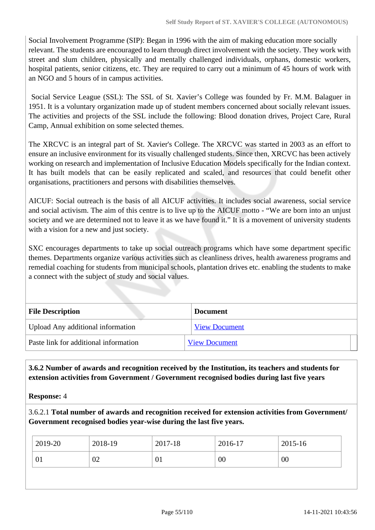Social Involvement Programme (SIP): Began in 1996 with the aim of making education more socially relevant. The students are encouraged to learn through direct involvement with the society. They work with street and slum children, physically and mentally challenged individuals, orphans, domestic workers, hospital patients, senior citizens, etc. They are required to carry out a minimum of 45 hours of work with an NGO and 5 hours of in campus activities.

 Social Service League (SSL): The SSL of St. Xavier's College was founded by Fr. M.M. Balaguer in 1951. It is a voluntary organization made up of student members concerned about socially relevant issues. The activities and projects of the SSL include the following: Blood donation drives, Project Care, Rural Camp, Annual exhibition on some selected themes.

The XRCVC is an integral part of St. Xavier's College. The XRCVC was started in 2003 as an effort to ensure an inclusive environment for its visually challenged students. Since then, XRCVC has been actively working on research and implementation of Inclusive Education Models specifically for the Indian context. It has built models that can be easily replicated and scaled, and resources that could benefit other organisations, practitioners and persons with disabilities themselves.

AICUF: Social outreach is the basis of all AICUF activities. It includes social awareness, social service and social activism. The aim of this centre is to live up to the AICUF motto - "We are born into an unjust society and we are determined not to leave it as we have found it." It is a movement of university students with a vision for a new and just society.

SXC encourages departments to take up social outreach programs which have some department specific themes. Departments organize various activities such as cleanliness drives, health awareness programs and remedial coaching for students from municipal schools, plantation drives etc. enabling the students to make a connect with the subject of study and social values.

| <b>File Description</b>               | <b>Document</b>      |
|---------------------------------------|----------------------|
| Upload Any additional information     | <b>View Document</b> |
| Paste link for additional information | <b>View Document</b> |

 **3.6.2 Number of awards and recognition received by the Institution, its teachers and students for extension activities from Government / Government recognised bodies during last five years**

**Response:** 4

3.6.2.1 **Total number of awards and recognition received for extension activities from Government/ Government recognised bodies year-wise during the last five years.**

| 2019-20 | 2018-19 | 2017-18 | 2016-17 | $2015 - 16$ |
|---------|---------|---------|---------|-------------|
| 01      | 02      | 01      | 00      | 00          |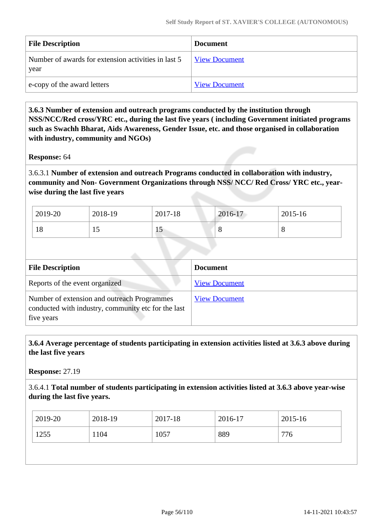| <b>File Description</b>                                     | <b>Document</b>      |
|-------------------------------------------------------------|----------------------|
| Number of awards for extension activities in last 5<br>year | View Document        |
| e-copy of the award letters                                 | <b>View Document</b> |

 **3.6.3 Number of extension and outreach programs conducted by the institution through NSS/NCC/Red cross/YRC etc., during the last five years ( including Government initiated programs such as Swachh Bharat, Aids Awareness, Gender Issue, etc. and those organised in collaboration with industry, community and NGOs)**

#### **Response:** 64

3.6.3.1 **Number of extension and outreach Programs conducted in collaboration with industry, community and Non- Government Organizations through NSS/ NCC/ Red Cross/ YRC etc., yearwise during the last five years**

| 2019-20 | 2018-19 | 2017-18 | 2016-17 | 2015-16 |
|---------|---------|---------|---------|---------|
| 18      | ⊥◡      | ΠJ      | u       | O       |

| <b>File Description</b>                                                                                          | <b>Document</b>      |
|------------------------------------------------------------------------------------------------------------------|----------------------|
| Reports of the event organized                                                                                   | <b>View Document</b> |
| Number of extension and outreach Programmes<br>conducted with industry, community etc for the last<br>five years | <b>View Document</b> |

 **3.6.4 Average percentage of students participating in extension activities listed at 3.6.3 above during the last five years**

**Response:** 27.19

3.6.4.1 **Total number of students participating in extension activities listed at 3.6.3 above year-wise during the last five years.**

| 2019-20 | 2018-19 | 2017-18 | 2016-17 | 2015-16 |
|---------|---------|---------|---------|---------|
| 1255    | 1104    | 1057    | 889     | 776     |
|         |         |         |         |         |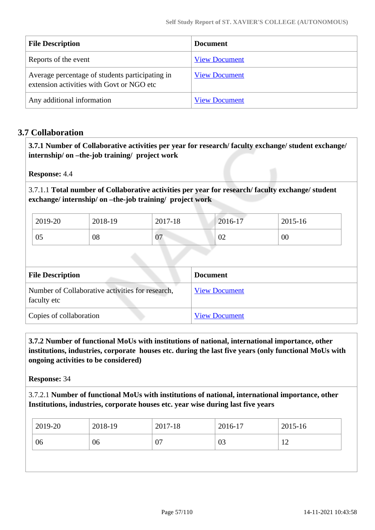| <b>File Description</b>                                                                      | Document             |
|----------------------------------------------------------------------------------------------|----------------------|
| Reports of the event                                                                         | <b>View Document</b> |
| Average percentage of students participating in<br>extension activities with Govt or NGO etc | <b>View Document</b> |
| Any additional information                                                                   | <b>View Document</b> |

# **3.7 Collaboration**

 **3.7.1 Number of Collaborative activities per year for research/ faculty exchange/ student exchange/ internship/ on –the-job training/ project work** 

**Response:** 4.4

3.7.1.1 **Total number of Collaborative activities per year for research/ faculty exchange/ student exchange/ internship/ on –the-job training/ project work** 

| 2019-20 | 2018-19 | 2017-18 | 2016-17        | 2015-16 |
|---------|---------|---------|----------------|---------|
| 05      | 08      | 07      | $\Omega$<br>∪∠ | 00      |

| <b>File Description</b>                                         | <b>Document</b>      |
|-----------------------------------------------------------------|----------------------|
| Number of Collaborative activities for research,<br>faculty etc | <b>View Document</b> |
| Copies of collaboration                                         | <b>View Document</b> |

 **3.7.2 Number of functional MoUs with institutions of national, international importance, other institutions, industries, corporate houses etc. during the last five years (only functional MoUs with ongoing activities to be considered)**

**Response:** 34

3.7.2.1 **Number of functional MoUs with institutions of national, international importance, other Institutions, industries, corporate houses etc. year wise during last five years** 

| 2019-20 | 2018-19 | 2017-18 | 2016-17 | 2015-16       |
|---------|---------|---------|---------|---------------|
| 06      | 06      | 07      | 03      | 1 $\cap$<br>┸ |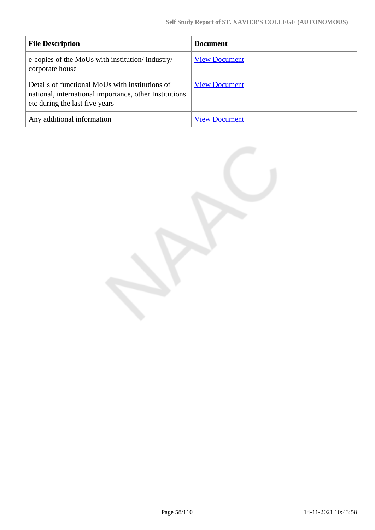| <b>File Description</b>                                                                                                                     | <b>Document</b>      |
|---------------------------------------------------------------------------------------------------------------------------------------------|----------------------|
| e-copies of the MoUs with institution/industry/<br>corporate house                                                                          | <b>View Document</b> |
| Details of functional MoUs with institutions of<br>national, international importance, other Institutions<br>etc during the last five years | <b>View Document</b> |
| Any additional information                                                                                                                  | <b>View Document</b> |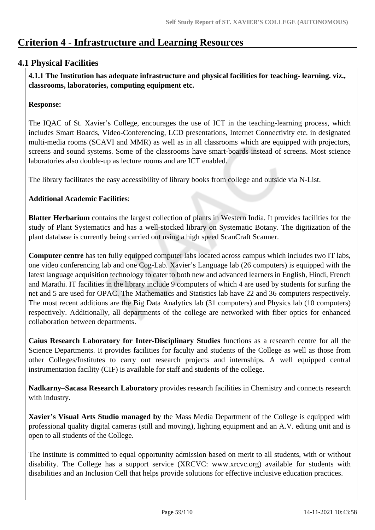# **Criterion 4 - Infrastructure and Learning Resources**

# **4.1 Physical Facilities**

 **4.1.1 The Institution has adequate infrastructure and physical facilities for teaching- learning. viz., classrooms, laboratories, computing equipment etc.** 

#### **Response:**

The IQAC of St. Xavier's College, encourages the use of ICT in the teaching-learning process, which includes Smart Boards, Video-Conferencing, LCD presentations, Internet Connectivity etc. in designated multi-media rooms (SCAVI and MMR) as well as in all classrooms which are equipped with projectors, screens and sound systems. Some of the classrooms have smart-boards instead of screens. Most science laboratories also double-up as lecture rooms and are ICT enabled.

The library facilitates the easy accessibility of library books from college and outside via N-List.

## **Additional Academic Facilities**:

**Blatter Herbarium** contains the largest collection of plants in Western India. It provides facilities for the study of Plant Systematics and has a well-stocked library on Systematic Botany. The digitization of the plant database is currently being carried out using a high speed ScanCraft Scanner.

**Computer centre** has ten fully equipped computer labs located across campus which includes two IT labs, one video conferencing lab and one Cog-Lab. Xavier's Language lab (26 computers) is equipped with the latest language acquisition technology to cater to both new and advanced learners in English, Hindi, French and Marathi. IT facilities in the library include 9 computers of which 4 are used by students for surfing the net and 5 are used for OPAC. The Mathematics and Statistics lab have 22 and 36 computers respectively. The most recent additions are the Big Data Analytics lab (31 computers) and Physics lab (10 computers) respectively. Additionally, all departments of the college are networked with fiber optics for enhanced collaboration between departments.

**Caius Research Laboratory for Inter-Disciplinary Studies** functions as a research centre for all the Science Departments. It provides facilities for faculty and students of the College as well as those from other Colleges/Institutes to carry out research projects and internships. A well equipped central instrumentation facility (CIF) is available for staff and students of the college.

**Nadkarny–Sacasa Research Laboratory** provides research facilities in Chemistry and connects research with industry.

**Xavier's Visual Arts Studio managed by** the Mass Media Department of the College is equipped with professional quality digital cameras (still and moving), lighting equipment and an A.V. editing unit and is open to all students of the College.

The institute is committed to equal opportunity admission based on merit to all students, with or without disability. The College has a support service (XRCVC: www.xrcvc.org) available for students with disabilities and an Inclusion Cell that helps provide solutions for effective inclusive education practices.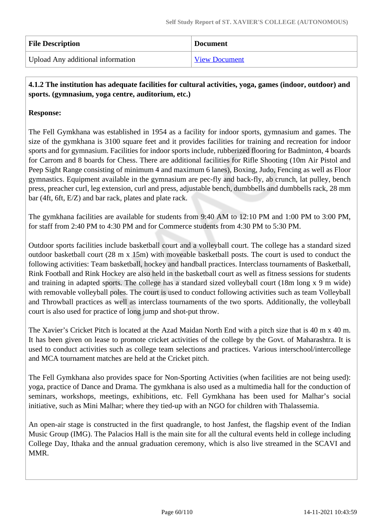| <b>File Description</b>           | <b>Document</b>      |
|-----------------------------------|----------------------|
| Upload Any additional information | <b>View Document</b> |

# **4.1.2 The institution has adequate facilities for cultural activities, yoga, games (indoor, outdoor) and sports. (gymnasium, yoga centre, auditorium, etc.)**

# **Response:**

The Fell Gymkhana was established in 1954 as a facility for indoor sports, gymnasium and games. The size of the gymkhana is 3100 square feet and it provides facilities for training and recreation for indoor sports and for gymnasium. Facilities for indoor sports include, rubberized flooring for Badminton, 4 boards for Carrom and 8 boards for Chess. There are additional facilities for Rifle Shooting (10m Air Pistol and Peep Sight Range consisting of minimum 4 and maximum 6 lanes), Boxing, Judo, Fencing as well as Floor gymnastics. Equipment available in the gymnasium are pec-fly and back-fly, ab crunch, lat pulley, bench press, preacher curl, leg extension, curl and press, adjustable bench, dumbbells and dumbbells rack, 28 mm bar (4ft, 6ft, E/Z) and bar rack, plates and plate rack.

The gymkhana facilities are available for students from 9:40 AM to 12:10 PM and 1:00 PM to 3:00 PM, for staff from 2:40 PM to 4:30 PM and for Commerce students from 4:30 PM to 5:30 PM.

Outdoor sports facilities include basketball court and a volleyball court. The college has a standard sized outdoor basketball court (28 m x 15m) with moveable basketball posts. The court is used to conduct the following activities: Team basketball, hockey and handball practices. Interclass tournaments of Basketball, Rink Football and Rink Hockey are also held in the basketball court as well as fitness sessions for students and training in adapted sports. The college has a standard sized volleyball court (18m long x 9 m wide) with removable volleyball poles. The court is used to conduct following activities such as team Volleyball and Throwball practices as well as interclass tournaments of the two sports. Additionally, the volleyball court is also used for practice of long jump and shot-put throw.

The Xavier's Cricket Pitch is located at the Azad Maidan North End with a pitch size that is 40 m x 40 m. It has been given on lease to promote cricket activities of the college by the Govt. of Maharashtra. It is used to conduct activities such as college team selections and practices. Various interschool/intercollege and MCA tournament matches are held at the Cricket pitch.

The Fell Gymkhana also provides space for Non-Sporting Activities (when facilities are not being used): yoga, practice of Dance and Drama. The gymkhana is also used as a multimedia hall for the conduction of seminars, workshops, meetings, exhibitions, etc. Fell Gymkhana has been used for Malhar's social initiative, such as Mini Malhar; where they tied-up with an NGO for children with Thalassemia.

An open-air stage is constructed in the first quadrangle, to host Janfest, the flagship event of the Indian Music Group (IMG). The Palacios Hall is the main site for all the cultural events held in college including College Day, Ithaka and the annual graduation ceremony, which is also live streamed in the SCAVI and MMR.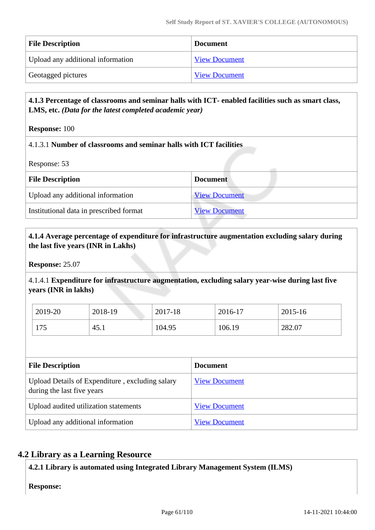| <b>File Description</b>           | <b>Document</b>      |
|-----------------------------------|----------------------|
| Upload any additional information | <b>View Document</b> |
| Geotagged pictures                | <b>View Document</b> |

## **4.1.3 Percentage of classrooms and seminar halls with ICT- enabled facilities such as smart class, LMS, etc.** *(Data for the latest completed academic year)*

**Response:** 100

## 4.1.3.1 **Number of classrooms and seminar halls with ICT facilities**

Response: 53

| <b>File Description</b>                 | <b>Document</b>      |
|-----------------------------------------|----------------------|
| Upload any additional information       | <b>View Document</b> |
| Institutional data in prescribed format | <b>View Document</b> |

## **4.1.4 Average percentage of expenditure for infrastructure augmentation excluding salary during the last five years (INR in Lakhs)**

**Response:** 25.07

4.1.4.1 **Expenditure for infrastructure augmentation, excluding salary year-wise during last five years (INR in lakhs)**

| 2019-20 | 2018-19 | 2017-18 | 2016-17 | 2015-16 |
|---------|---------|---------|---------|---------|
| 175     | 45.1    | 104.95  | 106.19  | 282.07  |

| <b>File Description</b>                                                       | <b>Document</b>      |
|-------------------------------------------------------------------------------|----------------------|
| Upload Details of Expenditure, excluding salary<br>during the last five years | <b>View Document</b> |
| Upload audited utilization statements                                         | <b>View Document</b> |
| Upload any additional information                                             | <b>View Document</b> |

# **4.2 Library as a Learning Resource**

**4.2.1 Library is automated using Integrated Library Management System (ILMS)**

**Response:**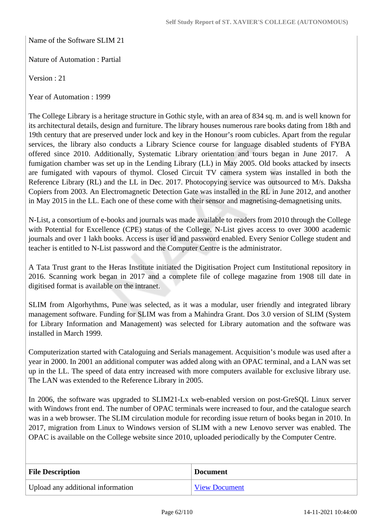Name of the Software SLIM 21

Nature of Automation : Partial

Version : 21

Year of Automation : 1999

The College Library is a heritage structure in Gothic style, with an area of 834 sq. m. and is well known for its architectural details, design and furniture. The library houses numerous rare books dating from 18th and 19th century that are preserved under lock and key in the Honour's room cubicles. Apart from the regular services, the library also conducts a Library Science course for language disabled students of FYBA offered since 2010. Additionally, Systematic Library orientation and tours began in June 2017. A fumigation chamber was set up in the Lending Library (LL) in May 2005. Old books attacked by insects are fumigated with vapours of thymol. Closed Circuit TV camera system was installed in both the Reference Library (RL) and the LL in Dec. 2017. Photocopying service was outsourced to M/s. Daksha Copiers from 2003. An Electromagnetic Detection Gate was installed in the RL in June 2012, and another in May 2015 in the LL. Each one of these come with their sensor and magnetising-demagnetising units.

N-List, a consortium of e-books and journals was made available to readers from 2010 through the College with Potential for Excellence (CPE) status of the College. N-List gives access to over 3000 academic journals and over 1 lakh books. Access is user id and password enabled. Every Senior College student and teacher is entitled to N-List password and the Computer Centre is the administrator.

A Tata Trust grant to the Heras Institute initiated the Digitisation Project cum Institutional repository in 2016. Scanning work began in 2017 and a complete file of college magazine from 1908 till date in digitised format is available on the intranet.

SLIM from Algorhythms, Pune was selected, as it was a modular, user friendly and integrated library management software. Funding for SLIM was from a Mahindra Grant. Dos 3.0 version of SLIM (System for Library Information and Management) was selected for Library automation and the software was installed in March 1999.

Computerization started with Cataloguing and Serials management. Acquisition's module was used after a year in 2000. In 2001 an additional computer was added along with an OPAC terminal, and a LAN was set up in the LL. The speed of data entry increased with more computers available for exclusive library use. The LAN was extended to the Reference Library in 2005.

In 2006, the software was upgraded to SLIM21-Lx web-enabled version on post-GreSQL Linux server with Windows front end. The number of OPAC terminals were increased to four, and the catalogue search was in a web browser. The SLIM circulation module for recording issue return of books began in 2010. In 2017, migration from Linux to Windows version of SLIM with a new Lenovo server was enabled. The OPAC is available on the College website since 2010, uploaded periodically by the Computer Centre.

| <b>File Description</b>           | <b>Document</b>      |
|-----------------------------------|----------------------|
| Upload any additional information | <b>View Document</b> |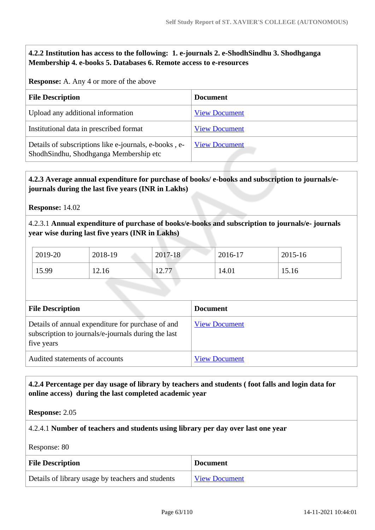## **4.2.2 Institution has access to the following: 1. e-journals 2. e-ShodhSindhu 3. Shodhganga Membership 4. e-books 5. Databases 6. Remote access to e-resources**

**Response:** A. Any 4 or more of the above

| <b>File Description</b>                                                                         | <b>Document</b>      |
|-------------------------------------------------------------------------------------------------|----------------------|
| Upload any additional information                                                               | <b>View Document</b> |
| Institutional data in prescribed format                                                         | <b>View Document</b> |
| Details of subscriptions like e-journals, e-books, e-<br>ShodhSindhu, Shodhganga Membership etc | <b>View Document</b> |

# **4.2.3 Average annual expenditure for purchase of books/ e-books and subscription to journals/ejournals during the last five years (INR in Lakhs)**

**Response:** 14.02

4.2.3.1 **Annual expenditure of purchase of books/e-books and subscription to journals/e- journals year wise during last five years (INR in Lakhs)**

| 2019-20 | 2018-19 | 2017-18         | 2016-17 | 2015-16 |
|---------|---------|-----------------|---------|---------|
| 15.99   | 12.16   | 10.77<br>1/4.11 | 14.01   | 15.16   |

| <b>File Description</b>                                                                                                | <b>Document</b>      |
|------------------------------------------------------------------------------------------------------------------------|----------------------|
| Details of annual expenditure for purchase of and<br>subscription to journals/e-journals during the last<br>five years | <b>View Document</b> |
| Audited statements of accounts                                                                                         | <b>View Document</b> |

# **4.2.4 Percentage per day usage of library by teachers and students ( foot falls and login data for online access) during the last completed academic year**

**Response:** 2.05

4.2.4.1 **Number of teachers and students using library per day over last one year**

Response: 80

| <b>File Description</b>                           | <b>Document</b>      |
|---------------------------------------------------|----------------------|
| Details of library usage by teachers and students | <b>View Document</b> |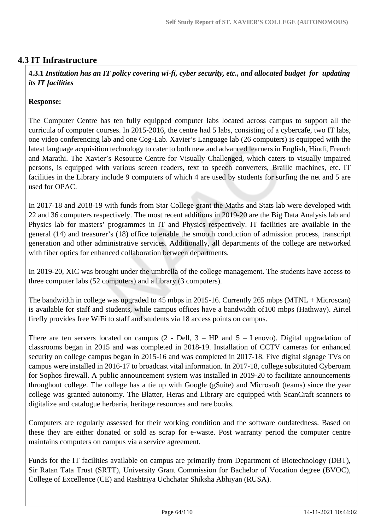# **4.3 IT Infrastructure**

 **4.3.1** *Institution has an IT policy covering wi-fi, cyber security, etc., and allocated budget for updating its IT facilities* 

#### **Response:**

The Computer Centre has ten fully equipped computer labs located across campus to support all the curricula of computer courses. In 2015-2016, the centre had 5 labs, consisting of a cybercafe, two IT labs, one video conferencing lab and one Cog-Lab. Xavier's Language lab (26 computers) is equipped with the latest language acquisition technology to cater to both new and advanced learners in English, Hindi, French and Marathi. The Xavier's Resource Centre for Visually Challenged, which caters to visually impaired persons, is equipped with various screen readers, text to speech converters, Braille machines, etc. IT facilities in the Library include 9 computers of which 4 are used by students for surfing the net and 5 are used for OPAC.

In 2017-18 and 2018-19 with funds from Star College grant the Maths and Stats lab were developed with 22 and 36 computers respectively. The most recent additions in 2019-20 are the Big Data Analysis lab and Physics lab for masters' programmes in IT and Physics respectively. IT facilities are available in the general (14) and treasurer's (18) office to enable the smooth conduction of admission process, transcript generation and other administrative services. Additionally, all departments of the college are networked with fiber optics for enhanced collaboration between departments.

In 2019-20, XIC was brought under the umbrella of the college management. The students have access to three computer labs (52 computers) and a library (3 computers).

The bandwidth in college was upgraded to 45 mbps in 2015-16. Currently 265 mbps (MTNL + Microscan) is available for staff and students, while campus offices have a bandwidth of100 mbps (Hathway). Airtel firefly provides free WiFi to staff and students via 18 access points on campus.

There are ten servers located on campus  $(2 - Dell, 3 - HP)$  and  $5 - Lenovo$ . Digital upgradation of classrooms began in 2015 and was completed in 2018-19. Installation of CCTV cameras for enhanced security on college campus began in 2015-16 and was completed in 2017-18. Five digital signage TVs on campus were installed in 2016-17 to broadcast vital information. In 2017-18, college substituted Cyberoam for Sophos firewall. A public announcement system was installed in 2019-20 to facilitate announcements throughout college. The college has a tie up with Google (gSuite) and Microsoft (teams) since the year college was granted autonomy. The Blatter, Heras and Library are equipped with ScanCraft scanners to digitalize and catalogue herbaria, heritage resources and rare books.

Computers are regularly assessed for their working condition and the software outdatedness. Based on these they are either donated or sold as scrap for e-waste. Post warranty period the computer centre maintains computers on campus via a service agreement.

Funds for the IT facilities available on campus are primarily from Department of Biotechnology (DBT), Sir Ratan Tata Trust (SRTT), University Grant Commission for Bachelor of Vocation degree (BVOC), College of Excellence (CE) and Rashtriya Uchchatar Shiksha Abhiyan (RUSA).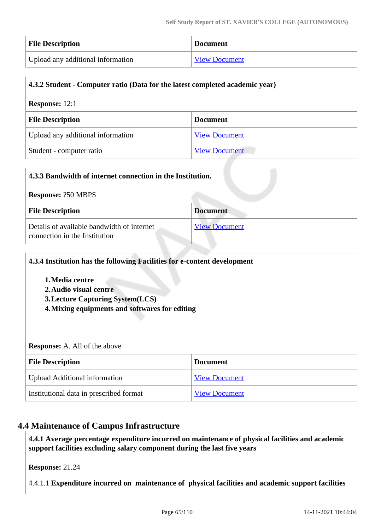| <b>File Description</b>           | <b>Document</b>      |
|-----------------------------------|----------------------|
| Upload any additional information | <b>View Document</b> |

# **4.3.2 Student - Computer ratio (Data for the latest completed academic year) Response:** 12:1 **File Description Document** Upload any additional information [View Document](https://assessmentonline.naac.gov.in/storage/app/hei/SSR/107231/4.3.2_1629791406_6390.pdf) Student - computer ratio [View Document](https://assessmentonline.naac.gov.in/storage/app/hei/SSR/107231/4.3.2_1629791410_6390.pdf)

| 4.3.3 Bandwidth of internet connection in the Institution.                  |                      |  |  |
|-----------------------------------------------------------------------------|----------------------|--|--|
| <b>Response: ?50 MBPS</b>                                                   |                      |  |  |
| <b>File Description</b>                                                     | <b>Document</b>      |  |  |
| Details of available bandwidth of internet<br>connection in the Institution | <b>View Document</b> |  |  |

| 4.3.4 Institution has the following Facilities for e-content development<br>1. Media centre<br>2. Audio visual centre<br><b>3. Lecture Capturing System (LCS)</b><br>4. Mixing equipments and softwares for editing |                      |
|---------------------------------------------------------------------------------------------------------------------------------------------------------------------------------------------------------------------|----------------------|
| <b>Response:</b> A. All of the above                                                                                                                                                                                |                      |
| <b>File Description</b>                                                                                                                                                                                             | <b>Document</b>      |
| <b>Upload Additional information</b>                                                                                                                                                                                | <b>View Document</b> |
| Institutional data in prescribed format                                                                                                                                                                             | <b>View Document</b> |

# **4.4 Maintenance of Campus Infrastructure**

 **4.4.1 Average percentage expenditure incurred on maintenance of physical facilities and academic support facilities excluding salary component during the last five years**

**Response:** 21.24

4.4.1.1 **Expenditure incurred on maintenance of physical facilities and academic support facilities**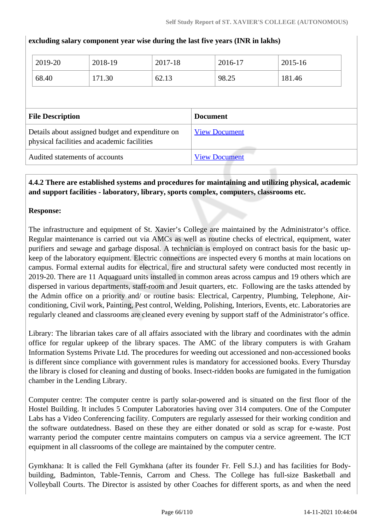| 2019-20                                                                                         | 2018-19 | 2017-18         |                      | 2016-17 | $2015 - 16$ |
|-------------------------------------------------------------------------------------------------|---------|-----------------|----------------------|---------|-------------|
| 68.40                                                                                           | 171.30  | 62.13           |                      | 98.25   | 181.46      |
|                                                                                                 |         |                 |                      |         |             |
|                                                                                                 |         |                 |                      |         |             |
| <b>File Description</b>                                                                         |         | <b>Document</b> |                      |         |             |
| Details about assigned budget and expenditure on<br>physical facilities and academic facilities |         |                 | <b>View Document</b> |         |             |
| Audited statements of accounts                                                                  |         |                 | <b>View Document</b> |         |             |
|                                                                                                 |         |                 |                      |         |             |

**excluding salary component year wise during the last five years (INR in lakhs)** 

## **4.4.2 There are established systems and procedures for maintaining and utilizing physical, academic and support facilities - laboratory, library, sports complex, computers, classrooms etc.**

#### **Response:**

The infrastructure and equipment of St. Xavier's College are maintained by the Administrator's office. Regular maintenance is carried out via AMCs as well as routine checks of electrical, equipment, water purifiers and sewage and garbage disposal. A technician is employed on contract basis for the basic upkeep of the laboratory equipment. Electric connections are inspected every 6 months at main locations on campus. Formal external audits for electrical, fire and structural safety were conducted most recently in 2019-20. There are 11 Aquaguard units installed in common areas across campus and 19 others which are dispersed in various departments, staff-room and Jesuit quarters, etc. Following are the tasks attended by the Admin office on a priority and/ or routine basis: Electrical, Carpentry, Plumbing, Telephone, Airconditioning, Civil work, Painting, Pest control, Welding, Polishing, Interiors, Events, etc. Laboratories are regularly cleaned and classrooms are cleaned every evening by support staff of the Administrator's office.

Library: The librarian takes care of all affairs associated with the library and coordinates with the admin office for regular upkeep of the library spaces. The AMC of the library computers is with Graham Information Systems Private Ltd. The procedures for weeding out accessioned and non-accessioned books is different since compliance with government rules is mandatory for accessioned books. Every Thursday the library is closed for cleaning and dusting of books. Insect-ridden books are fumigated in the fumigation chamber in the Lending Library.

Computer centre: The computer centre is partly solar-powered and is situated on the first floor of the Hostel Building. It includes 5 Computer Laboratories having over 314 computers. One of the Computer Labs has a Video Conferencing facility. Computers are regularly assessed for their working condition and the software outdatedness. Based on these they are either donated or sold as scrap for e-waste. Post warranty period the computer centre maintains computers on campus via a service agreement. The ICT equipment in all classrooms of the college are maintained by the computer centre.

Gymkhana: It is called the Fell Gymkhana (after its founder Fr. Fell S.J.) and has facilities for Bodybuilding, Badminton, Table-Tennis, Carrom and Chess. The College has full-size Basketball and Volleyball Courts. The Director is assisted by other Coaches for different sports, as and when the need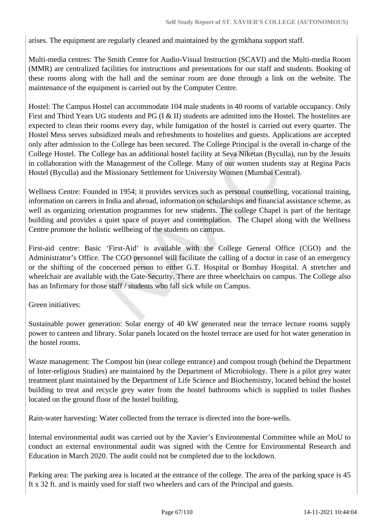arises. The equipment are regularly cleaned and maintained by the gymkhana support staff.

Multi-media centres: The Smith Centre for Audio-Visual Instruction (SCAVI) and the Multi-media Room (MMR) are centralized facilities for instructions and presentations for our staff and students. Booking of these rooms along with the hall and the seminar room are done through a link on the website. The maintenance of the equipment is carried out by the Computer Centre.

Hostel: The Campus Hostel can accommodate 104 male students in 40 rooms of variable occupancy. Only First and Third Years UG students and PG (I & II) students are admitted into the Hostel. The hostelites are expected to clean their rooms every day, while fumigation of the hostel is carried out every quarter. The Hostel Mess serves subsidized meals and refreshments to hostelites and guests. Applications are accepted only after admission to the College has been secured. The College Principal is the overall in-charge of the College Hostel. The College has an additional hostel facility at Seva Niketan (Byculla), run by the Jesuits in collaboration with the Management of the College. Many of our women students stay at Regina Pacis Hostel (Byculla) and the Missionary Settlement for University Women (Mumbai Central).

Wellness Centre: Founded in 1954; it provides services such as personal counselling, vocational training, information on careers in India and abroad, information on scholarships and financial assistance scheme, as well as organizing orientation programmes for new students. The college Chapel is part of the heritage building and provides a quiet space of prayer and contemplation. The Chapel along with the Wellness Centre promote the holistic wellbeing of the students on campus.

First-aid centre: Basic 'First-Aid' is available with the College General Office (CGO) and the Administrator's Office. The CGO personnel will facilitate the calling of a doctor in case of an emergency or the shifting of the concerned person to either G.T. Hospital or Bombay Hospital. A stretcher and wheelchair are available with the Gate-Security. There are three wheelchairs on campus. The College also has an Infirmary for those staff / students who fall sick while on Campus.

Green initiatives:

Sustainable power generation: Solar energy of 40 kW generated near the terrace lecture rooms supply power to canteen and library. Solar panels located on the hostel terrace are used for hot water generation in the hostel rooms.

Waste management: The Compost bin (near college entrance) and compost trough (behind the Department of Inter-religious Studies) are maintained by the Department of Microbiology. There is a pilot grey water treatment plant maintained by the Department of Life Science and Biochemistry, located behind the hostel building to treat and recycle grey water from the hostel bathrooms which is supplied to toilet flushes located on the ground floor of the hostel building.

Rain-water harvesting: Water collected from the terrace is directed into the bore-wells.

Internal environmental audit was carried out by the Xavier's Environmental Committee while an MoU to conduct an external environmental audit was signed with the Centre for Environmental Research and Education in March 2020. The audit could not be completed due to the lockdown.

Parking area: The parking area is located at the entrance of the college. The area of the parking space is 45 ft x 32 ft. and is mainly used for staff two wheelers and cars of the Principal and guests.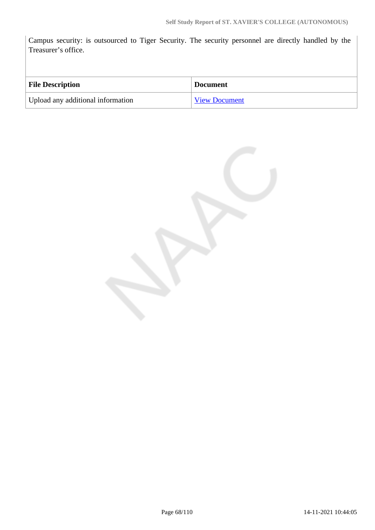Campus security: is outsourced to Tiger Security. The security personnel are directly handled by the Treasurer's office.

| <b>File Description</b>           | Document             |
|-----------------------------------|----------------------|
| Upload any additional information | <b>View Document</b> |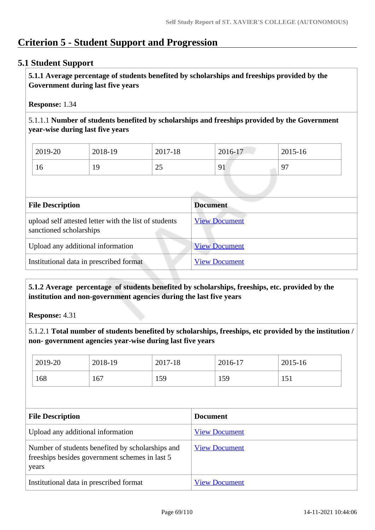# **Criterion 5 - Student Support and Progression**

# **5.1 Student Support**

 **5.1.1 Average percentage of students benefited by scholarships and freeships provided by the Government during last five years** 

## **Response:** 1.34

5.1.1.1 **Number of students benefited by scholarships and freeships provided by the Government year-wise during last five years**

| 2019-20 | 2018-19 | 2017-18  | 2016-17                                    | 2015-16  |
|---------|---------|----------|--------------------------------------------|----------|
| 16      | Q       | า<<br>رے | Q <sub>1</sub><br>$\overline{\phantom{a}}$ | $\Omega$ |

| <b>Document</b>      |
|----------------------|
| <b>View Document</b> |
| <b>View Document</b> |
| <b>View Document</b> |
|                      |

 **5.1.2 Average percentage of students benefited by scholarships, freeships, etc. provided by the institution and non-government agencies during the last five years**

**Response:** 4.31

5.1.2.1 **Total number of students benefited by scholarships, freeships, etc provided by the institution / non- government agencies year-wise during last five years**

| 2019-20                                                                                                     | 2018-19 | 2017-18 |                      |                 | 2015-16 |  |
|-------------------------------------------------------------------------------------------------------------|---------|---------|----------------------|-----------------|---------|--|
| 168                                                                                                         | 167     | 159     |                      |                 | 151     |  |
|                                                                                                             |         |         |                      |                 |         |  |
| <b>File Description</b>                                                                                     |         |         |                      | <b>Document</b> |         |  |
| Upload any additional information                                                                           |         |         | <b>View Document</b> |                 |         |  |
| Number of students benefited by scholarships and<br>freeships besides government schemes in last 5<br>years |         |         | <b>View Document</b> |                 |         |  |
| Institutional data in prescribed format                                                                     |         |         | <b>View Document</b> |                 |         |  |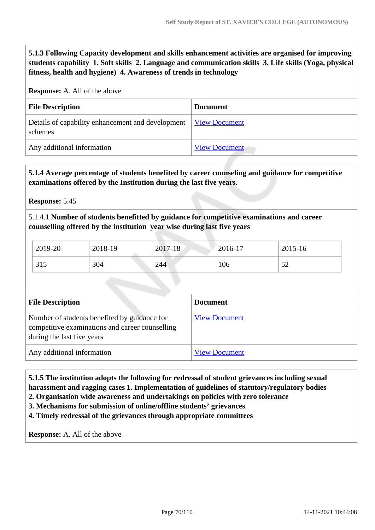**5.1.3 Following Capacity development and skills enhancement activities are organised for improving students capability 1. Soft skills 2. Language and communication skills 3. Life skills (Yoga, physical fitness, health and hygiene) 4. Awareness of trends in technology**

#### **Response:** A. All of the above

| <b>File Description</b>                                                    | <b>Document</b>      |
|----------------------------------------------------------------------------|----------------------|
| Details of capability enhancement and development View Document<br>schemes |                      |
| Any additional information                                                 | <b>View Document</b> |

#### **5.1.4 Average percentage of students benefited by career counseling and guidance for competitive examinations offered by the Institution during the last five years.**

**Response:** 5.45

5.1.4.1 **Number of students benefitted by guidance for competitive examinations and career counselling offered by the institution year wise during last five years**

| 2019-20 | 2018-19 | 2017-18 | 2016-17 | 2015-16            |
|---------|---------|---------|---------|--------------------|
| 315     | 304     | 244     | 106     | $5^{\circ}$<br>ے ر |

| <b>File Description</b>                                                                                                       | <b>Document</b>      |  |  |  |
|-------------------------------------------------------------------------------------------------------------------------------|----------------------|--|--|--|
| Number of students benefited by guidance for<br>competitive examinations and career counselling<br>during the last five years | <b>View Document</b> |  |  |  |
| Any additional information                                                                                                    | <b>View Document</b> |  |  |  |

# **5.1.5 The institution adopts the following for redressal of student grievances including sexual harassment and ragging cases 1. Implementation of guidelines of statutory/regulatory bodies**

- **2. Organisation wide awareness and undertakings on policies with zero tolerance**
- **3. Mechanisms for submission of online/offline students' grievances**

**4. Timely redressal of the grievances through appropriate committees**

**Response:** A. All of the above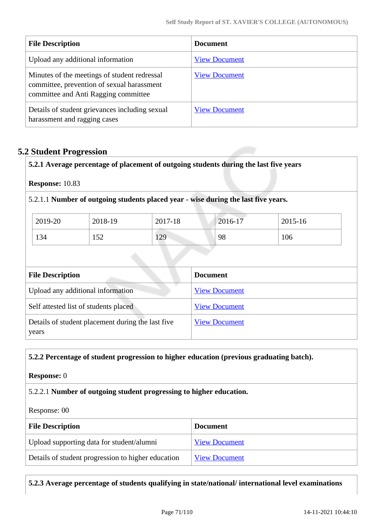| <b>File Description</b>                                                                                                            | <b>Document</b>      |
|------------------------------------------------------------------------------------------------------------------------------------|----------------------|
| Upload any additional information                                                                                                  | <b>View Document</b> |
| Minutes of the meetings of student redressal<br>committee, prevention of sexual harassment<br>committee and Anti Ragging committee | <b>View Document</b> |
| Details of student grievances including sexual<br>harassment and ragging cases                                                     | <b>View Document</b> |

# **5.2 Student Progression**

**5.2.1 Average percentage of placement of outgoing students during the last five years**

**Response:** 10.83

5.2.1.1 **Number of outgoing students placed year - wise during the last five years.**

| 2019-20 | 2018-19     | 2017-18 | 2016-17 | 2015-16 |
|---------|-------------|---------|---------|---------|
| 134     | 52<br>1 J 4 | 129     | 98      | 106     |

| <b>File Description</b>                                    | <b>Document</b>      |
|------------------------------------------------------------|----------------------|
| Upload any additional information                          | <b>View Document</b> |
| Self attested list of students placed                      | <b>View Document</b> |
| Details of student placement during the last five<br>years | <b>View Document</b> |
|                                                            |                      |

#### **5.2.2 Percentage of student progression to higher education (previous graduating batch).**

#### **Response:** 0

5.2.2.1 **Number of outgoing student progressing to higher education.**

Response: 00

| <b>File Description</b>                            | <b>Document</b>      |
|----------------------------------------------------|----------------------|
| Upload supporting data for student/alumni          | <b>View Document</b> |
| Details of student progression to higher education | <b>View Document</b> |

**5.2.3 Average percentage of students qualifying in state/national/ international level examinations**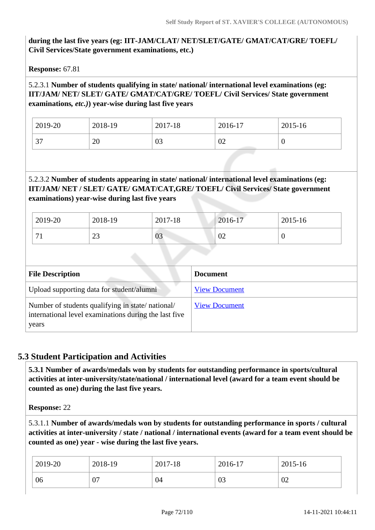# **during the last five years (eg: IIT-JAM/CLAT/ NET/SLET/GATE/ GMAT/CAT/GRE/ TOEFL/ Civil Services/State government examinations, etc.)**

**Response:** 67.81

## 5.2.3.1 **Number of students qualifying in state/ national/ international level examinations (eg: IIT/JAM/ NET/ SLET/ GATE/ GMAT/CAT/GRE/ TOEFL/ Civil Services/ State government examinations***, etc.)***) year-wise during last five years**

| 2019-20       | 2018-19 | 2017-18 | 2016-17 | 2015-16 |
|---------------|---------|---------|---------|---------|
| $\sim$<br>، ب | 20      | 03      | 02      | ν       |

# 5.2.3.2 **Number of students appearing in state/ national/ international level examinations (eg: IIT/JAM/ NET / SLET/ GATE/ GMAT/CAT,GRE/ TOEFL/ Civil Services/ State government examinations) year-wise during last five years**

| 2019-20     | 2018-19      | 2017-18 | 2016-17 | 2015-16 |
|-------------|--------------|---------|---------|---------|
| $\sim$<br>ட | $\sim$<br>رے | 03      | 02      | ◡       |

| <b>File Description</b>                                                                                            | <b>Document</b>      |
|--------------------------------------------------------------------------------------------------------------------|----------------------|
| Upload supporting data for student/alumni                                                                          | <b>View Document</b> |
| Number of students qualifying in state/national/<br>international level examinations during the last five<br>years | <b>View Document</b> |

# **5.3 Student Participation and Activities**

 **5.3.1 Number of awards/medals won by students for outstanding performance in sports/cultural activities at inter-university/state/national / international level (award for a team event should be counted as one) during the last five years.**

**Response:** 22

5.3.1.1 **Number of awards/medals won by students for outstanding performance in sports / cultural activities at inter-university / state / national / international events (award for a team event should be counted as one) year - wise during the last five years.**

| 2019-20 | 2018-19  | 2017-18 | 2016-17 | $2015 - 16$ |
|---------|----------|---------|---------|-------------|
| 06      | ∩⊓<br>v, | 04      | 03      | 02          |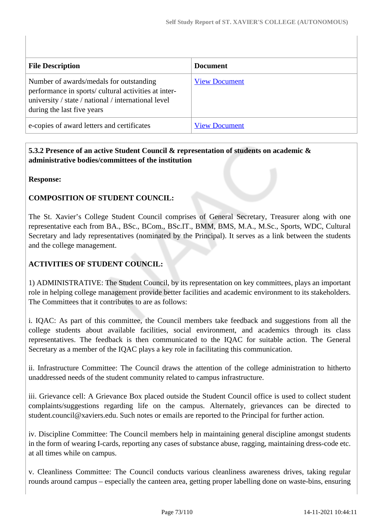| <b>File Description</b>                                                                                                                                                              | <b>Document</b>      |
|--------------------------------------------------------------------------------------------------------------------------------------------------------------------------------------|----------------------|
| Number of awards/medals for outstanding<br>performance in sports/ cultural activities at inter-<br>university / state / national / international level<br>during the last five years | <b>View Document</b> |
| e-copies of award letters and certificates                                                                                                                                           | <b>View Document</b> |

#### **5.3.2 Presence of an active Student Council & representation of students on academic & administrative bodies/committees of the institution**

#### **Response:**

## **COMPOSITION OF STUDENT COUNCIL:**

The St. Xavier's College Student Council comprises of General Secretary, Treasurer along with one representative each from BA., BSc., BCom., BSc.IT., BMM, BMS, M.A., M.Sc., Sports, WDC, Cultural Secretary and lady representatives (nominated by the Principal). It serves as a link between the students and the college management.

## **ACTIVITIES OF STUDENT COUNCIL:**

1) ADMINISTRATIVE: The Student Council, by its representation on key committees, plays an important role in helping college management provide better facilities and academic environment to its stakeholders. The Committees that it contributes to are as follows:

i. IQAC: As part of this committee, the Council members take feedback and suggestions from all the college students about available facilities, social environment, and academics through its class representatives. The feedback is then communicated to the IQAC for suitable action. The General Secretary as a member of the IQAC plays a key role in facilitating this communication.

ii. Infrastructure Committee: The Council draws the attention of the college administration to hitherto unaddressed needs of the student community related to campus infrastructure.

iii. Grievance cell: A Grievance Box placed outside the Student Council office is used to collect student complaints/suggestions regarding life on the campus. Alternately, grievances can be directed to student.council@xaviers.edu. Such notes or emails are reported to the Principal for further action.

iv. Discipline Committee: The Council members help in maintaining general discipline amongst students in the form of wearing I-cards, reporting any cases of substance abuse, ragging, maintaining dress-code etc. at all times while on campus.

v. Cleanliness Committee: The Council conducts various cleanliness awareness drives, taking regular rounds around campus – especially the canteen area, getting proper labelling done on waste-bins, ensuring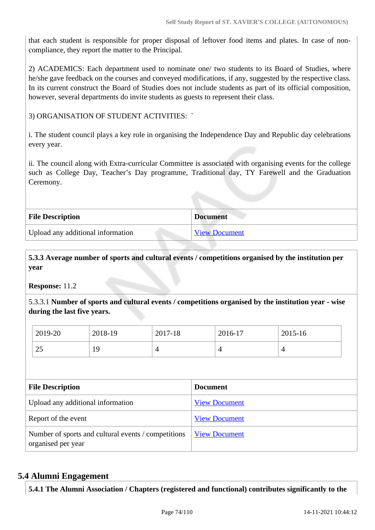that each student is responsible for proper disposal of leftover food items and plates. In case of noncompliance, they report the matter to the Principal.

2) ACADEMICS: Each department used to nominate one/ two students to its Board of Studies, where he/she gave feedback on the courses and conveyed modifications, if any, suggested by the respective class. In its current construct the Board of Studies does not include students as part of its official composition, however, several departments do invite students as guests to represent their class.

3) ORGANISATION OF STUDENT ACTIVITIES: `

i. The student council plays a key role in organising the Independence Day and Republic day celebrations every year.

ii. The council along with Extra-curricular Committee is associated with organising events for the college such as College Day, Teacher's Day programme, Traditional day, TY Farewell and the Graduation Ceremony.

| <b>File Description</b>           | <b>Document</b> |
|-----------------------------------|-----------------|
| Upload any additional information | View Document   |

 **5.3.3 Average number of sports and cultural events / competitions organised by the institution per year**

**Response:** 11.2

5.3.3.1 **Number of sports and cultural events / competitions organised by the institution year - wise during the last five years.**

| 2019-20         | 2018-19  | 2017-18 | 2016-17 | 2015-16 |
|-----------------|----------|---------|---------|---------|
| $\gamma$<br>ر ے | Q<br>* * |         |         | 4       |

| <b>File Description</b>                                                   | <b>Document</b>      |
|---------------------------------------------------------------------------|----------------------|
| Upload any additional information                                         | <b>View Document</b> |
| Report of the event                                                       | <b>View Document</b> |
| Number of sports and cultural events / competitions<br>organised per year | <b>View Document</b> |

## **5.4 Alumni Engagement**

**5.4.1 The Alumni Association / Chapters (registered and functional) contributes significantly to the**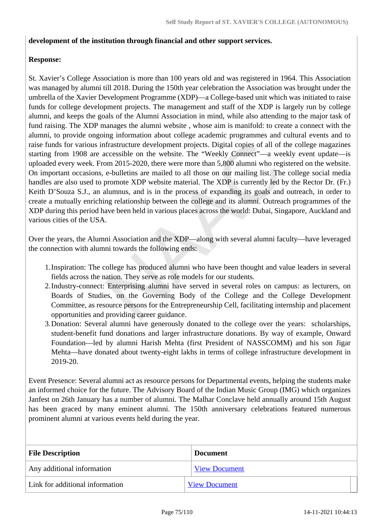#### **development of the institution through financial and other support services.**

#### **Response:**

St. Xavier's College Association is more than 100 years old and was registered in 1964. This Association was managed by alumni till 2018. During the 150th year celebration the Association was brought under the umbrella of the Xavier Development Programme (XDP)—a College-based unit which was initiated to raise funds for college development projects. The management and staff of the XDP is largely run by college alumni, and keeps the goals of the Alumni Association in mind, while also attending to the major task of fund raising. The XDP manages the alumni website , whose aim is manifold: to create a connect with the alumni, to provide ongoing information about college academic programmes and cultural events and to raise funds for various infrastructure development projects. Digital copies of all of the college magazines starting from 1908 are accessible on the website. The "Weekly Connect"—a weekly event update—is uploaded every week. From 2015-2020, there were more than 5,800 alumni who registered on the website. On important occasions, e-bulletins are mailed to all those on our mailing list. The college social media handles are also used to promote XDP website material. The XDP is currently led by the Rector Dr. (Fr.) Keith D'Souza S.J., an alumnus, and is in the process of expanding its goals and outreach, in order to create a mutually enriching relationship between the college and its alumni. Outreach programmes of the XDP during this period have been held in various places across the world: Dubai, Singapore, Auckland and various cities of the USA.

Over the years, the Alumni Association and the XDP—along with several alumni faculty—have leveraged the connection with alumni towards the following ends:

- 1.Inspiration: The college has produced alumni who have been thought and value leaders in several fields across the nation. They serve as role models for our students.
- 2.Industry-connect: Enterprising alumni have served in several roles on campus: as lecturers, on Boards of Studies, on the Governing Body of the College and the College Development Committee, as resource persons for the Entrepreneurship Cell, facilitating internship and placement opportunities and providing career guidance.
- 3.Donation: Several alumni have generously donated to the college over the years: scholarships, student-benefit fund donations and larger infrastructure donations. By way of example, Onward Foundation—led by alumni Harish Mehta (first President of NASSCOMM) and his son Jigar Mehta—have donated about twenty-eight lakhs in terms of college infrastructure development in 2019-20.

Event Presence: Several alumni act as resource persons for Departmental events, helping the students make an informed choice for the future. The Advisory Board of the Indian Music Group (IMG) which organizes Janfest on 26th January has a number of alumni. The Malhar Conclave held annually around 15th August has been graced by many eminent alumni. The 150th anniversary celebrations featured numerous prominent alumni at various events held during the year.

| <b>File Description</b>         | <b>Document</b>      |  |
|---------------------------------|----------------------|--|
| Any additional information      | <b>View Document</b> |  |
| Link for additional information | <b>View Document</b> |  |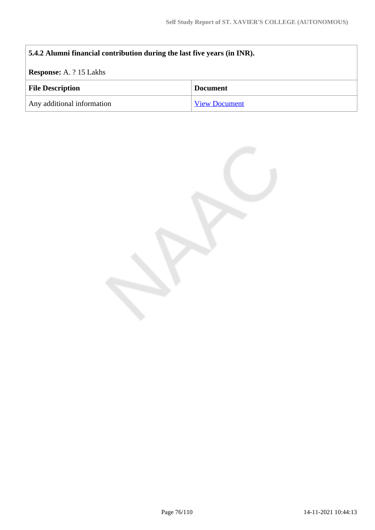# **5.4.2 Alumni financial contribution during the last five years (in INR). Response:** A. ? 15 Lakhs **File Description Document** Any additional information [View Document](https://assessmentonline.naac.gov.in/storage/app/hei/SSR/107231/5.4.2_1630238417_6390.pdf)

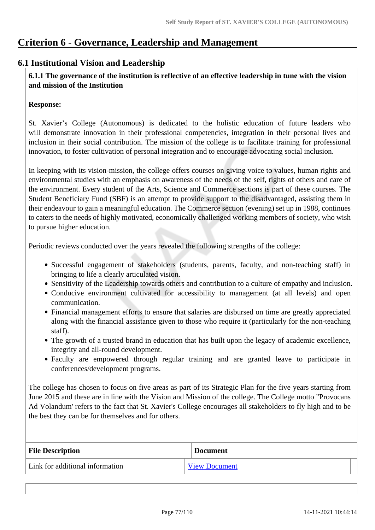# **Criterion 6 - Governance, Leadership and Management**

## **6.1 Institutional Vision and Leadership**

 **6.1.1 The governance of the institution is reflective of an effective leadership in tune with the vision and mission of the Institution**

#### **Response:**

St. Xavier's College (Autonomous) is dedicated to the holistic education of future leaders who will demonstrate innovation in their professional competencies, integration in their personal lives and inclusion in their social contribution. The mission of the college is to facilitate training for professional innovation, to foster cultivation of personal integration and to encourage advocating social inclusion.

In keeping with its vision-mission, the college offers courses on giving voice to values, human rights and environmental studies with an emphasis on awareness of the needs of the self, rights of others and care of the environment. Every student of the Arts, Science and Commerce sections is part of these courses. The Student Beneficiary Fund (SBF) is an attempt to provide support to the disadvantaged, assisting them in their endeavour to gain a meaningful education. The Commerce section (evening) set up in 1988, continues to caters to the needs of highly motivated, economically challenged working members of society, who wish to pursue higher education.

Periodic reviews conducted over the years revealed the following strengths of the college:

- Successful engagement of stakeholders (students, parents, faculty, and non-teaching staff) in bringing to life a clearly articulated vision.
- Sensitivity of the Leadership towards others and contribution to a culture of empathy and inclusion.
- Conducive environment cultivated for accessibility to management (at all levels) and open communication.
- Financial management efforts to ensure that salaries are disbursed on time are greatly appreciated along with the financial assistance given to those who require it (particularly for the non-teaching staff).
- The growth of a trusted brand in education that has built upon the legacy of academic excellence, integrity and all-round development.
- Faculty are empowered through regular training and are granted leave to participate in conferences/development programs.

The college has chosen to focus on five areas as part of its Strategic Plan for the five years starting from June 2015 and these are in line with the Vision and Mission of the college. The College motto "Provocans Ad Volandum' refers to the fact that St. Xavier's College encourages all stakeholders to fly high and to be the best they can be for themselves and for others.

| <b>File Description</b>         | <b>Document</b>      |
|---------------------------------|----------------------|
| Link for additional information | <b>View Document</b> |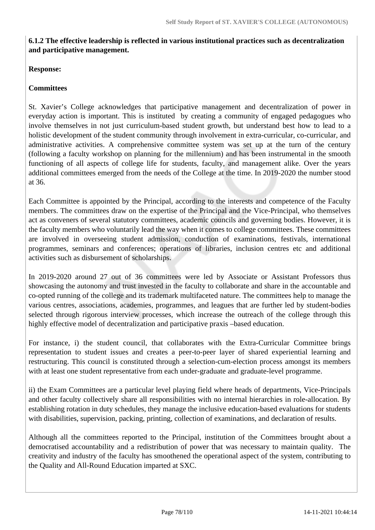#### **6.1.2 The effective leadership is reflected in various institutional practices such as decentralization and participative management.**

#### **Response:**

#### **Committees**

St. Xavier's College acknowledges that participative management and decentralization of power in everyday action is important. This is instituted by creating a community of engaged pedagogues who involve themselves in not just curriculum-based student growth, but understand best how to lead to a holistic development of the student community through involvement in extra-curricular, co-curricular, and administrative activities. A comprehensive committee system was set up at the turn of the century (following a faculty workshop on planning for the millennium) and has been instrumental in the smooth functioning of all aspects of college life for students, faculty, and management alike. Over the years additional committees emerged from the needs of the College at the time. In 2019-2020 the number stood at 36.

Each Committee is appointed by the Principal, according to the interests and competence of the Faculty members. The committees draw on the expertise of the Principal and the Vice-Principal, who themselves act as conveners of several statutory committees, academic councils and governing bodies. However, it is the faculty members who voluntarily lead the way when it comes to college committees. These committees are involved in overseeing student admission, conduction of examinations, festivals, international programmes, seminars and conferences; operations of libraries, inclusion centres etc and additional activities such as disbursement of scholarships.

In 2019-2020 around 27 out of 36 committees were led by Associate or Assistant Professors thus showcasing the autonomy and trust invested in the faculty to collaborate and share in the accountable and co-opted running of the college and its trademark multifaceted nature. The committees help to manage the various centres, associations, academies, programmes, and leagues that are further led by student-bodies selected through rigorous interview processes, which increase the outreach of the college through this highly effective model of decentralization and participative praxis –based education.

For instance, i) the student council, that collaborates with the Extra-Curricular Committee brings representation to student issues and creates a peer-to-peer layer of shared experiential learning and restructuring. This council is constituted through a selection-cum-election process amongst its members with at least one student representative from each under-graduate and graduate-level programme.

ii) the Exam Committees are a particular level playing field where heads of departments, Vice-Principals and other faculty collectively share all responsibilities with no internal hierarchies in role-allocation. By establishing rotation in duty schedules, they manage the inclusive education-based evaluations for students with disabilities, supervision, packing, printing, collection of examinations, and declaration of results.

Although all the committees reported to the Principal, institution of the Committees brought about a democratised accountability and a redistribution of power that was necessary to maintain quality. The creativity and industry of the faculty has smoothened the operational aspect of the system, contributing to the Quality and All-Round Education imparted at SXC.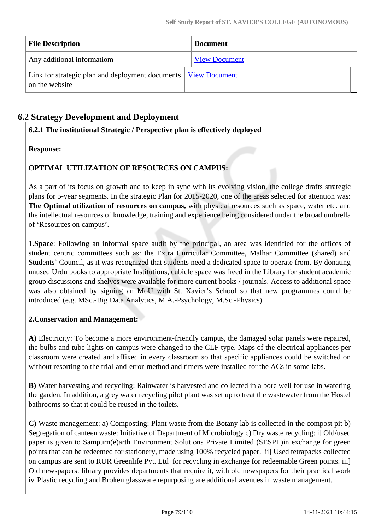| <b>File Description</b>                                                                   | <b>Document</b>      |
|-------------------------------------------------------------------------------------------|----------------------|
| Any additional informatiom                                                                | <b>View Document</b> |
| Link for strategic plan and deployment documents   <u>View Document</u><br>on the website |                      |

# **6.2 Strategy Development and Deployment**

## **6.2.1 The institutional Strategic / Perspective plan is effectively deployed**

## **Response:**

# **OPTIMAL UTILIZATION OF RESOURCES ON CAMPUS:**

As a part of its focus on growth and to keep in sync with its evolving vision, the college drafts strategic plans for 5-year segments. In the strategic Plan for 2015-2020, one of the areas selected for attention was: **The Optimal utilization of resources on campus,** with physical resources such as space, water etc. and the intellectual resources of knowledge, training and experience being considered under the broad umbrella of 'Resources on campus'.

**1.Space**: Following an informal space audit by the principal, an area was identified for the offices of student centric committees such as: the Extra Curricular Committee, Malhar Committee (shared) and Students' Council, as it was recognized that students need a dedicated space to operate from. By donating unused Urdu books to appropriate Institutions, cubicle space was freed in the Library for student academic group discussions and shelves were available for more current books / journals. Access to additional space was also obtained by signing an MoU with St. Xavier's School so that new programmes could be introduced (e.g. MSc.-Big Data Analytics, M.A.-Psychology, M.Sc.-Physics)

## **2.Conservation and Management:**

**A)** Electricity: To become a more environment-friendly campus, the damaged solar panels were repaired, the bulbs and tube lights on campus were changed to the CLF type. Maps of the electrical appliances per classroom were created and affixed in every classroom so that specific appliances could be switched on without resorting to the trial-and-error-method and timers were installed for the ACs in some labs.

**B)** Water harvesting and recycling: Rainwater is harvested and collected in a bore well for use in watering the garden. In addition, a grey water recycling pilot plant was set up to treat the wastewater from the Hostel bathrooms so that it could be reused in the toilets.

**C)** Waste management: a) Composting: Plant waste from the Botany lab is collected in the compost pit b) Segregation of canteen waste: Initiative of Department of Microbiology c) Dry waste recycling: i] Old/used paper is given to Sampurn(e)arth Environment Solutions Private Limited (SESPL)in exchange for green points that can be redeemed for stationery, made using 100% recycled paper. ii] Used tetrapacks collected on campus are sent to RUR Greenlife Pvt. Ltd for recycling in exchange for redeemable Green points. iii] Old newspapers: library provides departments that require it, with old newspapers for their practical work iv]Plastic recycling and Broken glassware repurposing are additional avenues in waste management.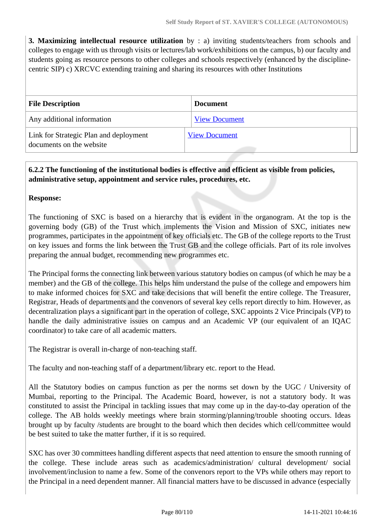**3. Maximizing intellectual resource utilization** by : a) inviting students/teachers from schools and colleges to engage with us through visits or lectures/lab work/exhibitions on the campus, b) our faculty and students going as resource persons to other colleges and schools respectively (enhanced by the disciplinecentric SIP) c) XRCVC extending training and sharing its resources with other Institutions

| <b>File Description</b>                                            | <b>Document</b>      |
|--------------------------------------------------------------------|----------------------|
| Any additional information                                         | <b>View Document</b> |
| Link for Strategic Plan and deployment<br>documents on the website | <b>View Document</b> |

# **6.2.2 The functioning of the institutional bodies is effective and efficient as visible from policies, administrative setup, appointment and service rules, procedures, etc.**

## **Response:**

The functioning of SXC is based on a hierarchy that is evident in the organogram. At the top is the governing body (GB) of the Trust which implements the Vision and Mission of SXC, initiates new programmes, participates in the appointment of key officials etc. The GB of the college reports to the Trust on key issues and forms the link between the Trust GB and the college officials. Part of its role involves preparing the annual budget, recommending new programmes etc.

The Principal forms the connecting link between various statutory bodies on campus (of which he may be a member) and the GB of the college. This helps him understand the pulse of the college and empowers him to make informed choices for SXC and take decisions that will benefit the entire college. The Treasurer, Registrar, Heads of departments and the convenors of several key cells report directly to him. However, as decentralization plays a significant part in the operation of college, SXC appoints 2 Vice Principals (VP) to handle the daily administrative issues on campus and an Academic VP (our equivalent of an IQAC coordinator) to take care of all academic matters.

The Registrar is overall in-charge of non-teaching staff.

The faculty and non-teaching staff of a department/library etc. report to the Head.

All the Statutory bodies on campus function as per the norms set down by the UGC / University of Mumbai, reporting to the Principal. The Academic Board, however, is not a statutory body. It was constituted to assist the Principal in tackling issues that may come up in the day-to-day operation of the college. The AB holds weekly meetings where brain storming/planning/trouble shooting occurs. Ideas brought up by faculty /students are brought to the board which then decides which cell/committee would be best suited to take the matter further, if it is so required.

SXC has over 30 committees handling different aspects that need attention to ensure the smooth running of the college. These include areas such as academics/administration/ cultural development/ social involvement/inclusion to name a few. Some of the convenors report to the VPs while others may report to the Principal in a need dependent manner. All financial matters have to be discussed in advance (especially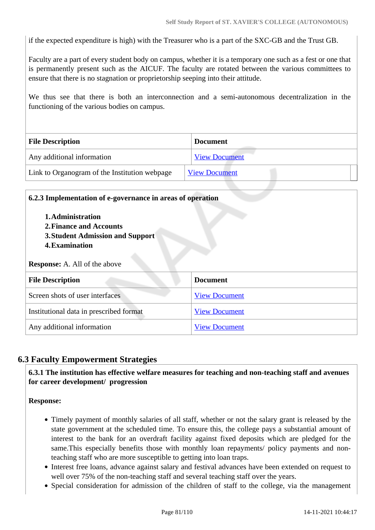if the expected expenditure is high) with the Treasurer who is a part of the SXC-GB and the Trust GB.

Faculty are a part of every student body on campus, whether it is a temporary one such as a fest or one that is permanently present such as the AICUF. The faculty are rotated between the various committees to ensure that there is no stagnation or proprietorship seeping into their attitude.

We thus see that there is both an interconnection and a semi-autonomous decentralization in the functioning of the various bodies on campus.

| <b>File Description</b>                       | <b>Document</b>      |  |
|-----------------------------------------------|----------------------|--|
| Any additional information                    | <b>View Document</b> |  |
| Link to Organogram of the Institution webpage | <b>View Document</b> |  |

| 6.2.3 Implementation of e-governance in areas of operation                                                                                        |                      |  |  |
|---------------------------------------------------------------------------------------------------------------------------------------------------|----------------------|--|--|
| 1. Administration<br>2. Finance and Accounts<br><b>3. Student Admission and Support</b><br>4. Examination<br><b>Response:</b> A. All of the above |                      |  |  |
|                                                                                                                                                   |                      |  |  |
| <b>File Description</b>                                                                                                                           | <b>Document</b>      |  |  |
| Screen shots of user interfaces                                                                                                                   | <b>View Document</b> |  |  |
| Institutional data in prescribed format                                                                                                           | <b>View Document</b> |  |  |
| Any additional information                                                                                                                        | <b>View Document</b> |  |  |

## **6.3 Faculty Empowerment Strategies**

 **6.3.1 The institution has effective welfare measures for teaching and non-teaching staff and avenues for career development/ progression** 

**Response:** 

- Timely payment of monthly salaries of all staff, whether or not the salary grant is released by the state government at the scheduled time. To ensure this, the college pays a substantial amount of interest to the bank for an overdraft facility against fixed deposits which are pledged for the same.This especially benefits those with monthly loan repayments/ policy payments and nonteaching staff who are more susceptible to getting into loan traps.
- Interest free loans, advance against salary and festival advances have been extended on request to well over 75% of the non-teaching staff and several teaching staff over the years.
- Special consideration for admission of the children of staff to the college, via the management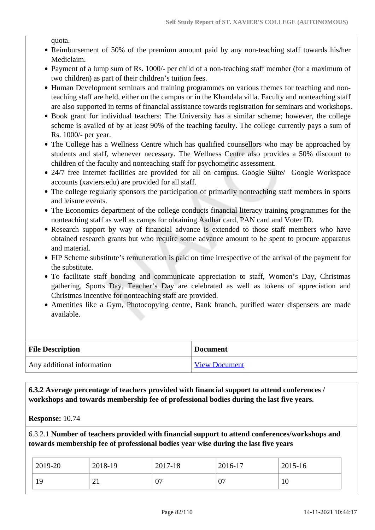quota.

- Reimbursement of 50% of the premium amount paid by any non-teaching staff towards his/her Mediclaim.
- Payment of a lump sum of Rs. 1000/- per child of a non-teaching staff member (for a maximum of two children) as part of their children's tuition fees.
- Human Development seminars and training programmes on various themes for teaching and nonteaching staff are held, either on the campus or in the Khandala villa. Faculty and nonteaching staff are also supported in terms of financial assistance towards registration for seminars and workshops.
- Book grant for individual teachers: The University has a similar scheme; however, the college scheme is availed of by at least 90% of the teaching faculty. The college currently pays a sum of Rs. 1000/- per year.
- The College has a Wellness Centre which has qualified counsellors who may be approached by students and staff, whenever necessary. The Wellness Centre also provides a 50% discount to children of the faculty and nonteaching staff for psychometric assessment.
- 24/7 free Internet facilities are provided for all on campus. Google Suite/ Google Workspace accounts (xaviers.edu) are provided for all staff.
- The college regularly sponsors the participation of primarily nonteaching staff members in sports and leisure events.
- The Economics department of the college conducts financial literacy training programmes for the nonteaching staff as well as camps for obtaining Aadhar card, PAN card and Voter ID.
- Research support by way of financial advance is extended to those staff members who have obtained research grants but who require some advance amount to be spent to procure apparatus and material.
- FIP Scheme substitute's remuneration is paid on time irrespective of the arrival of the payment for the substitute.
- To facilitate staff bonding and communicate appreciation to staff, Women's Day, Christmas gathering, Sports Day, Teacher's Day are celebrated as well as tokens of appreciation and Christmas incentive for nonteaching staff are provided.
- Amenities like a Gym, Photocopying centre, Bank branch, purified water dispensers are made available.

| <b>File Description</b>    | <b>Document</b>      |
|----------------------------|----------------------|
| Any additional information | <b>View Document</b> |

 **6.3.2 Average percentage of teachers provided with financial support to attend conferences / workshops and towards membership fee of professional bodies during the last five years.**

**Response:** 10.74

6.3.2.1 **Number of teachers provided with financial support to attend conferences/workshops and towards membership fee of professional bodies year wise during the last five years**

| 2019-20 | 2018-19  | 2017-18 | 2016-17 | 2015-16 |
|---------|----------|---------|---------|---------|
| 19      | $\sim$ 1 | 07      | 07      | 1 U     |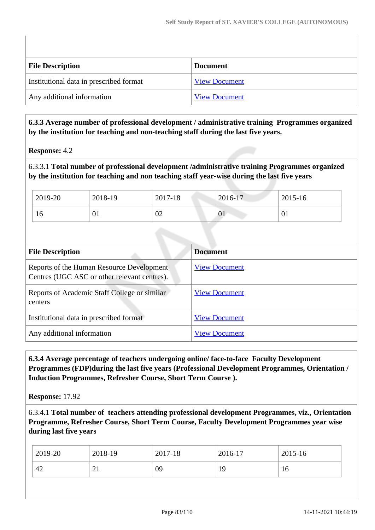| <b>File Description</b>                 | <b>Document</b>      |
|-----------------------------------------|----------------------|
| Institutional data in prescribed format | <b>View Document</b> |
| Any additional information              | <b>View Document</b> |

 **6.3.3 Average number of professional development / administrative training Programmes organized by the institution for teaching and non-teaching staff during the last five years.**

**Response:** 4.2

6.3.3.1 **Total number of professional development /administrative training Programmes organized by the institution for teaching and non teaching staff year-wise during the last five years**

| 2019-20 | 2018-19 | 2017-18 | 2016-17 | 2015-16 |
|---------|---------|---------|---------|---------|
| 16      | VI.     | 02      | 01      | UI      |

| <b>File Description</b>                                                                   | <b>Document</b>      |
|-------------------------------------------------------------------------------------------|----------------------|
| Reports of the Human Resource Development<br>Centres (UGC ASC or other relevant centres). | <b>View Document</b> |
| Reports of Academic Staff College or similar<br>centers                                   | <b>View Document</b> |
| Institutional data in prescribed format                                                   | <b>View Document</b> |
| Any additional information                                                                | <b>View Document</b> |

 **6.3.4 Average percentage of teachers undergoing online/ face-to-face Faculty Development Programmes (FDP)during the last five years (Professional Development Programmes, Orientation / Induction Programmes, Refresher Course, Short Term Course ).**

**Response:** 17.92

6.3.4.1 **Total number of teachers attending professional development Programmes, viz., Orientation Programme, Refresher Course, Short Term Course, Faculty Development Programmes year wise during last five years**

| 2019-20 | 2018-19  | 2017-18 | 2016-17 | 2015-16 |
|---------|----------|---------|---------|---------|
| 42      | $\sim$ 1 | 09      | 19      | 10      |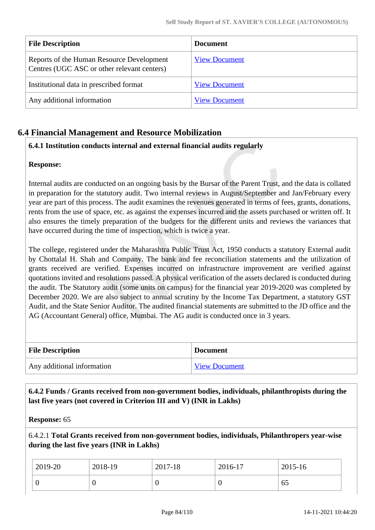| <b>File Description</b>                                                                  | <b>Document</b>      |
|------------------------------------------------------------------------------------------|----------------------|
| Reports of the Human Resource Development<br>Centres (UGC ASC or other relevant centers) | <b>View Document</b> |
| Institutional data in prescribed format                                                  | <b>View Document</b> |
| Any additional information                                                               | <b>View Document</b> |

# **6.4 Financial Management and Resource Mobilization**

# **6.4.1 Institution conducts internal and external financial audits regularly**

#### **Response:**

Internal audits are conducted on an ongoing basis by the Bursar of the Parent Trust, and the data is collated in preparation for the statutory audit. Two internal reviews in August/September and Jan/February every year are part of this process. The audit examines the revenues generated in terms of fees, grants, donations, rents from the use of space, etc. as against the expenses incurred and the assets purchased or written off. It also ensures the timely preparation of the budgets for the different units and reviews the variances that have occurred during the time of inspection, which is twice a year.

The college, registered under the Maharashtra Public Trust Act, 1950 conducts a statutory External audit by Chottalal H. Shah and Company. The bank and fee reconciliation statements and the utilization of grants received are verified. Expenses incurred on infrastructure improvement are verified against quotations invited and resolutions passed. A physical verification of the assets declared is conducted during the audit. The Statutory audit (some units on campus) for the financial year 2019-2020 was completed by December 2020. We are also subject to annual scrutiny by the Income Tax Department, a statutory GST Audit, and the State Senior Auditor. The audited financial statements are submitted to the JD office and the AG (Accountant General) office, Mumbai. The AG audit is conducted once in 3 years.

| <b>File Description</b>    | <b>Document</b>      |
|----------------------------|----------------------|
| Any additional information | <b>View Document</b> |

 **6.4.2 Funds / Grants received from non-government bodies, individuals, philanthropists during the last five years (not covered in Criterion III and V) (INR in Lakhs)**

**Response:** 65

6.4.2.1 **Total Grants received from non-government bodies, individuals, Philanthropers year-wise during the last five years (INR in Lakhs)**

| 2019-20 | 2018-19 | 2017-18 | 2016-17 | 2015-16 |
|---------|---------|---------|---------|---------|
|         |         | U       | v       | -65     |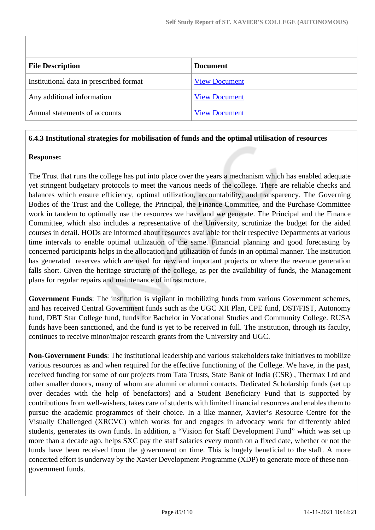| <b>File Description</b>                 | <b>Document</b>      |
|-----------------------------------------|----------------------|
| Institutional data in prescribed format | <b>View Document</b> |
| Any additional information              | <b>View Document</b> |
| Annual statements of accounts           | <b>View Document</b> |

#### **6.4.3 Institutional strategies for mobilisation of funds and the optimal utilisation of resources**

#### **Response:**

The Trust that runs the college has put into place over the years a mechanism which has enabled adequate yet stringent budgetary protocols to meet the various needs of the college. There are reliable checks and balances which ensure efficiency, optimal utilization, accountability, and transparency. The Governing Bodies of the Trust and the College, the Principal, the Finance Committee, and the Purchase Committee work in tandem to optimally use the resources we have and we generate. The Principal and the Finance Committee, which also includes a representative of the University, scrutinize the budget for the aided courses in detail. HODs are informed about resources available for their respective Departments at various time intervals to enable optimal utilization of the same. Financial planning and good forecasting by concerned participants helps in the allocation and utilization of funds in an optimal manner. The institution has generated reserves which are used for new and important projects or where the revenue generation falls short. Given the heritage structure of the college, as per the availability of funds, the Management plans for regular repairs and maintenance of infrastructure.

**Government Funds**: The institution is vigilant in mobilizing funds from various Government schemes, and has received Central Government funds such as the UGC XII Plan, CPE fund, DST/FIST, Autonomy fund, DBT Star College fund, funds for Bachelor in Vocational Studies and Community College. RUSA funds have been sanctioned, and the fund is yet to be received in full. The institution, through its faculty, continues to receive minor/major research grants from the University and UGC.

**Non-Government Funds**: The institutional leadership and various stakeholders take initiatives to mobilize various resources as and when required for the effective functioning of the College. We have, in the past, received funding for some of our projects from Tata Trusts, State Bank of India (CSR) , Thermax Ltd and other smaller donors, many of whom are alumni or alumni contacts. Dedicated Scholarship funds (set up over decades with the help of benefactors) and a Student Beneficiary Fund that is supported by contributions from well-wishers, takes care of students with limited financial resources and enables them to pursue the academic programmes of their choice. In a like manner, Xavier's Resource Centre for the Visually Challenged (XRCVC) which works for and engages in advocacy work for differently abled students, generates its own funds. In addition, a "Vision for Staff Development Fund" which was set up more than a decade ago, helps SXC pay the staff salaries every month on a fixed date, whether or not the funds have been received from the government on time. This is hugely beneficial to the staff. A more concerted effort is underway by the Xavier Development Programme (XDP) to generate more of these nongovernment funds.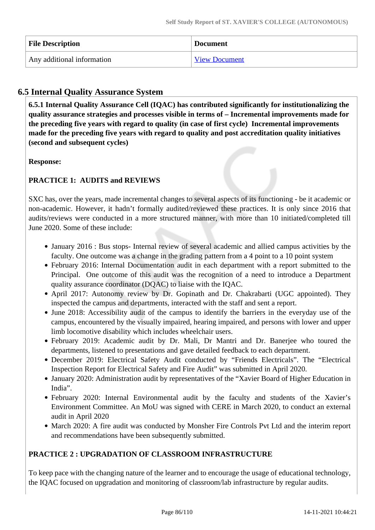| <b>File Description</b>    | <b>Document</b>      |
|----------------------------|----------------------|
| Any additional information | <b>View Document</b> |

# **6.5 Internal Quality Assurance System**

 **6.5.1 Internal Quality Assurance Cell (IQAC) has contributed significantly for institutionalizing the quality assurance strategies and processes visible in terms of – Incremental improvements made for the preceding five years with regard to quality (in case of first cycle) Incremental improvements made for the preceding five years with regard to quality and post accreditation quality initiatives (second and subsequent cycles)** 

**Response:** 

# **PRACTICE 1: AUDITS and REVIEWS**

SXC has, over the years, made incremental changes to several aspects of its functioning - be it academic or non-academic. However, it hadn't formally audited/reviewed these practices. It is only since 2016 that audits/reviews were conducted in a more structured manner, with more than 10 initiated/completed till June 2020. Some of these include:

- January 2016 : Bus stops- Internal review of several academic and allied campus activities by the faculty. One outcome was a change in the grading pattern from a 4 point to a 10 point system
- February 2016: Internal Documentation audit in each department with a report submitted to the Principal. One outcome of this audit was the recognition of a need to introduce a Department quality assurance coordinator (DQAC) to liaise with the IQAC.
- April 2017: Autonomy review by Dr. Gopinath and Dr. Chakrabarti (UGC appointed). They inspected the campus and departments, interacted with the staff and sent a report.
- June 2018: Accessibility audit of the campus to identify the barriers in the everyday use of the campus, encountered by the visually impaired, hearing impaired, and persons with lower and upper limb locomotive disability which includes wheelchair users.
- February 2019: Academic audit by Dr. Mali, Dr Mantri and Dr. Banerjee who toured the departments, listened to presentations and gave detailed feedback to each department.
- December 2019: Electrical Safety Audit conducted by "Friends Electricals". The "Electrical Inspection Report for Electrical Safety and Fire Audit" was submitted in April 2020.
- January 2020: Administration audit by representatives of the "Xavier Board of Higher Education in India".
- February 2020: Internal Environmental audit by the faculty and students of the Xavier's Environment Committee. An MoU was signed with CERE in March 2020, to conduct an external audit in April 2020
- March 2020: A fire audit was conducted by Monsher Fire Controls Pvt Ltd and the interim report and recommendations have been subsequently submitted.

## **PRACTICE 2 : UPGRADATION OF CLASSROOM INFRASTRUCTURE**

To keep pace with the changing nature of the learner and to encourage the usage of educational technology, the IQAC focused on upgradation and monitoring of classroom/lab infrastructure by regular audits.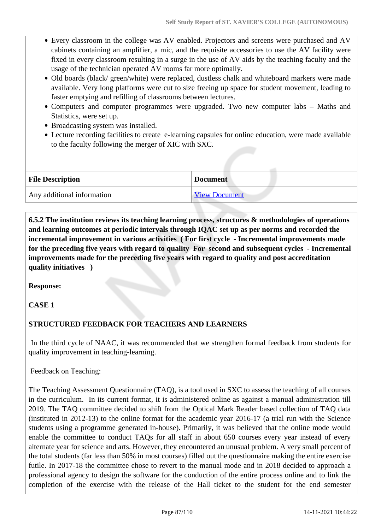- Every classroom in the college was AV enabled. Projectors and screens were purchased and AV cabinets containing an amplifier, a mic, and the requisite accessories to use the AV facility were fixed in every classroom resulting in a surge in the use of AV aids by the teaching faculty and the usage of the technician operated AV rooms far more optimally.
- Old boards (black/ green/white) were replaced, dustless chalk and whiteboard markers were made available. Very long platforms were cut to size freeing up space for student movement, leading to faster emptying and refilling of classrooms between lectures.
- Computers and computer programmes were upgraded. Two new computer labs Maths and Statistics, were set up.
- Broadcasting system was installed.
- Lecture recording facilities to create e-learning capsules for online education, were made available to the faculty following the merger of XIC with SXC.

| <b>File Description</b>    | <b>Document</b>      |
|----------------------------|----------------------|
| Any additional information | <b>View Document</b> |

 **6.5.2 The institution reviews its teaching learning process, structures & methodologies of operations and learning outcomes at periodic intervals through IQAC set up as per norms and recorded the incremental improvement in various activities ( For first cycle - Incremental improvements made for the preceding five years with regard to quality For second and subsequent cycles - Incremental improvements made for the preceding five years with regard to quality and post accreditation quality initiatives )** 

**Response:** 

**CASE 1**

# **STRUCTURED FEEDBACK FOR TEACHERS AND LEARNERS**

 In the third cycle of NAAC, it was recommended that we strengthen formal feedback from students for quality improvement in teaching-learning.

Feedback on Teaching:

The Teaching Assessment Questionnaire (TAQ), is a tool used in SXC to assess the teaching of all courses in the curriculum. In its current format, it is administered online as against a manual administration till 2019. The TAQ committee decided to shift from the Optical Mark Reader based collection of TAQ data (instituted in 2012-13) to the online format for the academic year 2016-17 (a trial run with the Science students using a programme generated in-house). Primarily, it was believed that the online mode would enable the committee to conduct TAQs for all staff in about 650 courses every year instead of every alternate year for science and arts. However, they encountered an unusual problem. A very small percent of the total students (far less than 50% in most courses) filled out the questionnaire making the entire exercise futile. In 2017-18 the committee chose to revert to the manual mode and in 2018 decided to approach a professional agency to design the software for the conduction of the entire process online and to link the completion of the exercise with the release of the Hall ticket to the student for the end semester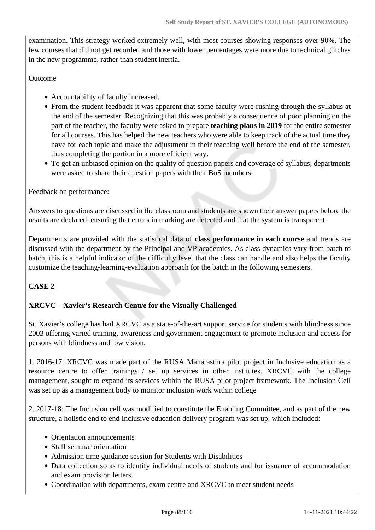examination. This strategy worked extremely well, with most courses showing responses over 90%. The few courses that did not get recorded and those with lower percentages were more due to technical glitches in the new programme, rather than student inertia.

#### Outcome

- Accountability of faculty increased.
- From the student feedback it was apparent that some faculty were rushing through the syllabus at the end of the semester. Recognizing that this was probably a consequence of poor planning on the part of the teacher, the faculty were asked to prepare **teaching plans in 2019** for the entire semester for all courses. This has helped the new teachers who were able to keep track of the actual time they have for each topic and make the adjustment in their teaching well before the end of the semester, thus completing the portion in a more efficient way.
- To get an unbiased opinion on the quality of question papers and coverage of syllabus, departments were asked to share their question papers with their BoS members.

Feedback on performance:

Answers to questions are discussed in the classroom and students are shown their answer papers before the results are declared, ensuring that errors in marking are detected and that the system is transparent.

Departments are provided with the statistical data of **class performance in each course** and trends are discussed with the department by the Principal and VP academics. As class dynamics vary from batch to batch, this is a helpful indicator of the difficulty level that the class can handle and also helps the faculty customize the teaching-learning-evaluation approach for the batch in the following semesters.

## **CASE 2**

## **XRCVC – Xavier's Research Centre for the Visually Challenged**

St. Xavier's college has had XRCVC as a state-of-the-art support service for students with blindness since 2003 offering varied training, awareness and government engagement to promote inclusion and access for persons with blindness and low vision.

1. 2016-17: XRCVC was made part of the RUSA Maharasthra pilot project in Inclusive education as a resource centre to offer trainings / set up services in other institutes. XRCVC with the college management, sought to expand its services within the RUSA pilot project framework. The Inclusion Cell was set up as a management body to monitor inclusion work within college

2. 2017-18: The Inclusion cell was modified to constitute the Enabling Committee, and as part of the new structure, a holistic end to end Inclusive education delivery program was set up, which included:

- Orientation announcements
- Staff seminar orientation
- Admission time guidance session for Students with Disabilities
- Data collection so as to identify individual needs of students and for issuance of accommodation and exam provision letters.
- Coordination with departments, exam centre and XRCVC to meet student needs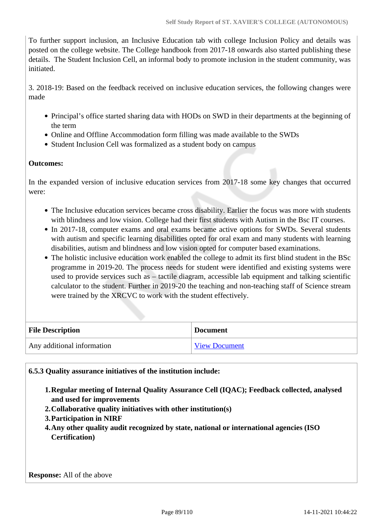To further support inclusion, an Inclusive Education tab with college Inclusion Policy and details was posted on the college website. The College handbook from 2017-18 onwards also started publishing these details. The Student Inclusion Cell, an informal body to promote inclusion in the student community, was initiated.

3. 2018-19: Based on the feedback received on inclusive education services, the following changes were made

- Principal's office started sharing data with HODs on SWD in their departments at the beginning of the term
- Online and Offline Accommodation form filling was made available to the SWDs
- Student Inclusion Cell was formalized as a student body on campus

#### **Outcomes:**

In the expanded version of inclusive education services from 2017-18 some key changes that occurred were:

- The Inclusive education services became cross disability. Earlier the focus was more with students with blindness and low vision. College had their first students with Autism in the Bsc IT courses.
- In 2017-18, computer exams and oral exams became active options for SWDs. Several students with autism and specific learning disabilities opted for oral exam and many students with learning disabilities, autism and blindness and low vision opted for computer based examinations.
- The holistic inclusive education work enabled the college to admit its first blind student in the BSc programme in 2019-20. The process needs for student were identified and existing systems were used to provide services such as – tactile diagram, accessible lab equipment and talking scientific calculator to the student. Further in 2019-20 the teaching and non-teaching staff of Science stream were trained by the XRCVC to work with the student effectively.

| <b>File Description</b>    | <b>Document</b>      |
|----------------------------|----------------------|
| Any additional information | <b>View Document</b> |

**6.5.3 Quality assurance initiatives of the institution include:**

- **1.Regular meeting of Internal Quality Assurance Cell (IQAC); Feedback collected, analysed and used for improvements**
- **2.Collaborative quality initiatives with other institution(s)**
- **3.Participation in NIRF**
- **4.Any other quality audit recognized by state, national or international agencies (ISO Certification)**

**Response:** All of the above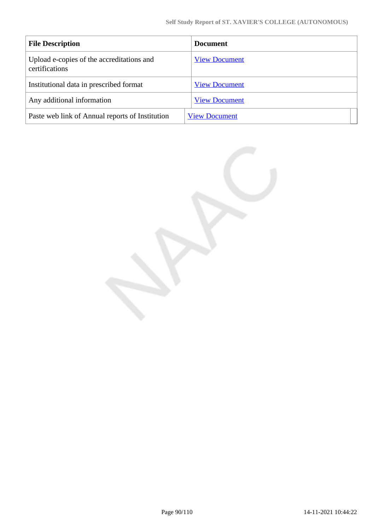| <b>File Description</b>                                     | <b>Document</b>      |
|-------------------------------------------------------------|----------------------|
| Upload e-copies of the accreditations and<br>certifications | <b>View Document</b> |
| Institutional data in prescribed format                     | <b>View Document</b> |
| Any additional information                                  | <b>View Document</b> |
| Paste web link of Annual reports of Institution             | <b>View Document</b> |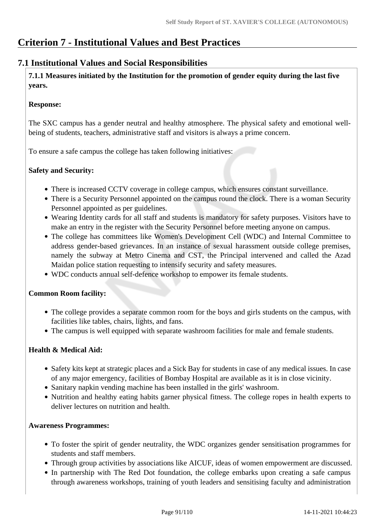# **Criterion 7 - Institutional Values and Best Practices**

# **7.1 Institutional Values and Social Responsibilities**

 **7.1.1 Measures initiated by the Institution for the promotion of gender equity during the last five years.**

#### **Response:**

The SXC campus has a gender neutral and healthy atmosphere. The physical safety and emotional wellbeing of students, teachers, administrative staff and visitors is always a prime concern.

To ensure a safe campus the college has taken following initiatives:

#### **Safety and Security:**

- There is increased CCTV coverage in college campus, which ensures constant surveillance.
- There is a Security Personnel appointed on the campus round the clock. There is a woman Security Personnel appointed as per guidelines.
- Wearing Identity cards for all staff and students is mandatory for safety purposes. Visitors have to make an entry in the register with the Security Personnel before meeting anyone on campus.
- The college has committees like Women's Development Cell (WDC) and Internal Committee to address gender-based grievances. In an instance of sexual harassment outside college premises, namely the subway at Metro Cinema and CST, the Principal intervened and called the Azad Maidan police station requesting to intensify security and safety measures.
- WDC conducts annual self-defence workshop to empower its female students.

## **Common Room facility:**

- The college provides a separate common room for the boys and girls students on the campus, with facilities like tables, chairs, lights, and fans.
- The campus is well equipped with separate washroom facilities for male and female students.

## **Health & Medical Aid:**

- Safety kits kept at strategic places and a Sick Bay for students in case of any medical issues. In case of any major emergency, facilities of Bombay Hospital are available as it is in close vicinity.
- Sanitary napkin vending machine has been installed in the girls' washroom.
- Nutrition and healthy eating habits garner physical fitness. The college ropes in health experts to deliver lectures on nutrition and health.

#### **Awareness Programmes:**

- To foster the spirit of gender neutrality, the WDC organizes gender sensitisation programmes for students and staff members.
- Through group activities by associations like AICUF, ideas of women empowerment are discussed.
- In partnership with The Red Dot foundation, the college embarks upon creating a safe campus through awareness workshops, training of youth leaders and sensitising faculty and administration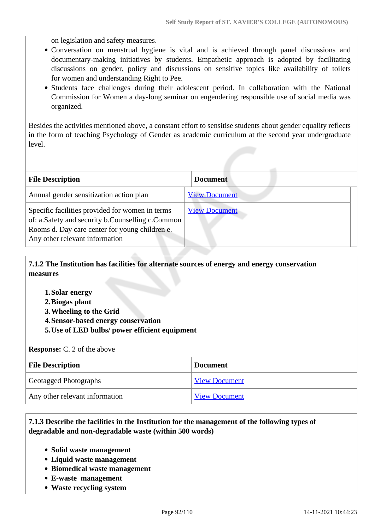on legislation and safety measures.

- Conversation on menstrual hygiene is vital and is achieved through panel discussions and documentary-making initiatives by students. Empathetic approach is adopted by facilitating discussions on gender, policy and discussions on sensitive topics like availability of toilets for women and understanding Right to Pee.
- Students face challenges during their adolescent period. In collaboration with the National Commission for Women a day-long seminar on engendering responsible use of social media was organized.

Besides the activities mentioned above, a constant effort to sensitise students about gender equality reflects in the form of teaching Psychology of Gender as academic curriculum at the second year undergraduate level.

| <b>File Description</b>                                                                                                                                                                 | <b>Document</b>      |
|-----------------------------------------------------------------------------------------------------------------------------------------------------------------------------------------|----------------------|
| Annual gender sensitization action plan                                                                                                                                                 | <b>View Document</b> |
| Specific facilities provided for women in terms<br>of: a.Safety and security b.Counselling c.Common<br>Rooms d. Day care center for young children e.<br>Any other relevant information | <b>View Document</b> |

 **7.1.2 The Institution has facilities for alternate sources of energy and energy conservation measures** 

- **1.Solar energy**
- **2.Biogas plant**
- **3.Wheeling to the Grid**
- **4.Sensor-based energy conservation**
- **5.Use of LED bulbs/ power efficient equipment**

**Response:** C. 2 of the above

| <b>File Description</b>        | <b>Document</b>      |
|--------------------------------|----------------------|
| Geotagged Photographs          | <b>View Document</b> |
| Any other relevant information | <b>View Document</b> |

#### **7.1.3 Describe the facilities in the Institution for the management of the following types of degradable and non-degradable waste (within 500 words)**

- **Solid waste management**
- **Liquid waste management**
- **Biomedical waste management**
- **E-waste management**
- **Waste recycling system**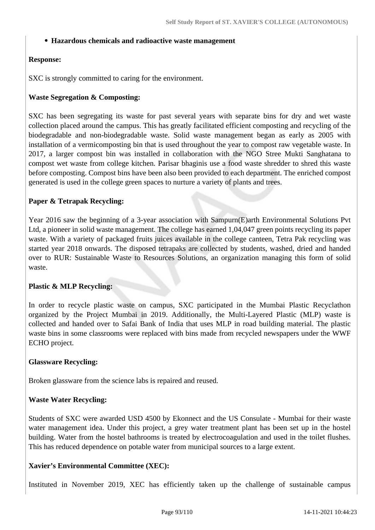#### **Hazardous chemicals and radioactive waste management**

#### **Response:**

SXC is strongly committed to caring for the environment.

#### **Waste Segregation & Composting:**

SXC has been segregating its waste for past several years with separate bins for dry and wet waste collection placed around the campus. This has greatly facilitated efficient composting and recycling of the biodegradable and non-biodegradable waste. Solid waste management began as early as 2005 with installation of a vermicomposting bin that is used throughout the year to compost raw vegetable waste. In 2017, a larger compost bin was installed in collaboration with the NGO Stree Mukti Sanghatana to compost wet waste from college kitchen. Parisar bhaginis use a food waste shredder to shred this waste before composting. Compost bins have been also been provided to each department. The enriched compost generated is used in the college green spaces to nurture a variety of plants and trees.

#### **Paper & Tetrapak Recycling:**

Year 2016 saw the beginning of a 3-year association with Sampurn(E)arth Environmental Solutions Pvt Ltd, a pioneer in solid waste management. The college has earned 1,04,047 green points recycling its paper waste. With a variety of packaged fruits juices available in the college canteen, Tetra Pak recycling was started year 2018 onwards. The disposed tetrapaks are collected by students, washed, dried and handed over to RUR: Sustainable Waste to Resources Solutions, an organization managing this form of solid waste.

#### **Plastic & MLP Recycling:**

In order to recycle plastic waste on campus, SXC participated in the Mumbai Plastic Recyclathon organized by the Project Mumbai in 2019. Additionally, the Multi-Layered Plastic (MLP) waste is collected and handed over to Safai Bank of India that uses MLP in road building material. The plastic waste bins in some classrooms were replaced with bins made from recycled newspapers under the WWF ECHO project.

#### **Glassware Recycling:**

Broken glassware from the science labs is repaired and reused.

#### **Waste Water Recycling:**

Students of SXC were awarded USD 4500 by Ekonnect and the US Consulate - Mumbai for their waste water management idea. Under this project, a grey water treatment plant has been set up in the hostel building. Water from the hostel bathrooms is treated by electrocoagulation and used in the toilet flushes. This has reduced dependence on potable water from municipal sources to a large extent.

#### **Xavier's Environmental Committee (XEC):**

Instituted in November 2019, XEC has efficiently taken up the challenge of sustainable campus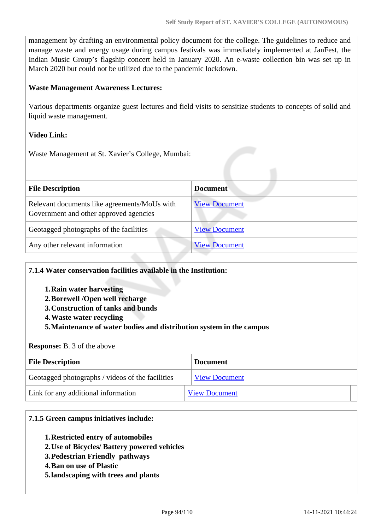management by drafting an environmental policy document for the college. The guidelines to reduce and manage waste and energy usage during campus festivals was immediately implemented at JanFest, the Indian Music Group's flagship concert held in January 2020. An e-waste collection bin was set up in March 2020 but could not be utilized due to the pandemic lockdown.

#### **Waste Management Awareness Lectures:**

Various departments organize guest lectures and field visits to sensitize students to concepts of solid and liquid waste management.

#### **Video Link:**

Waste Management at St. Xavier's College, Mumbai:

| <b>File Description</b>                                                                | <b>Document</b>      |
|----------------------------------------------------------------------------------------|----------------------|
| Relevant documents like agreements/MoUs with<br>Government and other approved agencies | <b>View Document</b> |
| Geotagged photographs of the facilities                                                | <b>View Document</b> |
| Any other relevant information                                                         | <b>View Document</b> |

#### **7.1.4 Water conservation facilities available in the Institution:**

- **1.Rain water harvesting**
- **2.Borewell /Open well recharge**
- **3.Construction of tanks and bunds**
- **4.Waste water recycling**

#### **5.Maintenance of water bodies and distribution system in the campus**

#### **Response:** B. 3 of the above

| <b>File Description</b>                          | <b>Document</b>      |
|--------------------------------------------------|----------------------|
| Geotagged photographs / videos of the facilities | <b>View Document</b> |
| Link for any additional information              | <b>View Document</b> |

#### **7.1.5 Green campus initiatives include:**

- **1.Restricted entry of automobiles**
- **2.Use of Bicycles/ Battery powered vehicles**
- **3.Pedestrian Friendly pathways**
- **4.Ban on use of Plastic**
- **5.landscaping with trees and plants**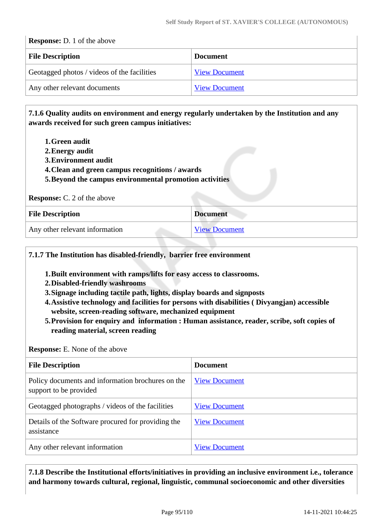| <b>Response:</b> D. 1 of the above          |                      |  |
|---------------------------------------------|----------------------|--|
| <b>File Description</b>                     | <b>Document</b>      |  |
| Geotagged photos / videos of the facilities | <b>View Document</b> |  |
| Any other relevant documents                | <b>View Document</b> |  |

 **7.1.6 Quality audits on environment and energy regularly undertaken by the Institution and any awards received for such green campus initiatives:**

- **1.Green audit**
- **2.Energy audit**
- **3.Environment audit**
- **4.Clean and green campus recognitions / awards**
- **5.Beyond the campus environmental promotion activities**

| <b>Response:</b> C. 2 of the above |  |  |  |  |  |
|------------------------------------|--|--|--|--|--|
|------------------------------------|--|--|--|--|--|

| <b>File Description</b>        | <b>Document</b>      |
|--------------------------------|----------------------|
| Any other relevant information | <b>View Document</b> |

## **7.1.7 The Institution has disabled-friendly, barrier free environment**

- **1.Built environment with ramps/lifts for easy access to classrooms.**
- **2.Disabled-friendly washrooms**
- **3.Signage including tactile path, lights, display boards and signposts**
- **4.Assistive technology and facilities for persons with disabilities ( Divyangjan) accessible website, screen-reading software, mechanized equipment**
- **5.Provision for enquiry and information : Human assistance, reader, scribe, soft copies of reading material, screen reading**

**Response:** E. None of the above

| <b>File Description</b>                                                     | <b>Document</b>      |
|-----------------------------------------------------------------------------|----------------------|
| Policy documents and information brochures on the<br>support to be provided | <b>View Document</b> |
| Geotagged photographs / videos of the facilities                            | <b>View Document</b> |
| Details of the Software procured for providing the<br>assistance            | <b>View Document</b> |
| Any other relevant information                                              | <b>View Document</b> |

 **7.1.8 Describe the Institutional efforts/initiatives in providing an inclusive environment i.e., tolerance and harmony towards cultural, regional, linguistic, communal socioeconomic and other diversities**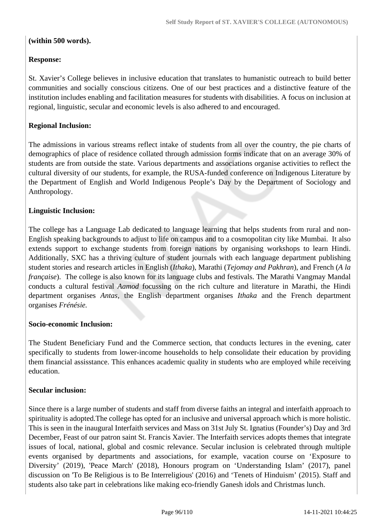#### **(within 500 words).**

#### **Response:**

St. Xavier's College believes in inclusive education that translates to humanistic outreach to build better communities and socially conscious citizens. One of our best practices and a distinctive feature of the institution includes enabling and facilitation measures for students with disabilities. A focus on inclusion at regional, linguistic, secular and economic levels is also adhered to and encouraged.

#### **Regional Inclusion:**

The admissions in various streams reflect intake of students from all over the country, the pie charts of demographics of place of residence collated through admission forms indicate that on an average 30% of students are from outside the state. Various departments and associations organise activities to reflect the cultural diversity of our students, for example, the RUSA-funded conference on Indigenous Literature by the Department of English and World Indigenous People's Day by the Department of Sociology and Anthropology.

#### **Linguistic Inclusion:**

The college has a Language Lab dedicated to language learning that helps students from rural and non-English speaking backgrounds to adjust to life on campus and to a cosmopolitan city like Mumbai. It also extends support to exchange students from foreign nations by organising workshops to learn Hindi. Additionally, SXC has a thriving culture of student journals with each language department publishing student stories and research articles in English (*Ithaka*), Marathi (*Tejomay and Pakhran*), and French (*A la française*). The college is also known for its language clubs and festivals. The Marathi Vangmay Mandal conducts a cultural festival *Aamod* focussing on the rich culture and literature in Marathi, the Hindi department organises *Antas,* the English department organises *Ithaka* and the French department organises *Frénésie.*

#### **Socio-economic Inclusion:**

The Student Beneficiary Fund and the Commerce section, that conducts lectures in the evening, cater specifically to students from lower-income households to help consolidate their education by providing them financial assisstance. This enhances academic quality in students who are employed while receiving education.

#### **Secular inclusion:**

Since there is a large number of students and staff from diverse faiths an integral and interfaith approach to spirituality is adopted.The college has opted for an inclusive and universal approach which is more holistic. This is seen in the inaugural Interfaith services and Mass on 31st July St. Ignatius (Founder's) Day and 3rd December, Feast of our patron saint St. Francis Xavier. The Interfaith services adopts themes that integrate issues of local, national, global and cosmic relevance. Secular inclusion is celebrated through multiple events organised by departments and associations, for example, vacation course on 'Exposure to Diversity' (2019), 'Peace March' (2018), Honours program on 'Understanding Islam' (2017), panel discussion on 'To Be Religious is to Be Interreligious' (2016) and 'Tenets of Hinduism' (2015). Staff and students also take part in celebrations like making eco-friendly Ganesh idols and Christmas lunch.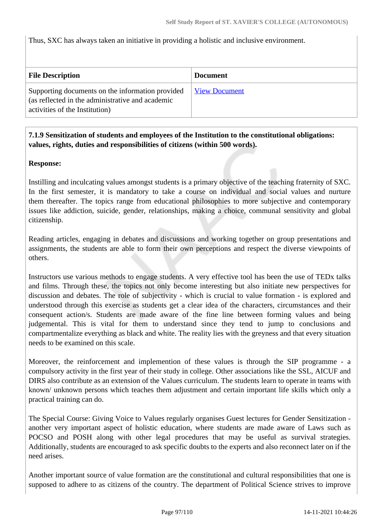Thus, SXC has always taken an initiative in providing a holistic and inclusive environment.

| <b>File Description</b>                                                                                                                | <b>Document</b>      |
|----------------------------------------------------------------------------------------------------------------------------------------|----------------------|
| Supporting documents on the information provided<br>(as reflected in the administrative and academic<br>activities of the Institution) | <b>View Document</b> |

## **7.1.9 Sensitization of students and employees of the Institution to the constitutional obligations: values, rights, duties and responsibilities of citizens (within 500 words).**

#### **Response:**

Instilling and inculcating values amongst students is a primary objective of the teaching fraternity of SXC. In the first semester, it is mandatory to take a course on individual and social values and nurture them thereafter. The topics range from educational philosophies to more subjective and contemporary issues like addiction, suicide, gender, relationships, making a choice, communal sensitivity and global citizenship.

Reading articles, engaging in debates and discussions and working together on group presentations and assignments, the students are able to form their own perceptions and respect the diverse viewpoints of others.

Instructors use various methods to engage students. A very effective tool has been the use of TEDx talks and films. Through these, the topics not only become interesting but also initiate new perspectives for discussion and debates. The role of subjectivity - which is crucial to value formation - is explored and understood through this exercise as students get a clear idea of the characters, circumstances and their consequent action/s. Students are made aware of the fine line between forming values and being judgemental. This is vital for them to understand since they tend to jump to conclusions and compartmentalize everything as black and white. The reality lies with the greyness and that every situation needs to be examined on this scale.

Moreover, the reinforcement and implemention of these values is through the SIP programme - a compulsory activity in the first year of their study in college. Other associations like the SSL, AICUF and DIRS also contribute as an extension of the Values curriculum. The students learn to operate in teams with known/ unknown persons which teaches them adjustment and certain important life skills which only a practical training can do.

The Special Course: Giving Voice to Values regularly organises Guest lectures for Gender Sensitization another very important aspect of holistic education, where students are made aware of Laws such as POCSO and POSH along with other legal procedures that may be useful as survival strategies. Additionally, students are encouraged to ask specific doubts to the experts and also reconnect later on if the need arises.

Another important source of value formation are the constitutional and cultural responsibilities that one is supposed to adhere to as citizens of the country. The department of Political Science strives to improve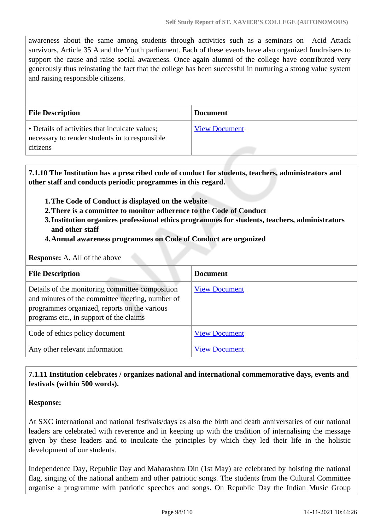awareness about the same among students through activities such as a seminars on Acid Attack survivors, Article 35 A and the Youth parliament. Each of these events have also organized fundraisers to support the cause and raise social awareness. Once again alumni of the college have contributed very generously thus reinstating the fact that the college has been successful in nurturing a strong value system and raising responsible citizens.

| <b>File Description</b>                                                                                      | <b>Document</b>      |
|--------------------------------------------------------------------------------------------------------------|----------------------|
| • Details of activities that inculcate values;<br>necessary to render students in to responsible<br>citizens | <b>View Document</b> |

 **7.1.10 The Institution has a prescribed code of conduct for students, teachers, administrators and other staff and conducts periodic programmes in this regard.** 

- **1.The Code of Conduct is displayed on the website**
- **2.There is a committee to monitor adherence to the Code of Conduct**
- **3.Institution organizes professional ethics programmes for students, teachers, administrators and other staff**
- **4.Annual awareness programmes on Code of Conduct are organized**

**Response:** A. All of the above

| <b>File Description</b>                                                                                                                                                                       | <b>Document</b>      |
|-----------------------------------------------------------------------------------------------------------------------------------------------------------------------------------------------|----------------------|
| Details of the monitoring committee composition<br>and minutes of the committee meeting, number of<br>programmes organized, reports on the various<br>programs etc., in support of the claims | <b>View Document</b> |
| Code of ethics policy document                                                                                                                                                                | <b>View Document</b> |
| Any other relevant information                                                                                                                                                                | <b>View Document</b> |

#### **7.1.11 Institution celebrates / organizes national and international commemorative days, events and festivals (within 500 words).**

#### **Response:**

At SXC international and national festivals/days as also the birth and death anniversaries of our national leaders are celebrated with reverence and in keeping up with the tradition of internalising the message given by these leaders and to inculcate the principles by which they led their life in the holistic development of our students.

Independence Day, Republic Day and Maharashtra Din (1st May) are celebrated by hoisting the national flag, singing of the national anthem and other patriotic songs. The students from the Cultural Committee organise a programme with patriotic speeches and songs. On Republic Day the Indian Music Group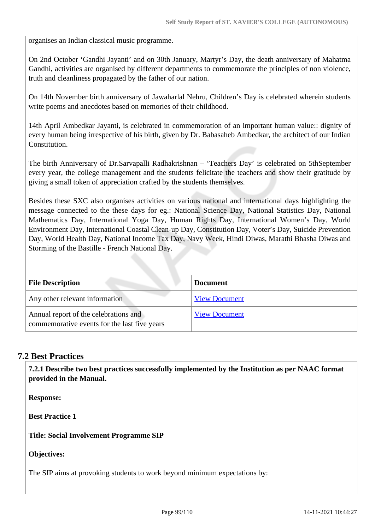organises an Indian classical music programme.

On 2nd October 'Gandhi Jayanti' and on 30th January, Martyr's Day, the death anniversary of Mahatma Gandhi, activities are organised by different departments to commemorate the principles of non violence, truth and cleanliness propagated by the father of our nation.

On 14th November birth anniversary of Jawaharlal Nehru, Children's Day is celebrated wherein students write poems and anecdotes based on memories of their childhood.

14th April Ambedkar Jayanti, is celebrated in commemoration of an important human value:: dignity of every human being irrespective of his birth, given by Dr. Babasaheb Ambedkar, the architect of our Indian Constitution.

The birth Anniversary of Dr.Sarvapalli Radhakrishnan – 'Teachers Day' is celebrated on 5thSeptember every year, the college management and the students felicitate the teachers and show their gratitude by giving a small token of appreciation crafted by the students themselves.

Besides these SXC also organises activities on various national and international days highlighting the message connected to the these days for eg.: National Science Day, National Statistics Day, National Mathematics Day, International Yoga Day, Human Rights Day, International Women's Day, World Environment Day, International Coastal Clean-up Day, Constitution Day, Voter's Day, Suicide Prevention Day, World Health Day, National Income Tax Day, Navy Week, Hindi Diwas, Marathi Bhasha Diwas and Storming of the Bastille - French National Day.

| <b>File Description</b>                                                               | <b>Document</b>      |
|---------------------------------------------------------------------------------------|----------------------|
| Any other relevant information                                                        | <b>View Document</b> |
| Annual report of the celebrations and<br>commemorative events for the last five years | <b>View Document</b> |

# **7.2 Best Practices**

 **7.2.1 Describe two best practices successfully implemented by the Institution as per NAAC format provided in the Manual.**

**Response:** 

**Best Practice 1**

**Title: Social Involvement Programme SIP**

**Objectives:**

The SIP aims at provoking students to work beyond minimum expectations by: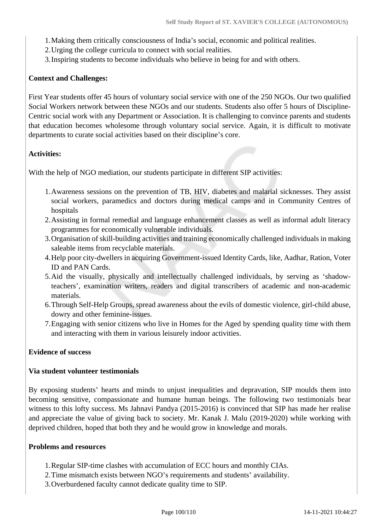- 1.Making them critically consciousness of India's social, economic and political realities.
- 2.Urging the college curricula to connect with social realities.
- 3.Inspiring students to become individuals who believe in being for and with others.

#### **Context and Challenges:**

First Year students offer 45 hours of voluntary social service with one of the 250 NGOs. Our two qualified Social Workers network between these NGOs and our students. Students also offer 5 hours of Discipline-Centric social work with any Department or Association. It is challenging to convince parents and students that education becomes wholesome through voluntary social service. Again, it is difficult to motivate departments to curate social activities based on their discipline's core.

#### **Activities:**

With the help of NGO mediation, our students participate in different SIP activities:

- 1.Awareness sessions on the prevention of TB, HIV, diabetes and malarial sicknesses. They assist social workers, paramedics and doctors during medical camps and in Community Centres of hospitals
- 2.Assisting in formal remedial and language enhancement classes as well as informal adult literacy programmes for economically vulnerable individuals.
- 3.Organisation of skill-building activities and training economically challenged individuals in making saleable items from recyclable materials.
- 4.Help poor city-dwellers in acquiring Government-issued Identity Cards, like, Aadhar, Ration, Voter ID and PAN Cards.
- 5.Aid the visually, physically and intellectually challenged individuals, by serving as 'shadowteachers', examination writers, readers and digital transcribers of academic and non-academic materials.
- 6.Through Self-Help Groups, spread awareness about the evils of domestic violence, girl-child abuse, dowry and other feminine-issues.
- 7.Engaging with senior citizens who live in Homes for the Aged by spending quality time with them and interacting with them in various leisurely indoor activities.

#### **Evidence of success**

#### **Via student volunteer testimonials**

By exposing students' hearts and minds to unjust inequalities and depravation, SIP moulds them into becoming sensitive, compassionate and humane human beings. The following two testimonials bear witness to this lofty success. Ms Jahnavi Pandya (2015-2016) is convinced that SIP has made her realise and appreciate the value of giving back to society. Mr. Kanak J. Malu (2019-2020) while working with deprived children, hoped that both they and he would grow in knowledge and morals.

#### **Problems and resources**

- 1.Regular SIP-time clashes with accumulation of ECC hours and monthly CIAs.
- 2.Time mismatch exists between NGO's requirements and students' availability.
- 3.Overburdened faculty cannot dedicate quality time to SIP.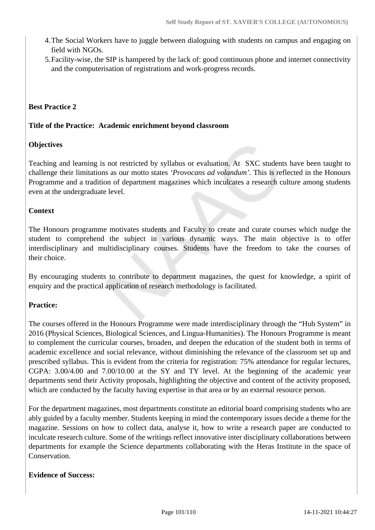- 4.The Social Workers have to juggle between dialoguing with students on campus and engaging on field with NGOs.
- 5.Facility-wise, the SIP is hampered by the lack of: good continuous phone and internet connectivity and the computerisation of registrations and work-progress records.

#### **Best Practice 2**

#### **Title of the Practice: Academic enrichment beyond classroom**

#### **Objectives**

Teaching and learning is not restricted by syllabus or evaluation. At SXC students have been taught to challenge their limitations as our motto states *'Provocans ad volandum'.* This is reflected in the Honours Programme and a tradition of department magazines which inculcates a research culture among students even at the undergraduate level.

#### **Context**

The Honours programme motivates students and Faculty to create and curate courses which nudge the student to comprehend the subject in various dynamic ways. The main objective is to offer interdisciplinary and multidisciplinary courses. Students have the freedom to take the courses of their choice.

By encouraging students to contribute to department magazines, the quest for knowledge, a spirit of enquiry and the practical application of research methodology is facilitated.

#### **Practice:**

The courses offered in the Honours Programme were made interdisciplinary through the "Hub System" in 2016 (Physical Sciences, Biological Sciences, and Lingua-Humanities). The Honours Programme is meant to complement the curricular courses, broaden, and deepen the education of the student both in terms of academic excellence and social relevance, without diminishing the relevance of the classroom set up and prescribed syllabus. This is evident from the criteria for registration: 75% attendance for regular lectures, CGPA: 3.00/4.00 and 7.00/10.00 at the SY and TY level. At the beginning of the academic year departments send their Activity proposals, highlighting the objective and content of the activity proposed, which are conducted by the faculty having expertise in that area or by an external resource person.

For the department magazines, most departments constitute an editorial board comprising students who are ably guided by a faculty member. Students keeping in mind the contemporary issues decide a theme for the magazine. Sessions on how to collect data, analyse it, how to write a research paper are conducted to inculcate research culture. Some of the writings reflect innovative inter disciplinary collaborations between departments for example the Science departments collaborating with the Heras Institute in the space of Conservation.

#### **Evidence of Success:**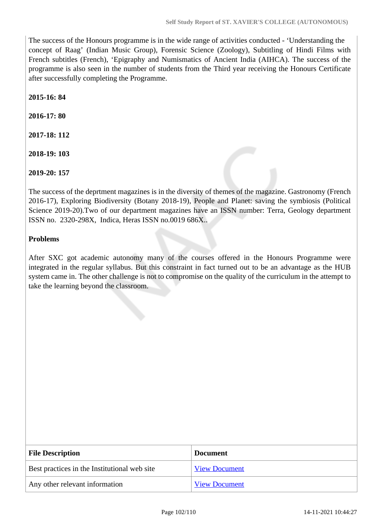The success of the Honours programme is in the wide range of activities conducted - 'Understanding the concept of Raag' (Indian Music Group), Forensic Science (Zoology), Subtitling of Hindi Films with French subtitles (French), 'Epigraphy and Numismatics of Ancient India (AIHCA). The success of the programme is also seen in the number of students from the Third year receiving the Honours Certificate after successfully completing the Programme.

**2015-16: 84**

**2016-17: 80**

**2017-18: 112**

**2018-19: 103**

**2019-20: 157** 

The success of the deprtment magazines is in the diversity of themes of the magazine. Gastronomy (French 2016-17), Exploring Biodiversity (Botany 2018-19), People and Planet: saving the symbiosis (Political Science 2019-20).Two of our department magazines have an ISSN number: Terra, Geology department ISSN no. 2320-298X, Indica, Heras ISSN no.0019 686X..

#### **Problems**

After SXC got academic autonomy many of the courses offered in the Honours Programme were integrated in the regular syllabus. But this constraint in fact turned out to be an advantage as the HUB system came in. The other challenge is not to compromise on the quality of the curriculum in the attempt to take the learning beyond the classroom.

| <b>File Description</b>                      | <b>Document</b>      |
|----------------------------------------------|----------------------|
| Best practices in the Institutional web site | <b>View Document</b> |
| Any other relevant information               | <b>View Document</b> |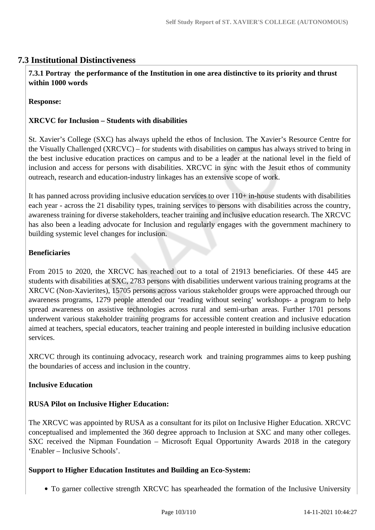# **7.3 Institutional Distinctiveness**

 **7.3.1 Portray the performance of the Institution in one area distinctive to its priority and thrust within 1000 words**

**Response:** 

#### **XRCVC for Inclusion – Students with disabilities**

St. Xavier's College (SXC) has always upheld the ethos of Inclusion. The Xavier's Resource Centre for the Visually Challenged (XRCVC) – for students with disabilities on campus has always strived to bring in the best inclusive education practices on campus and to be a leader at the national level in the field of inclusion and access for persons with disabilities. XRCVC in sync with the Jesuit ethos of community outreach, research and education-industry linkages has an extensive scope of work.

It has panned across providing inclusive education services to over 110+ in-house students with disabilities each year - across the 21 disability types, training services to persons with disabilities across the country, awareness training for diverse stakeholders, teacher training and inclusive education research. The XRCVC has also been a leading advocate for Inclusion and regularly engages with the government machinery to building systemic level changes for inclusion.

#### **Beneficiaries**

From 2015 to 2020, the XRCVC has reached out to a total of 21913 beneficiaries. Of these 445 are students with disabilities at SXC, 2783 persons with disabilities underwent various training programs at the XRCVC (Non-Xavierites), 15705 persons across various stakeholder groups were approached through our awareness programs, 1279 people attended our 'reading without seeing' workshops- a program to help spread awareness on assistive technologies across rural and semi-urban areas. Further 1701 persons underwent various stakeholder training programs for accessible content creation and inclusive education aimed at teachers, special educators, teacher training and people interested in building inclusive education services.

XRCVC through its continuing advocacy, research work and training programmes aims to keep pushing the boundaries of access and inclusion in the country.

#### **Inclusive Education**

## **RUSA Pilot on Inclusive Higher Education:**

The XRCVC was appointed by RUSA as a consultant for its pilot on Inclusive Higher Education. XRCVC conceptualised and implemented the 360 degree approach to Inclusion at SXC and many other colleges. SXC received the Nipman Foundation – Microsoft Equal Opportunity Awards 2018 in the category 'Enabler – Inclusive Schools'.

#### **Support to Higher Education Institutes and Building an Eco-System:**

To garner collective strength XRCVC has spearheaded the formation of the Inclusive University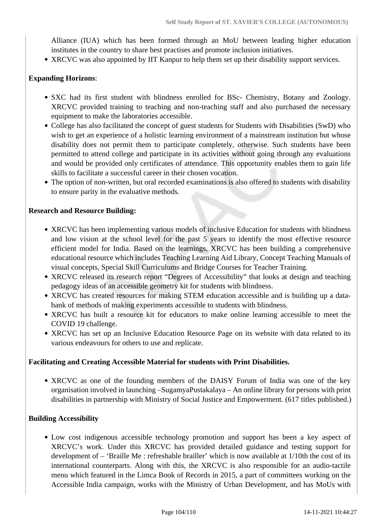Alliance (IUA) which has been formed through an MoU between leading higher education institutes in the country to share best practises and promote inclusion initiatives.

• XRCVC was also appointed by IIT Kanpur to help them set up their disability support services.

#### **Expanding Horizons**:

- SXC had its first student with blindness enrolled for BSc- Chemistry, Botany and Zoology. XRCVC provided training to teaching and non-teaching staff and also purchased the necessary equipment to make the laboratories accessible.
- College has also facilitated the concept of guest students for Students with Disabilities (SwD) who wish to get an experience of a holistic learning environment of a mainstream institution but whose disability does not permit them to participate completely, otherwise. Such students have been permitted to attend college and participate in its activities without going through any evaluations and would be provided only certificates of attendance. This opportunity enables them to gain life skills to facilitate a successful career in their chosen vocation.
- The option of non-written, but oral recorded examinations is also offered to students with disability to ensure parity in the evaluative methods.

#### **Research and Resource Building:**

- XRCVC has been implementing various models of inclusive Education for students with blindness and low vision at the school level for the past 5 years to identify the most effective resource efficient model for India. Based on the learnings, XRCVC has been building a comprehensive educational resource which includes Teaching Learning Aid Library, Concept Teaching Manuals of visual concepts, Special Skill Curriculums and Bridge Courses for Teacher Training.
- XRCVC released its research report "Degrees of Accessibility" that looks at design and teaching pedagogy ideas of an accessible geometry kit for students with blindness.
- XRCVC has created resources for making STEM education accessible and is building up a databank of methods of making experiments accessible to students with blindness.
- XRCVC has built a resource kit for educators to make online learning accessible to meet the COVID 19 challenge.
- XRCVC has set up an Inclusive Education Resource Page on its website with data related to its various endeavours for others to use and replicate.

#### **Facilitating and Creating Accessible Material for students with Print Disabilities.**

XRCVC as one of the founding members of the DAISY Forum of India was one of the key organisation involved in launching –SugamyaPustakalaya – An online library for persons with print disabilities in partnership with Ministry of Social Justice and Empowerment. (617 titles published.)

#### **Building Accessibility**

Low cost indigenous accessible technology promotion and support has been a key aspect of XRCVC's work. Under this XRCVC has provided detailed guidance and testing support for development of – 'Braille Me : refreshable brailler' which is now available at 1/10th the cost of its international counterparts. Along with this, the XRCVC is also responsible for an audio-tactile menu which featured in the Limca Book of Records in 2015, a part of committees working on the Accessible India campaign, works with the Ministry of Urban Development, and has MoUs with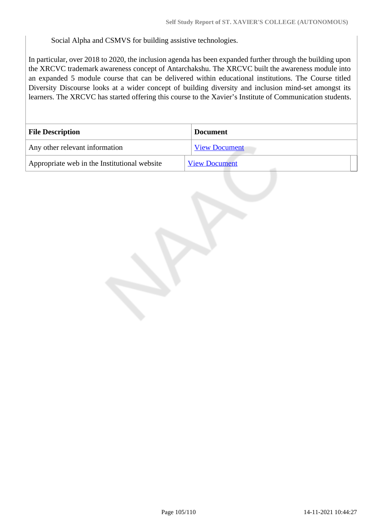Social Alpha and CSMVS for building assistive technologies.

In particular, over 2018 to 2020, the inclusion agenda has been expanded further through the building upon the XRCVC trademark awareness concept of Antarchakshu. The XRCVC built the awareness module into an expanded 5 module course that can be delivered within educational institutions. The Course titled Diversity Discourse looks at a wider concept of building diversity and inclusion mind-set amongst its learners. The XRCVC has started offering this course to the Xavier's Institute of Communication students.

| <b>File Description</b>                      | <b>Document</b>      |
|----------------------------------------------|----------------------|
| Any other relevant information               | <b>View Document</b> |
| Appropriate web in the Institutional website | <b>View Document</b> |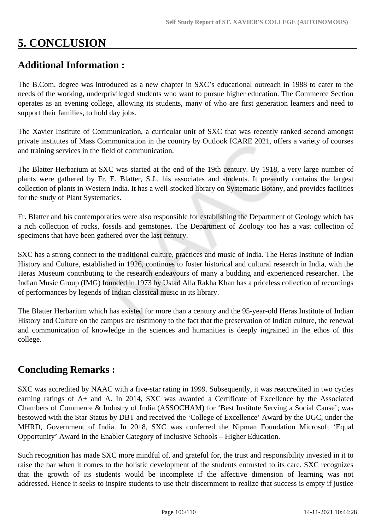# **5. CONCLUSION**

# **Additional Information :**

The B.Com. degree was introduced as a new chapter in SXC's educational outreach in 1988 to cater to the needs of the working, underprivileged students who want to pursue higher education. The Commerce Section operates as an evening college, allowing its students, many of who are first generation learners and need to support their families, to hold day jobs.

The Xavier Institute of Communication, a curricular unit of SXC that was recently ranked second amongst private institutes of Mass Communication in the country by Outlook ICARE 2021, offers a variety of courses and training services in the field of communication.

The Blatter Herbarium at SXC was started at the end of the 19th century. By 1918, a very large number of plants were gathered by Fr. E. Blatter, S.J., his associates and students. It presently contains the largest collection of plants in Western India. It has a well-stocked library on Systematic Botany, and provides facilities for the study of Plant Systematics.

Fr. Blatter and his contemporaries were also responsible for establishing the Department of Geology which has a rich collection of rocks, fossils and gemstones. The Department of Zoology too has a vast collection of specimens that have been gathered over the last century.

SXC has a strong connect to the traditional culture, practices and music of India. The Heras Institute of Indian History and Culture, established in 1926, continues to foster historical and cultural research in India, with the Heras Museum contributing to the research endeavours of many a budding and experienced researcher. The Indian Music Group (IMG) founded in 1973 by Ustad Alla Rakha Khan has a priceless collection of recordings of performances by legends of Indian classical music in its library.

The Blatter Herbarium which has existed for more than a century and the 95-year-old Heras Institute of Indian History and Culture on the campus are testimony to the fact that the preservation of Indian culture, the renewal and communication of knowledge in the sciences and humanities is deeply ingrained in the ethos of this college.

# **Concluding Remarks :**

SXC was accredited by NAAC with a five-star rating in 1999. Subsequently, it was reaccredited in two cycles earning ratings of A+ and A. In 2014, SXC was awarded a Certificate of Excellence by the Associated Chambers of Commerce & Industry of India (ASSOCHAM) for 'Best Institute Serving a Social Cause'; was bestowed with the Star Status by DBT and received the 'College of Excellence' Award by the UGC, under the MHRD, Government of India. In 2018, SXC was conferred the Nipman Foundation Microsoft 'Equal Opportunity' Award in the Enabler Category of Inclusive Schools – Higher Education.

Such recognition has made SXC more mindful of, and grateful for, the trust and responsibility invested in it to raise the bar when it comes to the holistic development of the students entrusted to its care. SXC recognizes that the growth of its students would be incomplete if the affective dimension of learning was not addressed. Hence it seeks to inspire students to use their discernment to realize that success is empty if justice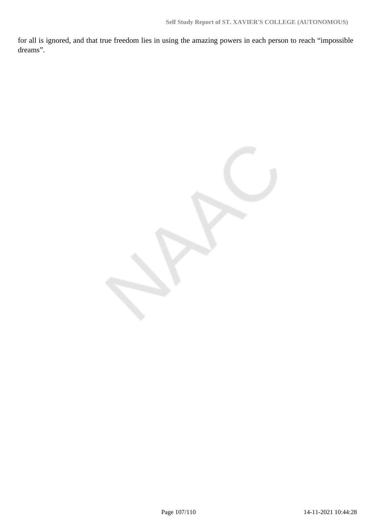for all is ignored, and that true freedom lies in using the amazing powers in each person to reach "impossible dreams".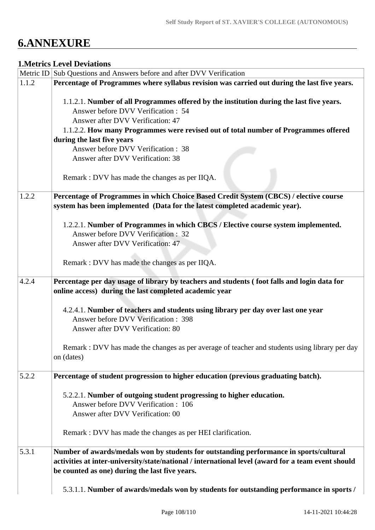# **6.ANNEXURE**

#### **1.Metrics Level Deviations**

|       | Metric ID Sub Questions and Answers before and after DVV Verification                                                                                 |
|-------|-------------------------------------------------------------------------------------------------------------------------------------------------------|
| 1.1.2 | Percentage of Programmes where syllabus revision was carried out during the last five years.                                                          |
|       | 1.1.2.1. Number of all Programmes offered by the institution during the last five years.                                                              |
|       | Answer before DVV Verification : 54                                                                                                                   |
|       | Answer after DVV Verification: 47                                                                                                                     |
|       | 1.1.2.2. How many Programmes were revised out of total number of Programmes offered                                                                   |
|       | during the last five years                                                                                                                            |
|       | Answer before DVV Verification : 38                                                                                                                   |
|       | Answer after DVV Verification: 38                                                                                                                     |
|       |                                                                                                                                                       |
|       | Remark : DVV has made the changes as per IIQA.                                                                                                        |
| 1.2.2 | Percentage of Programmes in which Choice Based Credit System (CBCS) / elective course                                                                 |
|       | system has been implemented (Data for the latest completed academic year).                                                                            |
|       | 1.2.2.1. Number of Programmes in which CBCS / Elective course system implemented.                                                                     |
|       | Answer before DVV Verification : 32                                                                                                                   |
|       | Answer after DVV Verification: 47                                                                                                                     |
|       | Remark : DVV has made the changes as per IIQA.                                                                                                        |
| 4.2.4 | Percentage per day usage of library by teachers and students (foot falls and login data for<br>online access) during the last completed academic year |
|       | 4.2.4.1. Number of teachers and students using library per day over last one year                                                                     |
|       | Answer before DVV Verification: 398                                                                                                                   |
|       | Answer after DVV Verification: 80                                                                                                                     |
|       | Remark : DVV has made the changes as per average of teacher and students using library per day                                                        |
|       | on (dates)                                                                                                                                            |
| 5.2.2 | Percentage of student progression to higher education (previous graduating batch).                                                                    |
|       | 5.2.2.1. Number of outgoing student progressing to higher education.                                                                                  |
|       | Answer before DVV Verification: 106                                                                                                                   |
|       | Answer after DVV Verification: 00                                                                                                                     |
|       |                                                                                                                                                       |
|       | Remark : DVV has made the changes as per HEI clarification.                                                                                           |
| 5.3.1 | Number of awards/medals won by students for outstanding performance in sports/cultural                                                                |
|       | activities at inter-university/state/national / international level (award for a team event should<br>be counted as one) during the last five years.  |
|       |                                                                                                                                                       |
|       | 5.3.1.1. Number of awards/medals won by students for outstanding performance in sports /                                                              |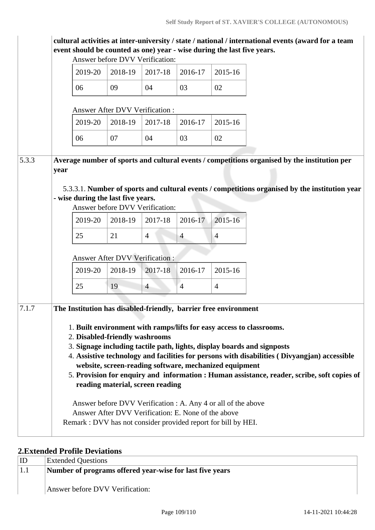|       | event should be counted as one) year - wise during the last five years.                                                                                                   | Answer before DVV Verification:       |                |                                                     |                                                               | cultural activities at inter-university / state / national / international events (award for a team                                                                                            |  |
|-------|---------------------------------------------------------------------------------------------------------------------------------------------------------------------------|---------------------------------------|----------------|-----------------------------------------------------|---------------------------------------------------------------|------------------------------------------------------------------------------------------------------------------------------------------------------------------------------------------------|--|
|       | 2019-20                                                                                                                                                                   | 2018-19                               | 2017-18        | 2016-17                                             | 2015-16                                                       |                                                                                                                                                                                                |  |
|       | 06                                                                                                                                                                        | 09                                    | 04             | 03                                                  | 02                                                            |                                                                                                                                                                                                |  |
|       |                                                                                                                                                                           | <b>Answer After DVV Verification:</b> |                |                                                     |                                                               |                                                                                                                                                                                                |  |
|       | 2019-20                                                                                                                                                                   | 2018-19                               | 2017-18        | 2016-17                                             | 2015-16                                                       |                                                                                                                                                                                                |  |
|       | 06                                                                                                                                                                        | 07                                    | 04             | 03                                                  | 02                                                            |                                                                                                                                                                                                |  |
| 5.3.3 | year<br>- wise during the last five years.                                                                                                                                | Answer before DVV Verification:       |                |                                                     |                                                               | Average number of sports and cultural events / competitions organised by the institution per<br>5.3.3.1. Number of sports and cultural events / competitions organised by the institution year |  |
|       | 2019-20                                                                                                                                                                   | 2018-19                               | 2017-18        | 2016-17                                             | 2015-16                                                       |                                                                                                                                                                                                |  |
|       | 25                                                                                                                                                                        | 21                                    | $\overline{4}$ | $\overline{4}$                                      | $\overline{4}$                                                |                                                                                                                                                                                                |  |
|       |                                                                                                                                                                           | <b>Answer After DVV Verification:</b> |                |                                                     |                                                               |                                                                                                                                                                                                |  |
|       | 2019-20                                                                                                                                                                   | 2018-19                               | 2017-18        | 2016-17                                             | 2015-16                                                       |                                                                                                                                                                                                |  |
|       | 25                                                                                                                                                                        | 19                                    | $\overline{4}$ | $\overline{4}$                                      | $\overline{4}$                                                |                                                                                                                                                                                                |  |
| 7.1.7 | The Institution has disabled-friendly, barrier free environment<br>1. Built environment with ramps/lifts for easy access to classrooms.<br>2. Disabled-friendly washrooms |                                       |                |                                                     | website, screen-reading software, mechanized equipment        | 3. Signage including tactile path, lights, display boards and signposts<br>4. Assistive technology and facilities for persons with disabilities (Divyangjan) accessible                        |  |
|       | Remark : DVV has not consider provided report for bill by HEI.                                                                                                            | reading material, screen reading      |                | Answer After DVV Verification: E. None of the above | Answer before DVV Verification : A. Any 4 or all of the above | 5. Provision for enquiry and information : Human assistance, reader, scribe, soft copies of                                                                                                    |  |

## **2.Extended Profile Deviations**

| ΙD  | <b>Extended Questions</b>                                |
|-----|----------------------------------------------------------|
| 1.1 | Number of programs offered year-wise for last five years |
|     |                                                          |
|     | Answer before DVV Verification:                          |